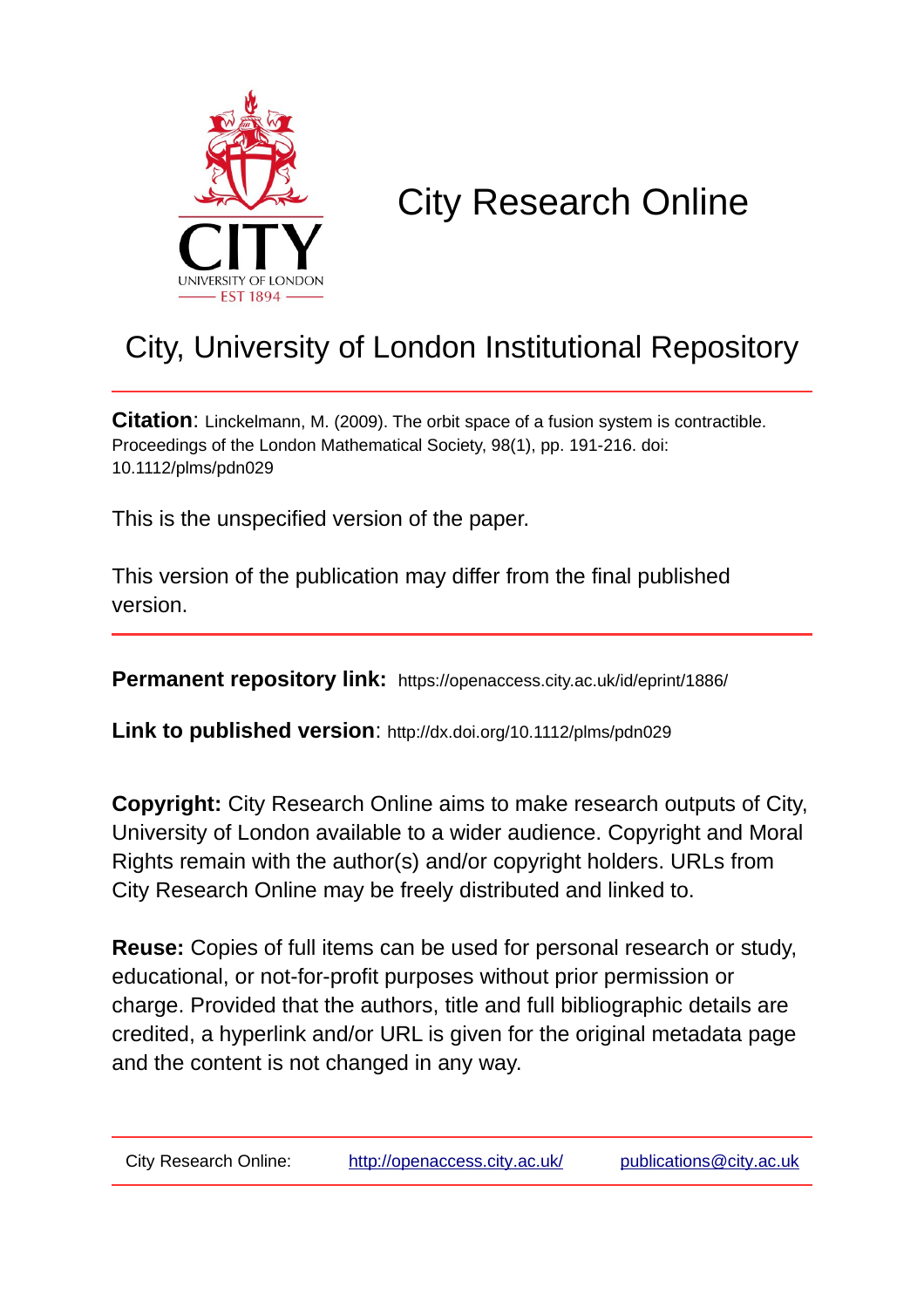

# City Research Online

# City, University of London Institutional Repository

**Citation**: Linckelmann, M. (2009). The orbit space of a fusion system is contractible. Proceedings of the London Mathematical Society, 98(1), pp. 191-216. doi: 10.1112/plms/pdn029

This is the unspecified version of the paper.

This version of the publication may differ from the final published version.

**Permanent repository link:** https://openaccess.city.ac.uk/id/eprint/1886/

**Link to published version**: http://dx.doi.org/10.1112/plms/pdn029

**Copyright:** City Research Online aims to make research outputs of City, University of London available to a wider audience. Copyright and Moral Rights remain with the author(s) and/or copyright holders. URLs from City Research Online may be freely distributed and linked to.

**Reuse:** Copies of full items can be used for personal research or study, educational, or not-for-profit purposes without prior permission or charge. Provided that the authors, title and full bibliographic details are credited, a hyperlink and/or URL is given for the original metadata page and the content is not changed in any way.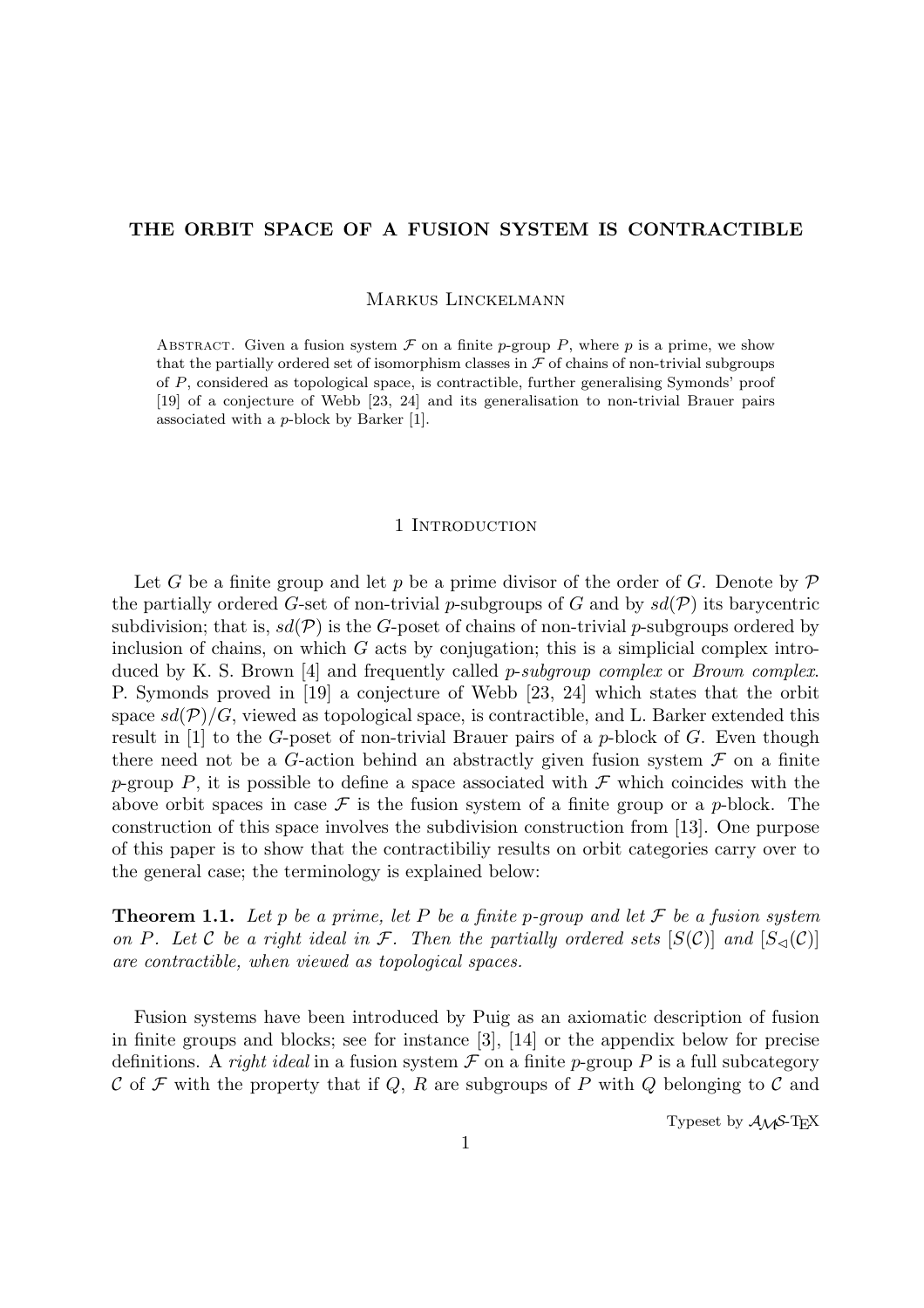# THE ORBIT SPACE OF A FUSION SYSTEM IS CONTRACTIBLE

Markus Linckelmann

ABSTRACT. Given a fusion system  $\mathcal F$  on a finite p-group P, where p is a prime, we show that the partially ordered set of isomorphism classes in  $\mathcal F$  of chains of non-trivial subgroups of P, considered as topological space, is contractible, further generalising Symonds' proof [19] of a conjecture of Webb [23, 24] and its generalisation to non-trivial Brauer pairs associated with a p-block by Barker [1].

# 1 INTRODUCTION

Let G be a finite group and let p be a prime divisor of the order of G. Denote by  $\mathcal P$ the partially ordered G-set of non-trivial p-subgroups of G and by  $sd(\mathcal{P})$  its barycentric subdivision; that is,  $sd(\mathcal{P})$  is the G-poset of chains of non-trivial p-subgroups ordered by inclusion of chains, on which  $G$  acts by conjugation; this is a simplicial complex introduced by K. S. Brown [4] and frequently called *p-subgroup complex* or *Brown complex*. P. Symonds proved in [19] a conjecture of Webb [23, 24] which states that the orbit space  $sd(\mathcal{P})/G$ , viewed as topological space, is contractible, and L. Barker extended this result in  $[1]$  to the G-poset of non-trivial Brauer pairs of a p-block of G. Even though there need not be a G-action behind an abstractly given fusion system  $\mathcal F$  on a finite p-group P, it is possible to define a space associated with  $\mathcal F$  which coincides with the above orbit spaces in case  $\mathcal F$  is the fusion system of a finite group or a p-block. The construction of this space involves the subdivision construction from [13]. One purpose of this paper is to show that the contractibiliy results on orbit categories carry over to the general case; the terminology is explained below:

**Theorem 1.1.** Let p be a prime, let P be a finite p-group and let F be a fusion system on P. Let C be a right ideal in F. Then the partially ordered sets  $[S(\mathcal{C})]$  and  $[S_{\lhd}(\mathcal{C})]$ are contractible, when viewed as topological spaces.

Fusion systems have been introduced by Puig as an axiomatic description of fusion in finite groups and blocks; see for instance [3], [14] or the appendix below for precise definitions. A right ideal in a fusion system  $\mathcal F$  on a finite p-group P is a full subcategory C of F with the property that if Q, R are subgroups of P with Q belonging to C and

Typeset by  $\mathcal{A}_{\mathcal{M}}$ S-T<sub>F</sub>X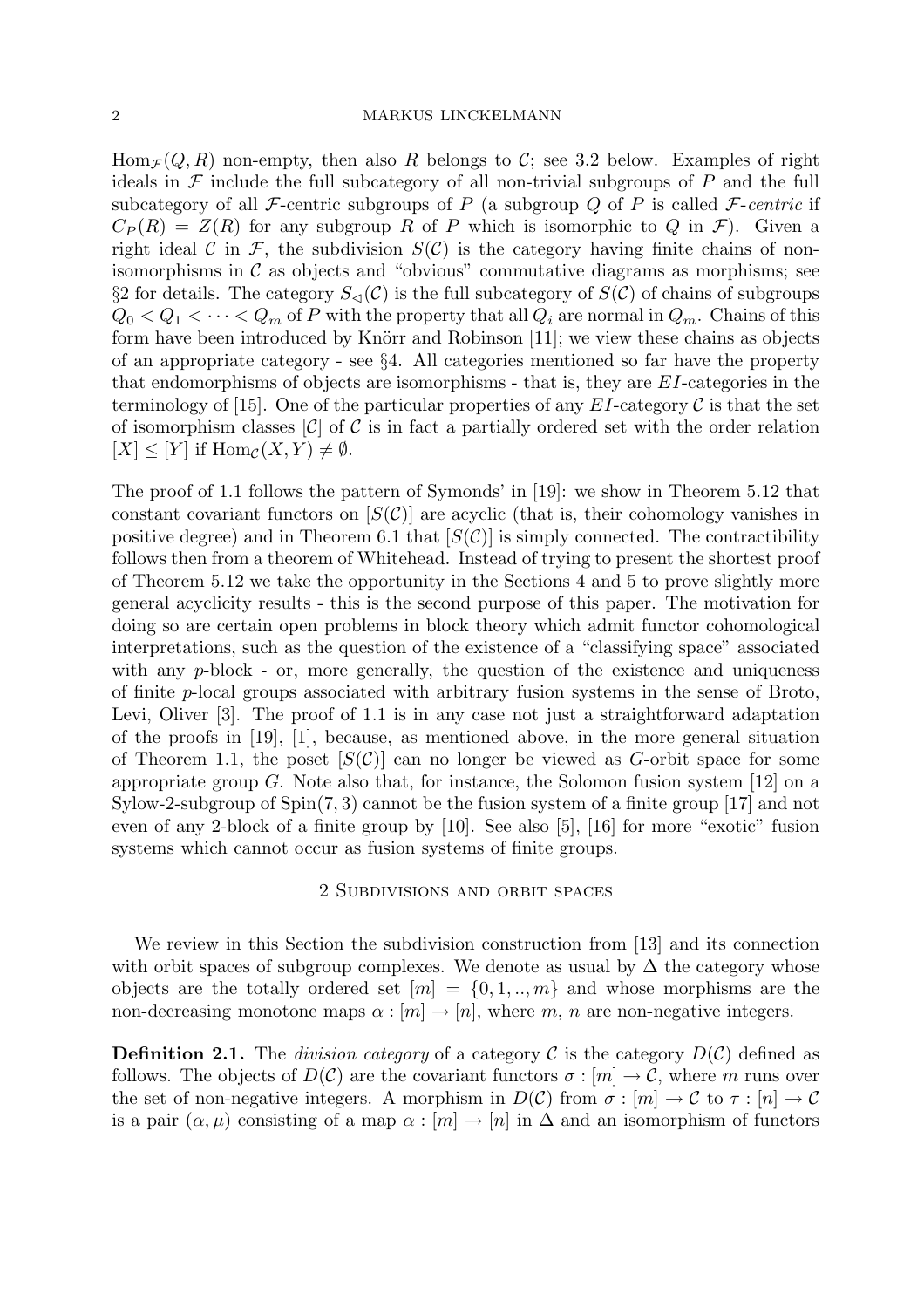$\text{Hom}_{\mathcal{F}}(Q, R)$  non-empty, then also R belongs to C; see 3.2 below. Examples of right ideals in  $\mathcal F$  include the full subcategory of all non-trivial subgroups of P and the full subcategory of all F-centric subgroups of P (a subgroup Q of P is called F-centric if  $C_P(R) = Z(R)$  for any subgroup R of P which is isomorphic to Q in F. Given a right ideal C in F, the subdivision  $S(\mathcal{C})$  is the category having finite chains of nonisomorphisms in  $\mathcal C$  as objects and "obvious" commutative diagrams as morphisms; see §2 for details. The category  $S_{\leq}(\mathcal{C})$  is the full subcategory of  $S(\mathcal{C})$  of chains of subgroups  $Q_0 < Q_1 < \cdots < Q_m$  of P with the property that all  $Q_i$  are normal in  $Q_m$ . Chains of this form have been introduced by Knörr and Robinson [11]; we view these chains as objects of an appropriate category - see  $\S 4$ . All categories mentioned so far have the property that endomorphisms of objects are isomorphisms - that is, they are EI-categories in the terminology of [15]. One of the particular properties of any  $EI$ -category  $\mathcal C$  is that the set of isomorphism classes  $[\mathcal{C}]$  of  $\mathcal C$  is in fact a partially ordered set with the order relation  $[X] \leq [Y]$  if  $\text{Hom}_{\mathcal{C}}(X, Y) \neq \emptyset$ .

The proof of 1.1 follows the pattern of Symonds' in [19]: we show in Theorem 5.12 that constant covariant functors on  $[S(\mathcal{C})]$  are acyclic (that is, their cohomology vanishes in positive degree) and in Theorem 6.1 that  $[S(\mathcal{C})]$  is simply connected. The contractibility follows then from a theorem of Whitehead. Instead of trying to present the shortest proof of Theorem 5.12 we take the opportunity in the Sections 4 and 5 to prove slightly more general acyclicity results - this is the second purpose of this paper. The motivation for doing so are certain open problems in block theory which admit functor cohomological interpretations, such as the question of the existence of a "classifying space" associated with any *p*-block - or, more generally, the question of the existence and uniqueness of finite p-local groups associated with arbitrary fusion systems in the sense of Broto, Levi, Oliver [3]. The proof of 1.1 is in any case not just a straightforward adaptation of the proofs in [19], [1], because, as mentioned above, in the more general situation of Theorem 1.1, the poset  $[S(\mathcal{C})]$  can no longer be viewed as G-orbit space for some appropriate group  $G$ . Note also that, for instance, the Solomon fusion system [12] on a Sylow-2-subgroup of Spin(7, 3) cannot be the fusion system of a finite group [17] and not even of any 2-block of a finite group by [10]. See also [5], [16] for more "exotic" fusion systems which cannot occur as fusion systems of finite groups.

# 2 Subdivisions and orbit spaces

We review in this Section the subdivision construction from [13] and its connection with orbit spaces of subgroup complexes. We denote as usual by  $\Delta$  the category whose objects are the totally ordered set  $[m] = \{0, 1, ..., m\}$  and whose morphisms are the non-decreasing monotone maps  $\alpha : [m] \to [n]$ , where m, n are non-negative integers.

**Definition 2.1.** The division category of a category C is the category  $D(\mathcal{C})$  defined as follows. The objects of  $D(\mathcal{C})$  are the covariant functors  $\sigma : [m] \to \mathcal{C}$ , where m runs over the set of non-negative integers. A morphism in  $D(\mathcal{C})$  from  $\sigma : [m] \to \mathcal{C}$  to  $\tau : [n] \to \mathcal{C}$ is a pair  $(\alpha, \mu)$  consisting of a map  $\alpha : [m] \to [n]$  in  $\Delta$  and an isomorphism of functors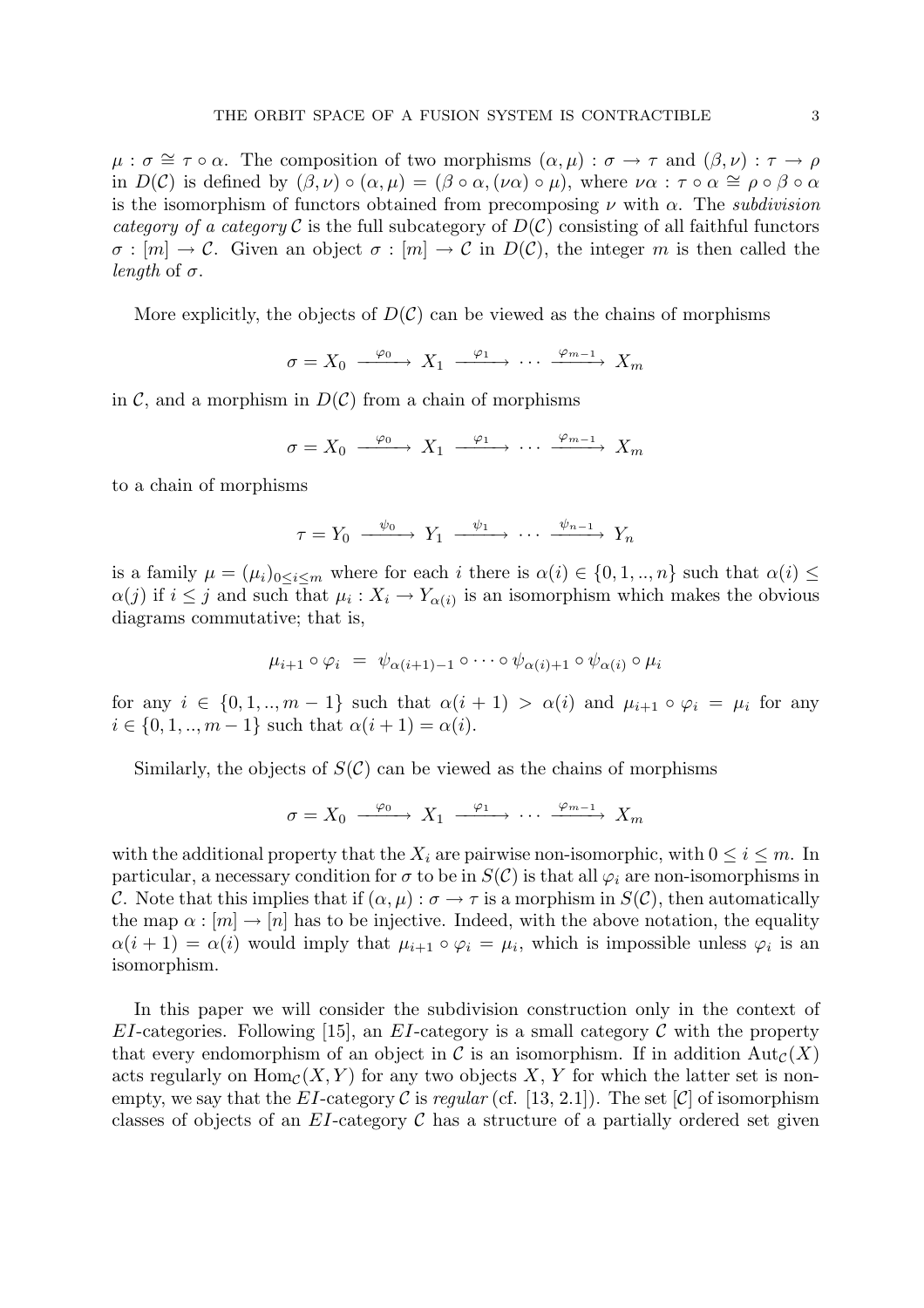$\mu : \sigma \cong \tau \circ \alpha$ . The composition of two morphisms  $(\alpha, \mu) : \sigma \to \tau$  and  $(\beta, \nu) : \tau \to \rho$ in  $D(\mathcal{C})$  is defined by  $(\beta, \nu) \circ (\alpha, \mu) = (\beta \circ \alpha, (\nu \alpha) \circ \mu)$ , where  $\nu \alpha : \tau \circ \alpha \cong \rho \circ \beta \circ \alpha$ is the isomorphism of functors obtained from precomposing  $\nu$  with  $\alpha$ . The *subdivision* category of a category C is the full subcategory of  $D(\mathcal{C})$  consisting of all faithful functors  $\sigma : [m] \to \mathcal{C}$ . Given an object  $\sigma : [m] \to \mathcal{C}$  in  $D(\mathcal{C})$ , the integer m is then called the length of  $\sigma$ .

More explicitly, the objects of  $D(\mathcal{C})$  can be viewed as the chains of morphisms

 $\sigma = X_0 \xrightarrow{\varphi_0} X_1 \xrightarrow{\varphi_1} \cdots \xrightarrow{\varphi_{m-1}} X_m$ 

in  $\mathcal{C}$ , and a morphism in  $D(\mathcal{C})$  from a chain of morphisms

$$
\sigma = X_0 \xrightarrow{\varphi_0} X_1 \xrightarrow{\varphi_1} \cdots \xrightarrow{\varphi_{m-1}} X_m
$$

to a chain of morphisms

$$
\tau = Y_0 \xrightarrow{\psi_0} Y_1 \xrightarrow{\psi_1} \cdots \xrightarrow{\psi_{n-1}} Y_n
$$

is a family  $\mu = (\mu_i)_{0 \le i \le m}$  where for each i there is  $\alpha(i) \in \{0, 1, ..., n\}$  such that  $\alpha(i) \le$  $\alpha(j)$  if  $i \leq j$  and such that  $\mu_i: X_i \to Y_{\alpha(i)}$  is an isomorphism which makes the obvious diagrams commutative; that is,

$$
\mu_{i+1} \circ \varphi_i = \psi_{\alpha(i+1)-1} \circ \cdots \circ \psi_{\alpha(i)+1} \circ \psi_{\alpha(i)} \circ \mu_i
$$

for any  $i \in \{0, 1, \ldots, m-1\}$  such that  $\alpha(i+1) > \alpha(i)$  and  $\mu_{i+1} \circ \varphi_i = \mu_i$  for any  $i \in \{0, 1, ..., m-1\}$  such that  $\alpha(i+1) = \alpha(i)$ .

Similarly, the objects of  $S(\mathcal{C})$  can be viewed as the chains of morphisms

$$
\sigma = X_0 \xrightarrow{\varphi_0} X_1 \xrightarrow{\varphi_1} \cdots \xrightarrow{\varphi_{m-1}} X_m
$$

with the additional property that the  $X_i$  are pairwise non-isomorphic, with  $0 \leq i \leq m$ . In particular, a necessary condition for  $\sigma$  to be in  $S(\mathcal{C})$  is that all  $\varphi_i$  are non-isomorphisms in C. Note that this implies that if  $(\alpha, \mu): \sigma \to \tau$  is a morphism in  $S(\mathcal{C})$ , then automatically the map  $\alpha : [m] \to [n]$  has to be injective. Indeed, with the above notation, the equality  $\alpha(i+1) = \alpha(i)$  would imply that  $\mu_{i+1} \circ \varphi_i = \mu_i$ , which is impossible unless  $\varphi_i$  is an isomorphism.

In this paper we will consider the subdivision construction only in the context of  $EI$ -categories. Following [15], an  $EI$ -category is a small category C with the property that every endomorphism of an object in C is an isomorphism. If in addition  $Aut_{\mathcal{C}}(X)$ acts regularly on  $\text{Hom}_{\mathcal{C}}(X, Y)$  for any two objects X, Y for which the latter set is nonempty, we say that the EI-category C is regular (cf. [13, 2.1]). The set [C] of isomorphism classes of objects of an  $EI$ -category  $\mathcal C$  has a structure of a partially ordered set given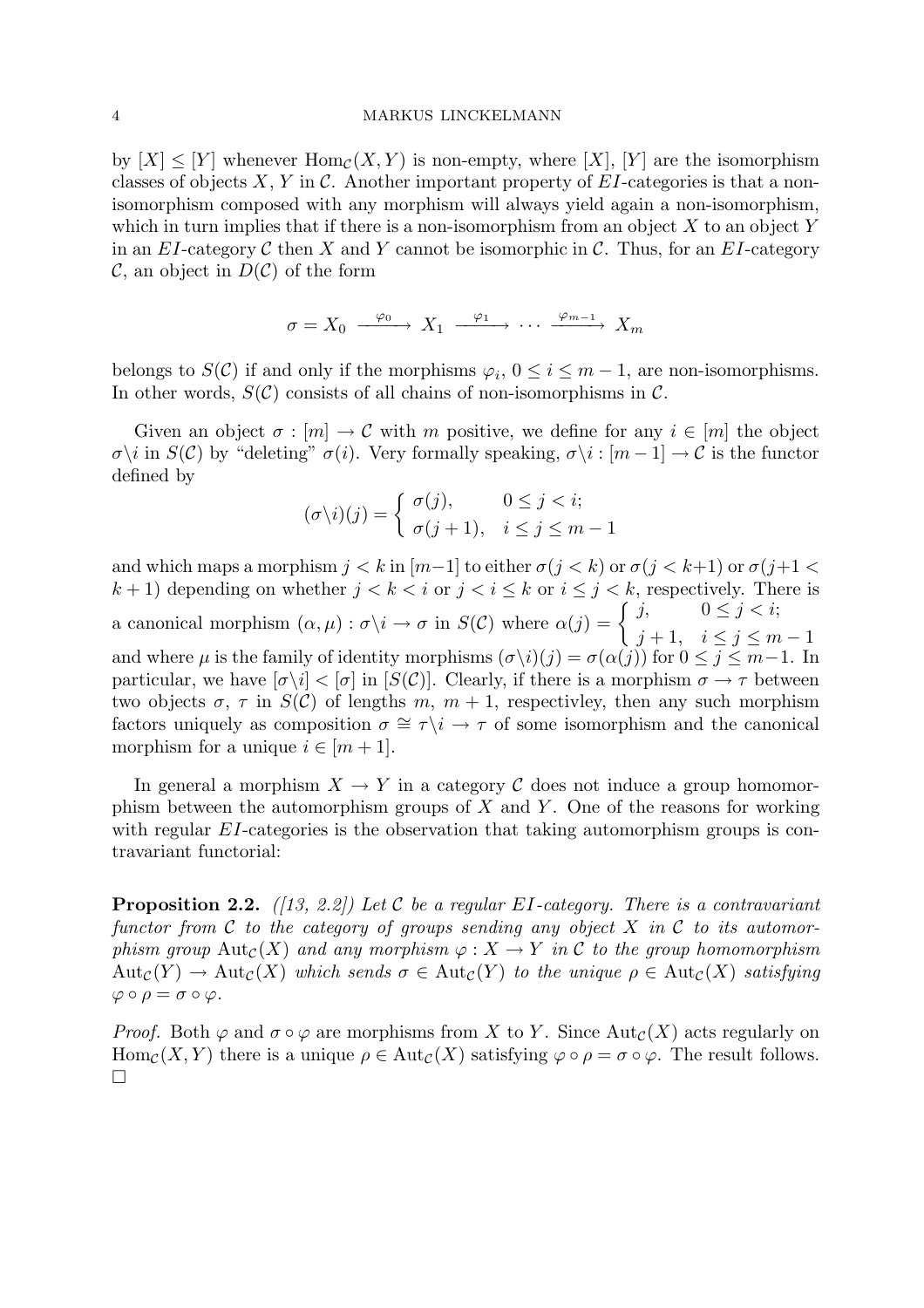by  $[X] \leq [Y]$  whenever  $\text{Hom}_{\mathcal{C}}(X, Y)$  is non-empty, where  $[X]$ ,  $[Y]$  are the isomorphism classes of objects X, Y in C. Another important property of  $EI$ -categories is that a nonisomorphism composed with any morphism will always yield again a non-isomorphism, which in turn implies that if there is a non-isomorphism from an object  $X$  to an object  $Y$ in an EI-category  $\mathcal C$  then X and Y cannot be isomorphic in  $\mathcal C$ . Thus, for an EI-category  $\mathcal{C}$ , an object in  $D(\mathcal{C})$  of the form

$$
\sigma = X_0 \xrightarrow{\varphi_0} X_1 \xrightarrow{\varphi_1} \cdots \xrightarrow{\varphi_{m-1}} X_m
$$

belongs to  $S(\mathcal{C})$  if and only if the morphisms  $\varphi_i, 0 \le i \le m-1$ , are non-isomorphisms. In other words,  $S(\mathcal{C})$  consists of all chains of non-isomorphisms in  $\mathcal{C}$ .

Given an object  $\sigma : [m] \to \mathcal{C}$  with m positive, we define for any  $i \in [m]$  the object  $\sigma \setminus i$  in  $S(\mathcal{C})$  by "deleting"  $\sigma(i)$ . Very formally speaking,  $\sigma \setminus i : [m-1] \to \mathcal{C}$  is the functor defined by

$$
(\sigma \setminus i)(j) = \begin{cases} \sigma(j), & 0 \le j < i; \\ \sigma(j+1), & i \le j \le m-1 \end{cases}
$$

and which maps a morphism  $j < k$  in  $[m-1]$  to either  $\sigma(j < k)$  or  $\sigma(j < k+1)$  or  $\sigma(j+1 < k)$  $k + 1$ ) depending on whether  $j < k < i$  or  $j < i \le k$  or  $i \le j < k$ , respectively. There is a canonical morphism  $(\alpha, \mu) : \sigma \backslash i \to \sigma$  in  $S(\mathcal{C})$  where  $\alpha(j) = \begin{cases} j, & 0 \leq j < i; j \neq j \end{cases}$  $j+1, i \leq j \leq m-1$ and where  $\mu$  is the family of identity morphisms  $(\sigma \setminus i)(j) = \sigma(\alpha(j))$  for  $0 \leq j \leq m-1$ . In particular, we have  $[\sigma \setminus i] < [\sigma]$  in  $[S(\mathcal{C})]$ . Clearly, if there is a morphism  $\sigma \to \tau$  between two objects  $\sigma$ ,  $\tau$  in  $S(\mathcal{C})$  of lengths m,  $m + 1$ , respectivley, then any such morphism factors uniquely as composition  $\sigma \cong \tau \backslash i \to \tau$  of some isomorphism and the canonical morphism for a unique  $i \in [m+1]$ .

In general a morphism  $X \to Y$  in a category C does not induce a group homomorphism between the automorphism groups of  $X$  and  $Y$ . One of the reasons for working with regular  $EI$ -categories is the observation that taking automorphism groups is contravariant functorial:

**Proposition 2.2.** ([13, 2.2]) Let C be a regular EI-category. There is a contravariant functor from C to the category of groups sending any object X in C to its automorphism group  ${\rm Aut}_{\mathcal{C}}(X)$  and any morphism  $\varphi: X \to Y$  in C to the group homomorphism  $\text{Aut}_{\mathcal{C}}(Y) \to \text{Aut}_{\mathcal{C}}(X)$  which sends  $\sigma \in \text{Aut}_{\mathcal{C}}(Y)$  to the unique  $\rho \in \text{Aut}_{\mathcal{C}}(X)$  satisfying  $\varphi \circ \rho = \sigma \circ \varphi$ .

*Proof.* Both  $\varphi$  and  $\sigma \circ \varphi$  are morphisms from X to Y. Since Aut<sub>C</sub>(X) acts regularly on Hom<sub>C</sub>(X, Y) there is a unique  $\rho \in \text{Aut}_{\mathcal{C}}(X)$  satisfying  $\varphi \circ \rho = \sigma \circ \varphi$ . The result follows.  $\Box$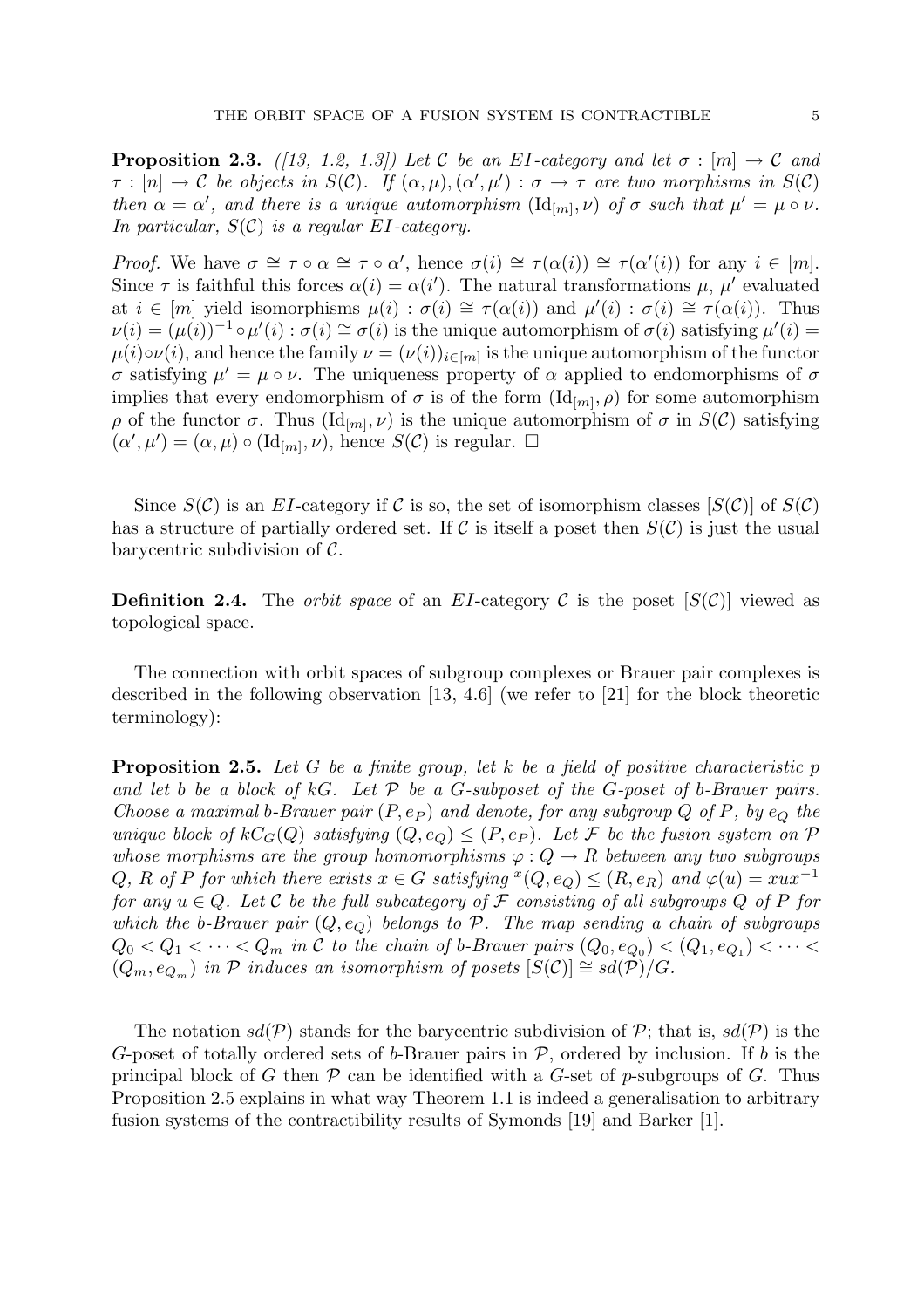**Proposition 2.3.** ([13, 1.2, 1.3]) Let C be an EI-category and let  $\sigma : [m] \to \mathcal{C}$  and  $\tau : [n] \to \mathcal{C}$  be objects in  $S(\mathcal{C})$ . If  $(\alpha, \mu), (\alpha', \mu') : \sigma \to \tau$  are two morphisms in  $S(\mathcal{C})$ then  $\alpha = \alpha'$ , and there is a unique automorphism  $(\mathrm{Id}_{[m]}, \nu)$  of  $\sigma$  such that  $\mu' = \mu \circ \nu$ . In particular,  $S(\mathcal{C})$  is a regular EI-category.

Proof. We have  $\sigma \cong \tau \circ \alpha \cong \tau \circ \alpha'$ , hence  $\sigma(i) \cong \tau(\alpha(i)) \cong \tau(\alpha'(i))$  for any  $i \in [m]$ . Since  $\tau$  is faithful this forces  $\alpha(i) = \alpha(i')$ . The natural transformations  $\mu$ ,  $\mu'$  evaluated at  $i \in [m]$  yield isomorphisms  $\mu(i) : \sigma(i) \cong \tau(\alpha(i))$  and  $\mu'(i) : \sigma(i) \cong \tau(\alpha(i))$ . Thus  $\nu(i) = (\mu(i))^{-1} \circ \mu'(i) : \sigma(i) \cong \sigma(i)$  is the unique automorphism of  $\sigma(i)$  satisfying  $\mu'(i) =$  $\mu(i) \circ \nu(i)$ , and hence the family  $\nu = (\nu(i))_{i \in [m]}$  is the unique automorphism of the functor σ satisfying  $\mu' = \mu \circ \nu$ . The uniqueness property of α applied to endomorphisms of σ implies that every endomorphism of  $\sigma$  is of the form  $(\mathrm{Id}_{[m]}, \rho)$  for some automorphism  $ρ$  of the functor  $σ$ . Thus  $(\mathrm{Id}_{[m]}, ν)$  is the unique automorphism of  $σ$  in  $S($ C) satisfying  $(\alpha', \mu') = (\alpha, \mu) \circ (\mathrm{Id}_{[m]}, \nu)$ , hence  $S(\mathcal{C})$  is regular.  $\Box$ 

Since  $S(\mathcal{C})$  is an EI-category if  $\mathcal C$  is so, the set of isomorphism classes  $[S(\mathcal{C})]$  of  $S(\mathcal{C})$ has a structure of partially ordered set. If C is itself a poset then  $S(\mathcal{C})$  is just the usual barycentric subdivision of C.

**Definition 2.4.** The *orbit space* of an EI-category C is the poset  $[S(\mathcal{C})]$  viewed as topological space.

The connection with orbit spaces of subgroup complexes or Brauer pair complexes is described in the following observation [13, 4.6] (we refer to [21] for the block theoretic terminology):

**Proposition 2.5.** Let G be a finite group, let k be a field of positive characteristic p and let b be a block of  $kG$ . Let  $\mathcal P$  be a G-subposet of the G-poset of b-Brauer pairs. Choose a maximal b-Brauer pair  $(P, e_P)$  and denote, for any subgroup Q of P, by  $e_Q$  the unique block of  $kC_G(Q)$  satisfying  $(Q, e_Q) \leq (P, e_P)$ . Let F be the fusion system on P whose morphisms are the group homomorphisms  $\varphi: Q \to R$  between any two subgroups Q, R of P for which there exists  $x \in G$  satisfying  $^x(Q, e_Q) \le (R, e_R)$  and  $\varphi(u) = xux^{-1}$ for any  $u \in Q$ . Let C be the full subcategory of F consisting of all subgroups Q of P for which the b-Brauer pair  $(Q, e_Q)$  belongs to P. The map sending a chain of subgroups  $Q_0 < Q_1 < \cdots < Q_m$  in C to the chain of b-Brauer pairs  $(Q_0, e_{Q_0}) < (Q_1, e_{Q_1}) < \cdots <$  $(Q_m, e_{Q_m})$  in P induces an isomorphism of posets  $[S(\mathcal{C})] \cong sd(\mathcal{P})/G$ .

The notation  $sd(\mathcal{P})$  stands for the barycentric subdivision of  $\mathcal{P}$ ; that is,  $sd(\mathcal{P})$  is the G-poset of totally ordered sets of b-Brauer pairs in  $P$ , ordered by inclusion. If b is the principal block of G then  $\mathcal P$  can be identified with a G-set of p-subgroups of G. Thus Proposition 2.5 explains in what way Theorem 1.1 is indeed a generalisation to arbitrary fusion systems of the contractibility results of Symonds [19] and Barker [1].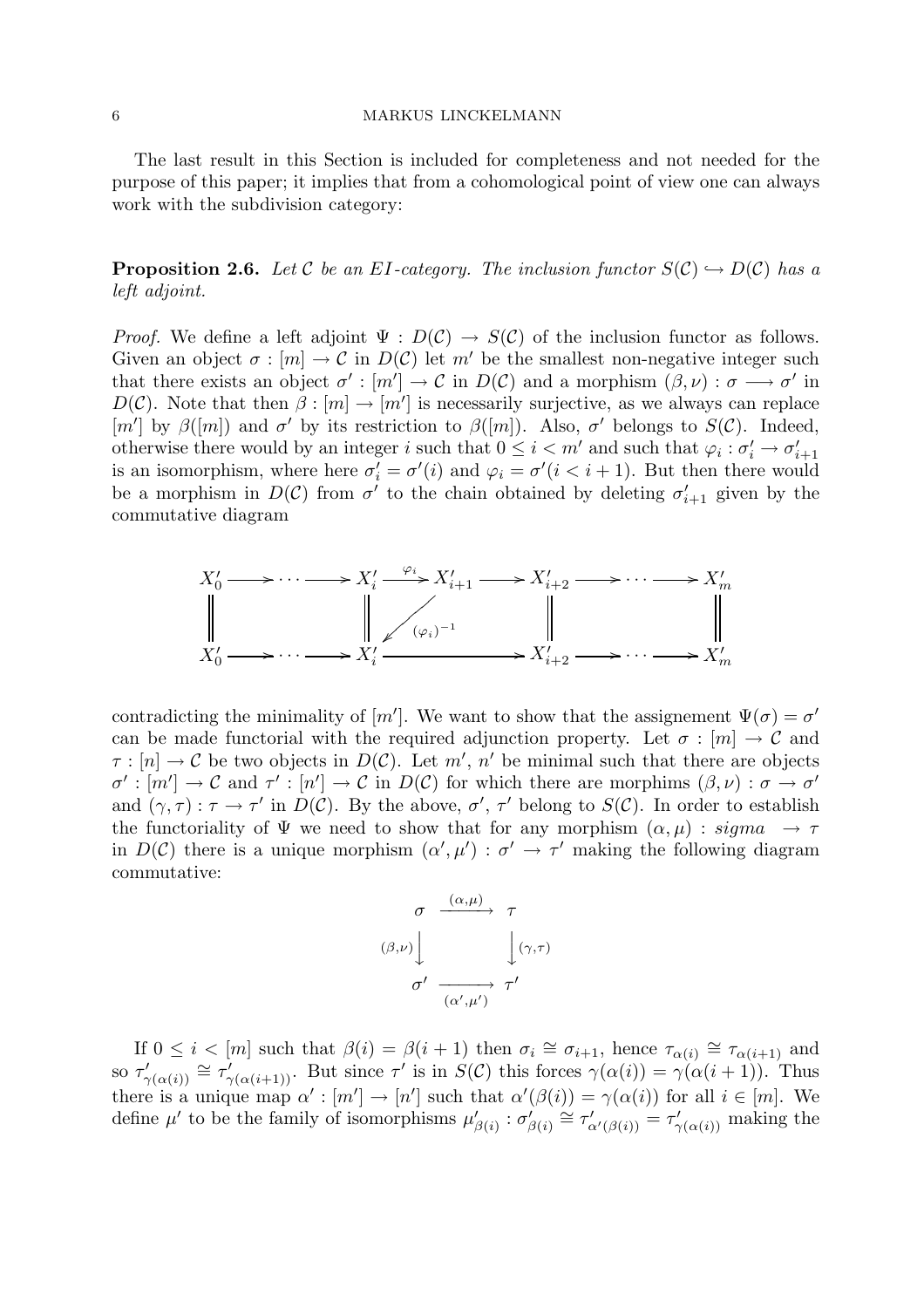The last result in this Section is included for completeness and not needed for the purpose of this paper; it implies that from a cohomological point of view one can always work with the subdivision category:

**Proposition 2.6.** Let C be an EI-category. The inclusion functor  $S(\mathcal{C}) \hookrightarrow D(\mathcal{C})$  has a left adjoint.

*Proof.* We define a left adjoint  $\Psi : D(\mathcal{C}) \to S(\mathcal{C})$  of the inclusion functor as follows. Given an object  $\sigma : [m] \to \mathcal{C}$  in  $D(\mathcal{C})$  let m' be the smallest non-negative integer such that there exists an object  $\sigma' : [m'] \to \mathcal{C}$  in  $D(\mathcal{C})$  and a morphism  $(\beta, \nu) : \sigma \longrightarrow \sigma'$  in  $D(\mathcal{C})$ . Note that then  $\beta : [m] \to [m']$  is necessarily surjective, as we always can replace [m'] by  $\beta([m])$  and  $\sigma'$  by its restriction to  $\beta([m])$ . Also,  $\sigma'$  belongs to  $S(\mathcal{C})$ . Indeed, otherwise there would by an integer i such that  $0 \leq i < m'$  and such that  $\varphi_i : \sigma'_i \to \sigma'_{i+1}$ is an isomorphism, where here  $\sigma'_i = \sigma'(i)$  and  $\varphi_i = \sigma'(i \leq i + 1)$ . But then there would be a morphism in  $D(\mathcal{C})$  from  $\sigma'$  to the chain obtained by deleting  $\sigma'_{i+1}$  given by the commutative diagram



contradicting the minimality of  $[m']$ . We want to show that the assignement  $\Psi(\sigma) = \sigma'$ can be made functorial with the required adjunction property. Let  $\sigma : [m] \to \mathcal{C}$  and  $\tau : [n] \to \mathcal{C}$  be two objects in  $D(\mathcal{C})$ . Let  $m'$ ,  $n'$  be minimal such that there are objects  $\sigma' : [m'] \to \mathcal{C}$  and  $\tau' : [n'] \to \mathcal{C}$  in  $D(\mathcal{C})$  for which there are morphims  $(\beta, \nu) : \sigma \to \sigma'$ and  $(\gamma, \tau) : \tau \to \tau'$  in  $D(\mathcal{C})$ . By the above,  $\sigma', \tau'$  belong to  $S(\mathcal{C})$ . In order to establish the functoriality of  $\Psi$  we need to show that for any morphism  $(\alpha, \mu)$ : sigma  $\rightarrow \tau$ in  $D(\mathcal{C})$  there is a unique morphism  $(\alpha', \mu') : \sigma' \to \tau'$  making the following diagram commutative:

$$
\begin{array}{ccc}\n\sigma & \xrightarrow{(\alpha,\mu)} & \tau \\
\beta,\nu & \downarrow & \downarrow (\gamma,\tau) \\
\sigma' & \xrightarrow{(\alpha',\mu')} & \tau'\n\end{array}
$$

If  $0 \leq i < [m]$  such that  $\beta(i) = \beta(i+1)$  then  $\sigma_i \cong \sigma_{i+1}$ , hence  $\tau_{\alpha(i)} \cong \tau_{\alpha(i+1)}$  and so  $\tau'_{\gamma}$  $\gamma'_{\gamma(\alpha(i))} \cong \tau'_{\gamma(\alpha(i+1))}$ . But since  $\tau'$  is in  $S(\mathcal{C})$  this forces  $\gamma(\alpha(i)) = \gamma(\alpha(i+1))$ . Thus there is a unique map  $\alpha' : [m'] \to [n']$  such that  $\alpha'(\beta(i)) = \gamma(\alpha(i))$  for all  $i \in [m]$ . We define  $\mu'$  to be the family of isomorphisms  $\mu'$  $_{\beta(i)}' : \sigma'_{\beta}$  $\sigma'_{\beta(i)} \cong \tau'_{\alpha'(\beta(i))} = \tau'_{\gamma(\alpha(i))}$  making the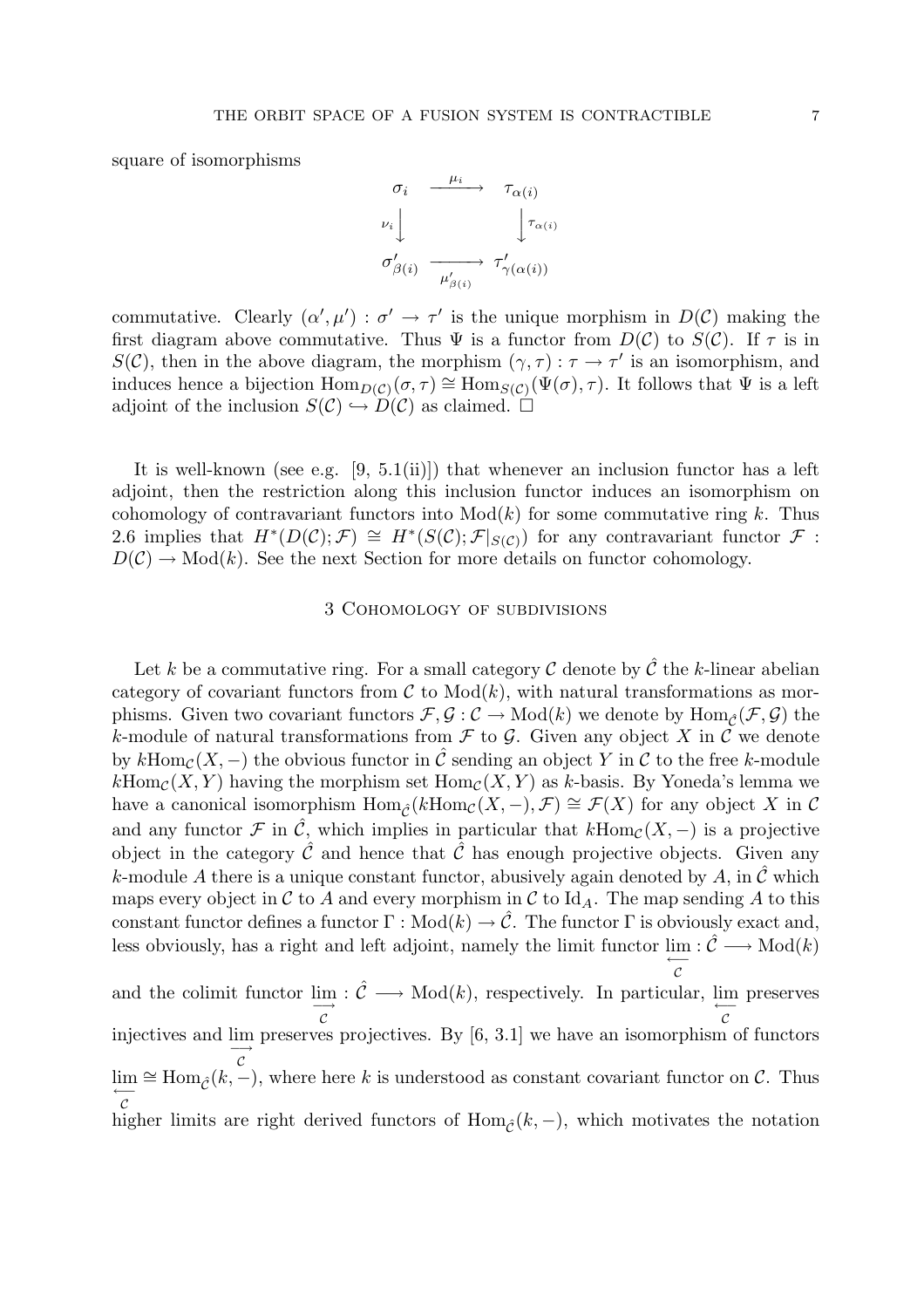square of isomorphisms



commutative. Clearly  $(\alpha', \mu') : \sigma' \to \tau'$  is the unique morphism in  $D(\mathcal{C})$  making the first diagram above commutative. Thus  $\Psi$  is a functor from  $D(\mathcal{C})$  to  $S(\mathcal{C})$ . If  $\tau$  is in  $S(\mathcal{C})$ , then in the above diagram, the morphism  $(\gamma, \tau) : \tau \to \tau'$  is an isomorphism, and induces hence a bijection  $\text{Hom}_{D(\mathcal{C})}(\sigma,\tau) \cong \text{Hom}_{S(\mathcal{C})}(\Psi(\sigma),\tau)$ . It follows that  $\Psi$  is a left adjoint of the inclusion  $S(\mathcal{C}) \hookrightarrow D(\mathcal{C})$  as claimed.  $\square$ 

It is well-known (see e.g. [9, 5.1(ii)]) that whenever an inclusion functor has a left adjoint, then the restriction along this inclusion functor induces an isomorphism on cohomology of contravariant functors into  $Mod(k)$  for some commutative ring k. Thus 2.6 implies that  $H^*(D(\mathcal{C});\mathcal{F}) \cong H^*(S(\mathcal{C});\mathcal{F}|_{S(\mathcal{C})})$  for any contravariant functor  $\mathcal F$ :  $D(\mathcal{C}) \to \text{Mod}(k)$ . See the next Section for more details on functor cohomology.

# 3 Cohomology of subdivisions

Let k be a commutative ring. For a small category C denote by  $\hat{C}$  the k-linear abelian category of covariant functors from  $\mathcal C$  to  $\text{Mod}(k)$ , with natural transformations as morphisms. Given two covariant functors  $\mathcal{F}, \mathcal{G} : \mathcal{C} \to \text{Mod}(k)$  we denote by  $\text{Hom}_{\hat{\mathcal{C}}}(\mathcal{F}, \mathcal{G})$  the k-module of natural transformations from  $\mathcal F$  to  $\mathcal G$ . Given any object X in C we denote by kHom<sub>C</sub>(X, –) the obvious functor in  $\hat{\mathcal{C}}$  sending an object Y in C to the free k-module  $k\text{Hom}_{\mathcal{C}}(X, Y)$  having the morphism set  $\text{Hom}_{\mathcal{C}}(X, Y)$  as k-basis. By Yoneda's lemma we have a canonical isomorphism  $\text{Hom}_{\hat{\mathcal{C}}}(k\text{Hom}_{\mathcal{C}}(X,-),\mathcal{F})\cong \mathcal{F}(X)$  for any object X in C and any functor  $\mathcal F$  in  $\hat{\mathcal C}$ , which implies in particular that  $k\text{Hom}_{\mathcal C}(X, -)$  is a projective object in the category  $\hat{\mathcal{C}}$  and hence that  $\hat{\mathcal{C}}$  has enough projective objects. Given any k-module A there is a unique constant functor, abusively again denoted by A, in  $\hat{\mathcal{C}}$  which maps every object in C to A and every morphism in C to  $\mathrm{Id}_A$ . The map sending A to this constant functor defines a functor  $\Gamma : Mod(k) \to \hat{\mathcal{C}}$ . The functor  $\Gamma$  is obviously exact and, less obviously, has a right and left adjoint, namely the limit functor  $\lim_{\longleftarrow} : \hat{\mathcal{C}} \longrightarrow \text{Mod}(k)$  $\mathcal{C}_{0}^{0}$ and the colimit functor  $\lim_{n \to \infty}$  $\mathcal{C}_{0}^{0}$ :  $\hat{\mathcal{C}} \longrightarrow \text{Mod}(k)$ , respectively. In particular, lim  $\mathcal{C}_{0}^{0}$ preserves injectives and  $\lim_{n \to \infty}$  preserves projectives. By [6, 3.1] we have an isomorphism of functors  $\mathcal{C}_{0}^{0}$ lim  $\cong$  Hom<sub> $\hat{c}(k, -)$ </sub>, where here k is understood as constant covariant functor on C. Thus  $\mathcal{C}_{0}^{0}$ higher limits are right derived functors of  $Hom_{\hat{\mathcal{C}}}(k, -)$ , which motivates the notation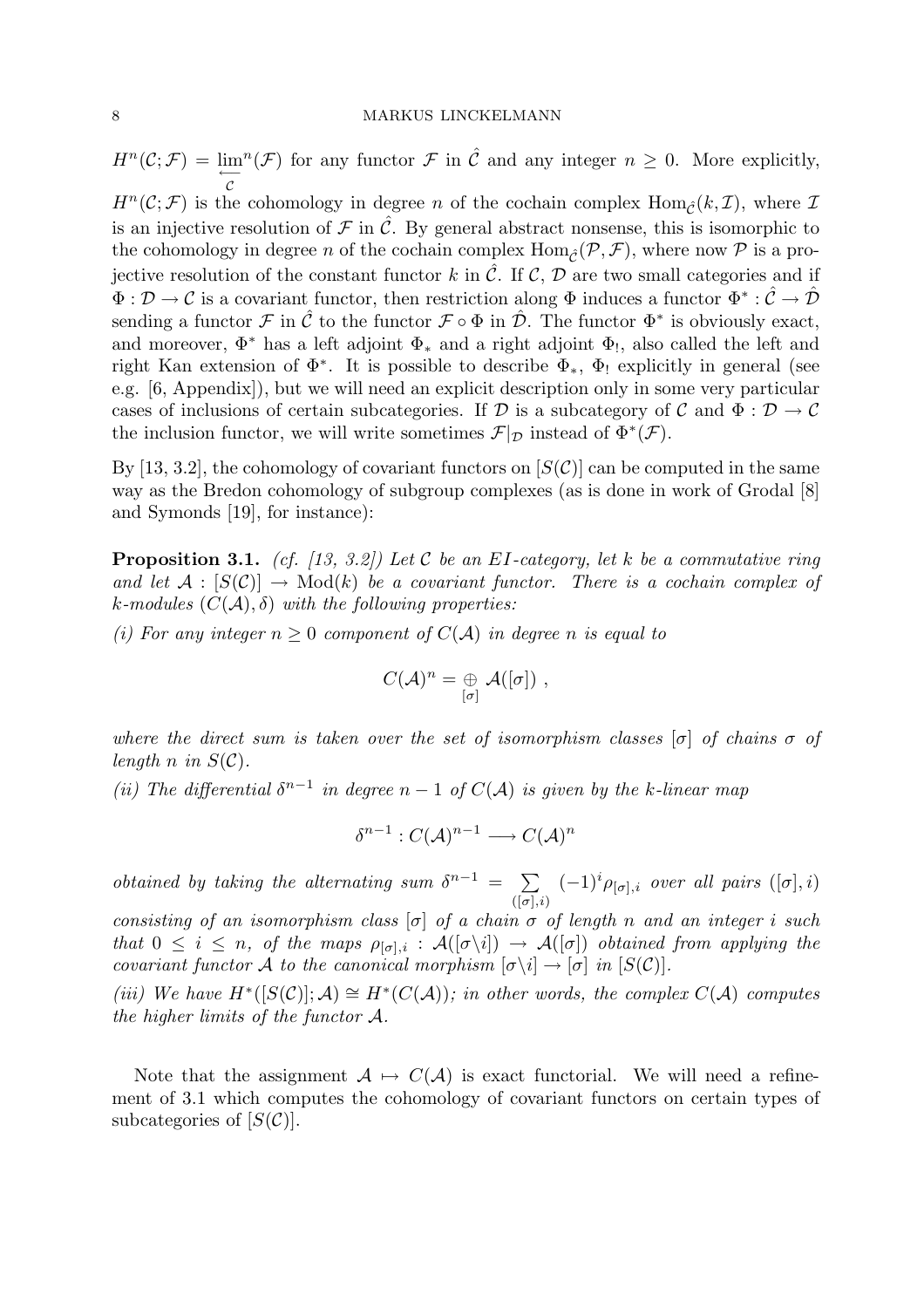$H^n(\mathcal{C};\mathcal{F}) = \lim_{\longleftarrow}^n(\mathcal{F})$  for any functor  $\mathcal{F}$  in  $\hat{\mathcal{C}}$  and any integer  $n \geq 0$ . More explicitly,  $H^n(\mathcal{C};\mathcal{F})$  is the cohomology in degree *n* of the cochain complex Hom<sub> $\hat{\mathcal{C}}$ </sub> $(k,\mathcal{I})$ , where  $\mathcal{I}$ is an injective resolution of  $\mathcal F$  in  $\mathcal C$ . By general abstract nonsense, this is isomorphic to the cohomology in degree n of the cochain complex  $\text{Hom}_{\hat{C}}(\mathcal{P}, \mathcal{F})$ , where now  $\mathcal P$  is a projective resolution of the constant functor k in  $\hat{\mathcal{C}}$ . If  $\mathcal{C}, \mathcal{D}$  are two small categories and if  $\Phi: \mathcal{D} \to \mathcal{C}$  is a covariant functor, then restriction along  $\Phi$  induces a functor  $\Phi^*: \hat{\mathcal{C}} \to \hat{\mathcal{D}}$ sending a functor  $\mathcal F$  in  $\hat{\mathcal{C}}$  to the functor  $\mathcal F \circ \Phi$  in  $\hat{\mathcal{D}}$ . The functor  $\Phi^*$  is obviously exact, and moreover,  $\Phi^*$  has a left adjoint  $\Phi_*$  and a right adjoint  $\Phi_!$ , also called the left and right Kan extension of  $\Phi^*$ . It is possible to describe  $\Phi_*, \Phi_!$  explicitly in general (see e.g. [6, Appendix]), but we will need an explicit description only in some very particular cases of inclusions of certain subcategories. If D is a subcategory of C and  $\Phi : \mathcal{D} \to \mathcal{C}$ the inclusion functor, we will write sometimes  $\mathcal{F}|_{\mathcal{D}}$  instead of  $\Phi^*(\mathcal{F})$ .

By [13, 3.2], the cohomology of covariant functors on  $[S(\mathcal{C})]$  can be computed in the same way as the Bredon cohomology of subgroup complexes (as is done in work of Grodal [8] and Symonds [19], for instance):

**Proposition 3.1.** (cf. [13, 3.2]) Let C be an EI-category, let k be a commutative ring and let  $A : [S(\mathcal{C})] \to Mod(k)$  be a covariant functor. There is a cochain complex of k-modules  $(C(A), \delta)$  with the following properties:

(i) For any integer  $n \geq 0$  component of  $C(\mathcal{A})$  in degree n is equal to

$$
C(\mathcal{A})^n = \underset{[\sigma]}{\oplus} \mathcal{A}([\sigma]) ,
$$

where the direct sum is taken over the set of isomorphism classes  $[\sigma]$  of chains  $\sigma$  of length n in  $S(\mathcal{C})$ .

(ii) The differential  $\delta^{n-1}$  in degree  $n-1$  of  $C(\mathcal{A})$  is given by the k-linear map

$$
\delta^{n-1}: C(\mathcal{A})^{n-1} \longrightarrow C(\mathcal{A})^n
$$

obtained by taking the alternating sum  $\delta^{n-1} = \sum$  $([\sigma], i)$  $(-1)^i \rho_{[\sigma],i}$  over all pairs  $([\sigma],i)$ 

consisting of an isomorphism class  $[\sigma]$  of a chain  $\sigma$  of length n and an integer i such that  $0 \leq i \leq n$ , of the maps  $\rho_{[\sigma],i} : \mathcal{A}([\sigma \setminus i]) \to \mathcal{A}([\sigma])$  obtained from applying the covariant functor A to the canonical morphism  $[\sigma \backslash i] \rightarrow [\sigma]$  in  $[S(\mathcal{C})]$ .

(iii) We have  $H^*([S(\mathcal{C})]; \mathcal{A}) \cong H^*(C(\mathcal{A}))$ ; in other words, the complex  $C(\mathcal{A})$  computes the higher limits of the functor A.

Note that the assignment  $A \mapsto C(A)$  is exact functorial. We will need a refinement of 3.1 which computes the cohomology of covariant functors on certain types of subcategories of  $[S(\mathcal{C})]$ .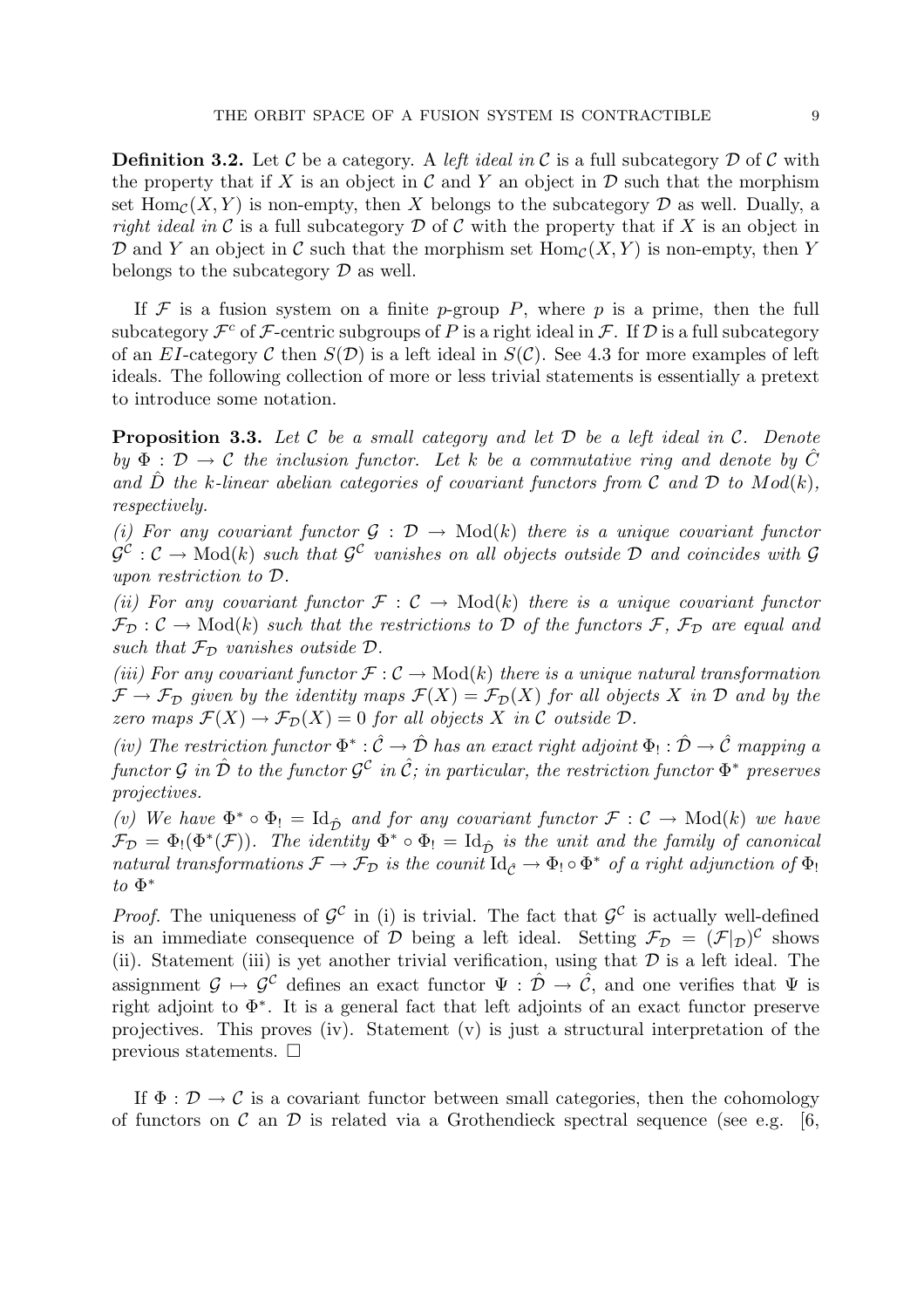**Definition 3.2.** Let C be a category. A *left ideal in* C is a full subcategory D of C with the property that if X is an object in  $\mathcal C$  and Y an object in  $\mathcal D$  such that the morphism set  $\text{Hom}_{\mathcal{C}}(X, Y)$  is non-empty, then X belongs to the subcategory  $\mathcal{D}$  as well. Dually, a right ideal in C is a full subcategory  $D$  of C with the property that if X is an object in D and Y an object in C such that the morphism set  $\text{Hom}_{\mathcal{C}}(X, Y)$  is non-empty, then Y belongs to the subcategory  $\mathcal D$  as well.

If F is a fusion system on a finite p-group P, where p is a prime, then the full subcategory  $\mathcal{F}^c$  of  $\mathcal{F}$ -centric subgroups of P is a right ideal in  $\mathcal{F}$ . If D is a full subcategory of an EI-category C then  $S(\mathcal{D})$  is a left ideal in  $S(\mathcal{C})$ . See 4.3 for more examples of left ideals. The following collection of more or less trivial statements is essentially a pretext to introduce some notation.

**Proposition 3.3.** Let C be a small category and let D be a left ideal in C. Denote by  $\Phi : \mathcal{D} \to \mathcal{C}$  the inclusion functor. Let k be a commutative ring and denote by  $\hat{C}$ and  $\hat{D}$  the k-linear abelian categories of covariant functors from C and D to  $Mod(k)$ , respectively.

(i) For any covariant functor  $\mathcal{G}: \mathcal{D} \to \text{Mod}(k)$  there is a unique covariant functor  $\mathcal{G}^{\mathcal{C}}: \mathcal{C} \to \text{Mod}(k)$  such that  $\mathcal{G}^{\mathcal{C}}$  vanishes on all objects outside  $\mathcal{D}$  and coincides with  $\mathcal{G}$ upon restriction to D.

(ii) For any covariant functor  $\mathcal{F}: \mathcal{C} \to \text{Mod}(k)$  there is a unique covariant functor  $\mathcal{F}_{\mathcal{D}}:\mathcal{C}\to \text{Mod}(k)$  such that the restrictions to D of the functors  $\mathcal{F},\mathcal{F}_{\mathcal{D}}$  are equal and such that  $\mathcal{F}_{\mathcal{D}}$  vanishes outside  $\mathcal{D}$ .

(iii) For any covariant functor  $\mathcal{F} : \mathcal{C} \to \text{Mod}(k)$  there is a unique natural transformation  $\mathcal{F} \to \mathcal{F}_{\mathcal{D}}$  given by the identity maps  $\mathcal{F}(X) = \mathcal{F}_{\mathcal{D}}(X)$  for all objects X in D and by the zero maps  $\mathcal{F}(X) \to \mathcal{F}_{\mathcal{D}}(X) = 0$  for all objects X in C outside  $\mathcal{D}$ .

(iv) The restriction functor  $\Phi^*: \hat{\mathcal{C}} \to \hat{\mathcal{D}}$  has an exact right adjoint  $\Phi_!: \hat{\mathcal{D}} \to \hat{\mathcal{C}}$  mapping a functor  $\mathcal G$  in  $\hat{\mathcal D}$  to the functor  $\mathcal G^{\mathcal C}$  in  $\hat{\mathcal C}$ ; in particular, the restriction functor  $\Phi^*$  preserves projectives.

(v) We have  $\Phi^* \circ \Phi_1 = \text{Id}_{\hat{\mathcal{D}}}$  and for any covariant functor  $\mathcal{F} : \mathcal{C} \to \text{Mod}(k)$  we have  $\mathcal{F}_{\mathcal{D}} = \Phi_!(\Phi^*(\mathcal{F}))$ . The identity  $\Phi^* \circ \Phi_! = \text{Id}_{\hat{\mathcal{D}}}$  is the unit and the family of canonical natural transformations  $\mathcal{F}\to\mathcal{F}_{\mathcal{D}}$  is the counit  ${\rm Id}_{\hat{\mathcal{C}}}\to\Phi_!\circ\Phi^*$  of a right adjunction of  $\Phi_!$  $to \Phi^*$ 

*Proof.* The uniqueness of  $\mathcal{G}^{\mathcal{C}}$  in (i) is trivial. The fact that  $\mathcal{G}^{\mathcal{C}}$  is actually well-defined is an immediate consequence of D being a left ideal. Setting  $\mathcal{F}_{\mathcal{D}} = (\mathcal{F}|_{\mathcal{D}})^{\mathcal{C}}$  shows (ii). Statement (iii) is yet another trivial verification, using that  $D$  is a left ideal. The assignment  $\mathcal{G} \mapsto \mathcal{G}^c$  defines an exact functor  $\Psi : \hat{\mathcal{D}} \to \hat{\mathcal{C}}$ , and one verifies that  $\Psi$  is right adjoint to Φ<sup>∗</sup> . It is a general fact that left adjoints of an exact functor preserve projectives. This proves (iv). Statement  $(v)$  is just a structural interpretation of the previous statements.  $\square$ 

If  $\Phi : \mathcal{D} \to \mathcal{C}$  is a covariant functor between small categories, then the cohomology of functors on C an D is related via a Grothendieck spectral sequence (see e.g. [6,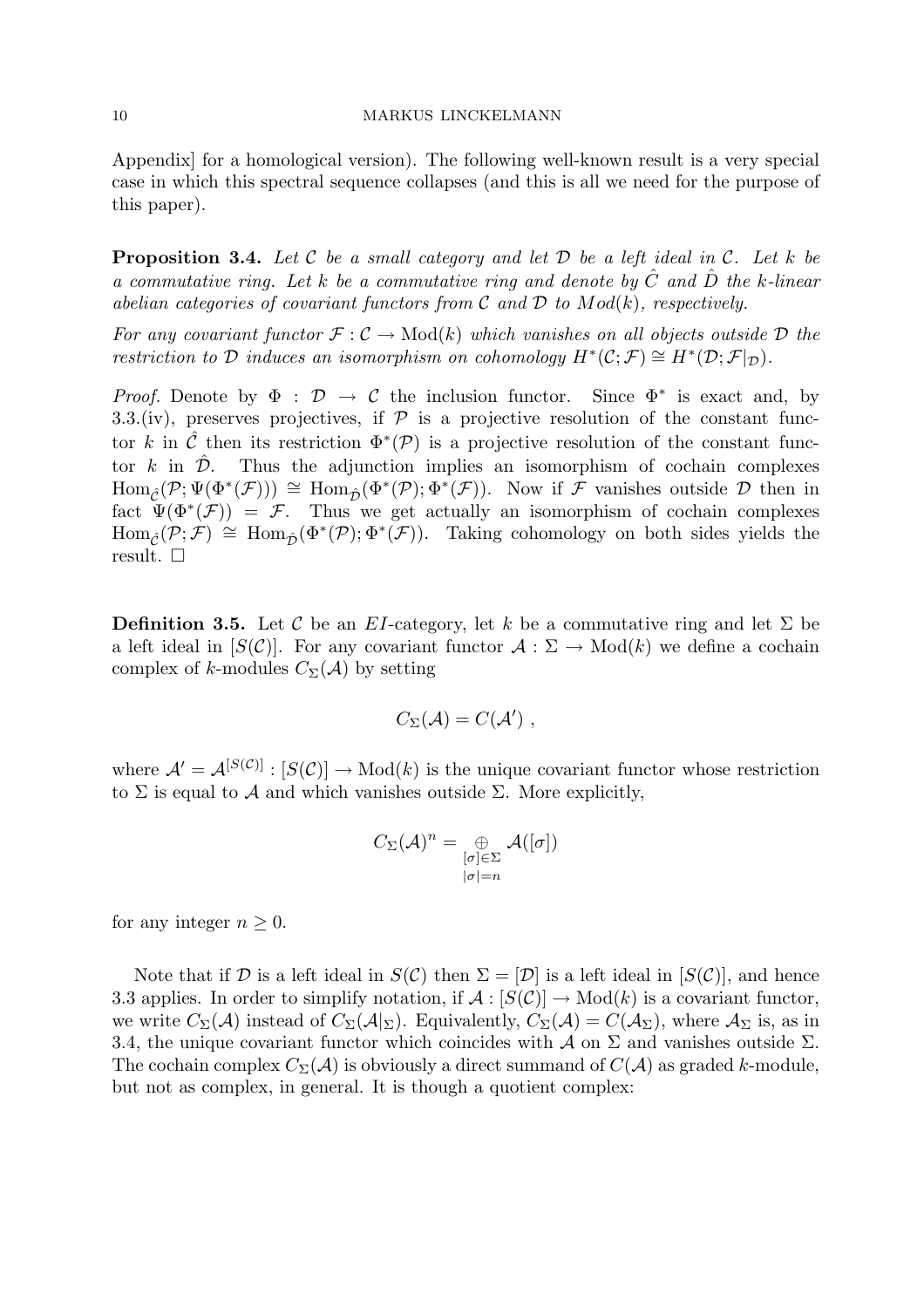Appendix] for a homological version). The following well-known result is a very special case in which this spectral sequence collapses (and this is all we need for the purpose of this paper).

**Proposition 3.4.** Let C be a small category and let D be a left ideal in C. Let k be a commutative ring. Let k be a commutative ring and denote by  $\hat{C}$  and  $\hat{D}$  the k-linear abelian categories of covariant functors from  $\mathcal C$  and  $\mathcal D$  to  $Mod(k)$ , respectively.

For any covariant functor  $\mathcal{F}: \mathcal{C} \to \text{Mod}(k)$  which vanishes on all objects outside  $\mathcal{D}$  the restriction to D induces an isomorphism on cohomology  $H^*(C; \mathcal{F}) \cong H^*(\mathcal{D}; \mathcal{F}|_{\mathcal{D}})$ .

*Proof.* Denote by  $\Phi : \mathcal{D} \to \mathcal{C}$  the inclusion functor. Since  $\Phi^*$  is exact and, by 3.3.(iv), preserves projectives, if  $P$  is a projective resolution of the constant functor k in  $\hat{\mathcal{C}}$  then its restriction  $\Phi^*(\mathcal{P})$  is a projective resolution of the constant functor k in  $\hat{\mathcal{D}}$ . Thus the adjunction implies an isomorphism of cochain complexes  $\text{Hom}_{\hat{\mathcal{C}}}(\mathcal{P}; \Psi(\Phi^*(\mathcal{F}))) \cong \text{Hom}_{\hat{\mathcal{D}}}(\Phi^*(\mathcal{P}); \Phi^*(\mathcal{F}))$ . Now if  $\mathcal F$  vanishes outside  $\mathcal D$  then in fact  $\Psi(\Phi^*(\mathcal{F})) = \mathcal{F}$ . Thus we get actually an isomorphism of cochain complexes  $\text{Hom}_{\hat{\mathcal{C}}}(\mathcal{P}; \mathcal{F}) \cong \text{Hom}_{\hat{\mathcal{D}}}(\Phi^*(\mathcal{P}); \Phi^*(\mathcal{F}))$ . Taking cohomology on both sides yields the result.  $\square$ 

**Definition 3.5.** Let C be an EI-category, let k be a commutative ring and let  $\Sigma$  be a left ideal in  $[S(\mathcal{C})]$ . For any covariant functor  $\mathcal{A} : \Sigma \to \text{Mod}(k)$  we define a cochain complex of k-modules  $C_{\Sigma}(\mathcal{A})$  by setting

$$
C_{\Sigma}(\mathcal{A})=C(\mathcal{A}'),
$$

where  $\mathcal{A}' = \mathcal{A}^{[S(\mathcal{C})]} : [S(\mathcal{C})] \to \text{Mod}(k)$  is the unique covariant functor whose restriction to  $\Sigma$  is equal to A and which vanishes outside  $\Sigma$ . More explicitly,

$$
C_{\Sigma}(\mathcal{A})^n = \bigoplus_{\substack{[\sigma] \in \Sigma \\ |\sigma| = n}} \mathcal{A}([\sigma])
$$

for any integer  $n \geq 0$ .

Note that if D is a left ideal in  $S(\mathcal{C})$  then  $\Sigma = [\mathcal{D}]$  is a left ideal in  $[S(\mathcal{C})]$ , and hence 3.3 applies. In order to simplify notation, if  $A : [S(\mathcal{C})] \to Mod(k)$  is a covariant functor, we write  $C_{\Sigma}(\mathcal{A})$  instead of  $C_{\Sigma}(\mathcal{A}|_{\Sigma})$ . Equivalently,  $C_{\Sigma}(\mathcal{A}) = C(\mathcal{A}_{\Sigma})$ , where  $\mathcal{A}_{\Sigma}$  is, as in 3.4, the unique covariant functor which coincides with A on  $\Sigma$  and vanishes outside  $\Sigma$ . The cochain complex  $C_{\Sigma}(\mathcal{A})$  is obviously a direct summand of  $C(\mathcal{A})$  as graded k-module, but not as complex, in general. It is though a quotient complex: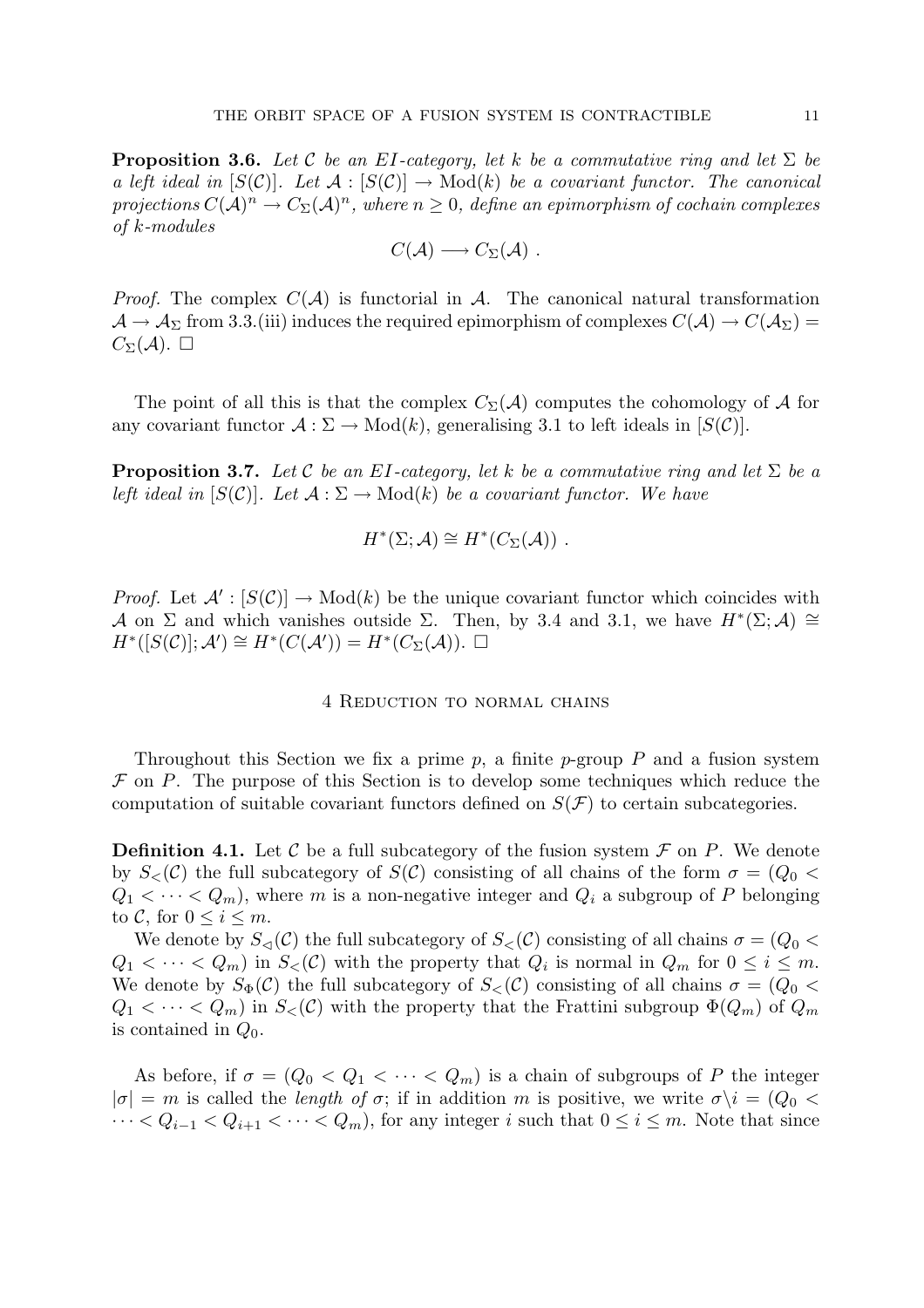**Proposition 3.6.** Let C be an EI-category, let k be a commutative ring and let  $\Sigma$  be a left ideal in  $[S(\mathcal{C})]$ . Let  $\mathcal{A}: [S(\mathcal{C})] \to \text{Mod}(k)$  be a covariant functor. The canonical projections  $C(\mathcal{A})^n \to C_\Sigma(\mathcal{A})^n$ , where  $n \geq 0$ , define an epimorphism of cochain complexes of k-modules

$$
C(\mathcal{A}) \longrightarrow C_{\Sigma}(\mathcal{A}) .
$$

*Proof.* The complex  $C(\mathcal{A})$  is functorial in  $\mathcal{A}$ . The canonical natural transformation  $\mathcal{A} \to \mathcal{A}_{\Sigma}$  from 3.3.(iii) induces the required epimorphism of complexes  $C(\mathcal{A}) \to C(\mathcal{A}_{\Sigma})$  $C_{\Sigma}(\mathcal{A}).\ \Box$ 

The point of all this is that the complex  $C_{\Sigma}(\mathcal{A})$  computes the cohomology of A for any covariant functor  $\mathcal{A} : \Sigma \to \text{Mod}(k)$ , generalising 3.1 to left ideals in  $[S(\mathcal{C})]$ .

**Proposition 3.7.** Let C be an EI-category, let k be a commutative ring and let  $\Sigma$  be a left ideal in  $[S(\mathcal{C})]$ . Let  $\mathcal{A} : \Sigma \to \text{Mod}(k)$  be a covariant functor. We have

$$
H^*(\Sigma; \mathcal{A}) \cong H^*(C_{\Sigma}(\mathcal{A})) \ .
$$

*Proof.* Let  $\mathcal{A}' : [S(\mathcal{C})] \to Mod(k)$  be the unique covariant functor which coincides with A on  $\Sigma$  and which vanishes outside  $\Sigma$ . Then, by 3.4 and 3.1, we have  $H^*(\Sigma;\mathcal{A})\cong$  $H^*([S(\mathcal{C})];\mathcal{A}') \cong H^*(C(\mathcal{A}')) = H^*(C_{\Sigma}(\mathcal{A}))$ .

#### 4 Reduction to normal chains

Throughout this Section we fix a prime  $p$ , a finite  $p$ -group  $P$  and a fusion system  $\mathcal F$  on P. The purpose of this Section is to develop some techniques which reduce the computation of suitable covariant functors defined on  $S(\mathcal{F})$  to certain subcategories.

**Definition 4.1.** Let C be a full subcategory of the fusion system  $\mathcal F$  on P. We denote by  $S<sub>0</sub>(\mathcal{C})$  the full subcategory of  $S(\mathcal{C})$  consisting of all chains of the form  $\sigma = (Q_0 <$  $Q_1 < \cdots < Q_m$ , where m is a non-negative integer and  $Q_i$  a subgroup of P belonging to C, for  $0 \leq i \leq m$ .

We denote by  $S_{\leq}(\mathcal{C})$  the full subcategory of  $S_{\leq}(\mathcal{C})$  consisting of all chains  $\sigma = (Q_0 \leq$  $Q_1 < \cdots < Q_m$  in  $S<sub>lt</sub>(\mathcal{C})$  with the property that  $Q_i$  is normal in  $Q_m$  for  $0 \leq i \leq m$ . We denote by  $S_{\Phi}(\mathcal{C})$  the full subcategory of  $S_{\leq}(\mathcal{C})$  consisting of all chains  $\sigma = (Q_0 \leq$  $Q_1 < \cdots < Q_m$  in  $S<sub>lt</sub>(\mathcal{C})$  with the property that the Frattini subgroup  $\Phi(Q_m)$  of  $Q_m$ is contained in  $Q_0$ .

As before, if  $\sigma = (Q_0 < Q_1 < \cdots < Q_m)$  is a chain of subgroups of P the integer  $|\sigma| = m$  is called the *length of*  $\sigma$ ; if in addition m is positive, we write  $\sigma \backslash i = (Q_0 <$  $\cdots < Q_{i-1} < Q_{i+1} < \cdots < Q_m$ , for any integer i such that  $0 \le i \le m$ . Note that since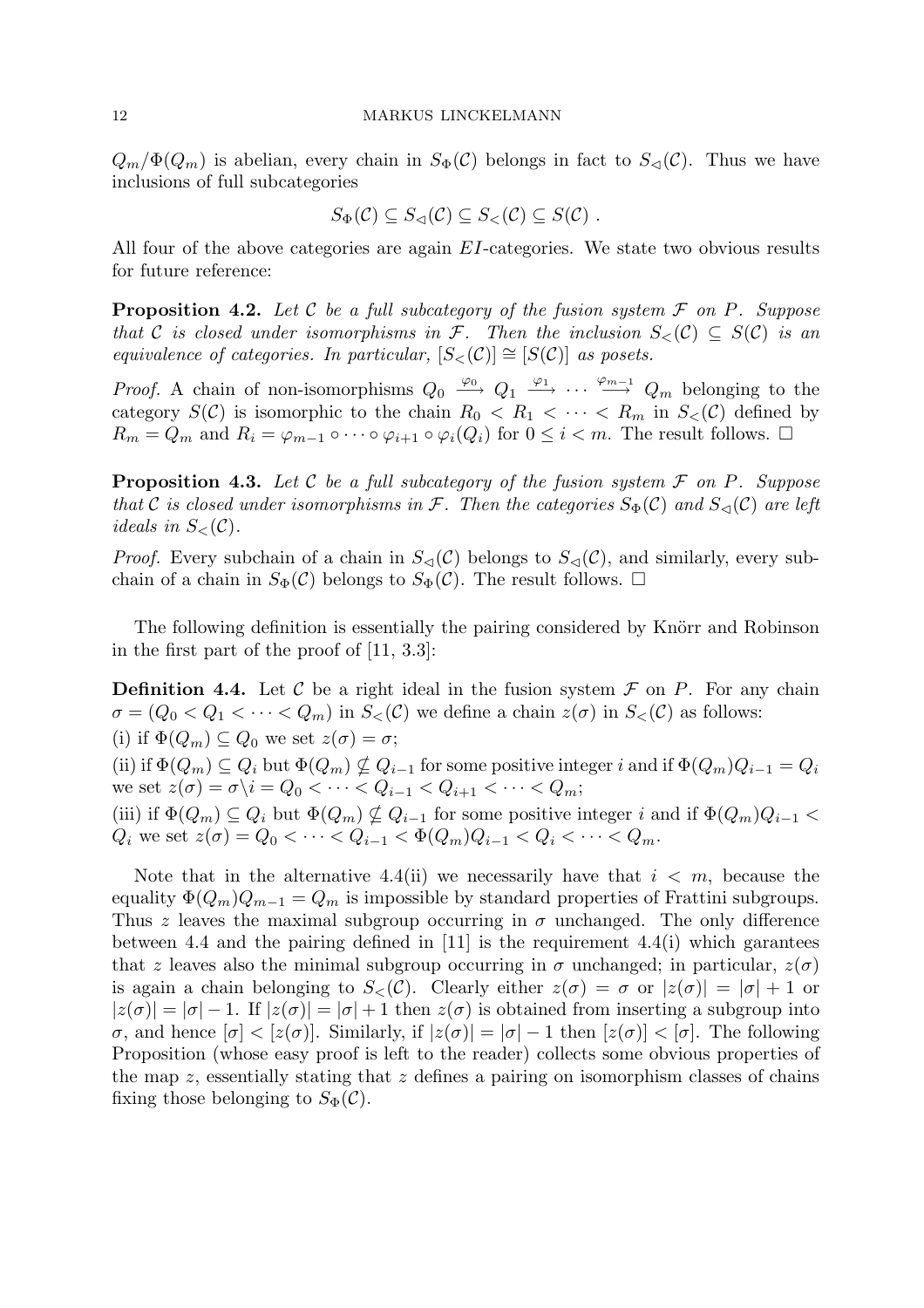$Q_m/\Phi(Q_m)$  is abelian, every chain in  $S_{\Phi}(\mathcal{C})$  belongs in fact to  $S_{\Phi}(\mathcal{C})$ . Thus we have inclusions of full subcategories

$$
S_{\Phi}(\mathcal{C}) \subseteq S_{\lhd}(\mathcal{C}) \subseteq S_{\leq}(\mathcal{C}) \subseteq S(\mathcal{C}) \ .
$$

All four of the above categories are again  $EI$ -categories. We state two obvious results for future reference:

**Proposition 4.2.** Let C be a full subcategory of the fusion system  $\mathcal F$  on P. Suppose that C is closed under isomorphisms in F. Then the inclusion  $S_{\leq}(\mathcal{C}) \subseteq S(\mathcal{C})$  is an equivalence of categories. In particular,  $[S_{\leq}(\mathcal{C})] \cong [S(\mathcal{C})]$  as posets.

*Proof.* A chain of non-isomorphisms  $Q_0 \stackrel{\varphi_0}{\longrightarrow} Q_1 \stackrel{\varphi_1}{\longrightarrow} \cdots \stackrel{\varphi_{m-1}}{\longrightarrow} Q_m$  belonging to the category  $S(\mathcal{C})$  is isomorphic to the chain  $R_0 < R_1 < \cdots < R_m$  in  $S_{\leq}(\mathcal{C})$  defined by  $R_m = Q_m$  and  $R_i = \varphi_{m-1} \circ \cdots \circ \varphi_{i+1} \circ \varphi_i(Q_i)$  for  $0 \leq i < m$ . The result follows.  $\Box$ 

**Proposition 4.3.** Let C be a full subcategory of the fusion system  $\mathcal F$  on  $P$ . Suppose that C is closed under isomorphisms in F. Then the categories  $S_{\Phi}(\mathcal{C})$  and  $S_{\leq}(\mathcal{C})$  are left ideals in  $S_{\leq}(\mathcal{C})$ .

*Proof.* Every subchain of a chain in  $S_{\lhd}(\mathcal{C})$  belongs to  $S_{\lhd}(\mathcal{C})$ , and similarly, every subchain of a chain in  $S_{\Phi}(\mathcal{C})$  belongs to  $S_{\Phi}(\mathcal{C})$ . The result follows.  $\square$ 

The following definition is essentially the pairing considered by Knörr and Robinson in the first part of the proof of [11, 3.3]:

**Definition 4.4.** Let  $\mathcal C$  be a right ideal in the fusion system  $\mathcal F$  on  $P$ . For any chain  $\sigma = (Q_0 < Q_1 < \cdots < Q_m)$  in  $S<sub>lt</sub>(\mathcal{C})$  we define a chain  $z(\sigma)$  in  $S<sub>lt</sub>(\mathcal{C})$  as follows: (i) if  $\Phi(Q_m) \subseteq Q_0$  we set  $z(\sigma) = \sigma$ ; (ii) if  $\Phi(Q_m) \subseteq Q_i$  but  $\Phi(Q_m) \nsubseteq Q_{i-1}$  for some positive integer i and if  $\Phi(Q_m)Q_{i-1} = Q_i$ 

we set  $z(\sigma) = \sigma \backslash i = Q_0 < \cdots < Q_{i-1} < Q_{i+1} < \cdots < Q_m;$ (iii) if  $\Phi(Q_m) \subseteq Q_i$  but  $\Phi(Q_m) \nsubseteq Q_{i-1}$  for some positive integer i and if  $\Phi(Q_m)Q_{i-1}$  $Q_i$  we set  $z(\sigma) = Q_0 < \cdots < Q_{i-1} < \Phi(Q_m)Q_{i-1} < Q_i < \cdots < Q_m$ .

Note that in the alternative 4.4(ii) we necessarily have that  $i < m$ , because the equality  $\Phi(Q_m)Q_{m-1} = Q_m$  is impossible by standard properties of Frattini subgroups. Thus z leaves the maximal subgroup occurring in  $\sigma$  unchanged. The only difference between 4.4 and the pairing defined in [11] is the requirement  $4.4(i)$  which garantees that z leaves also the minimal subgroup occurring in  $\sigma$  unchanged; in particular,  $z(\sigma)$ is again a chain belonging to  $S<sub>lt</sub>(\mathcal{C})$ . Clearly either  $z(\sigma) = \sigma$  or  $|z(\sigma)| = |\sigma| + 1$  or  $|z(\sigma)| = |\sigma| - 1$ . If  $|z(\sigma)| = |\sigma| + 1$  then  $z(\sigma)$  is obtained from inserting a subgroup into σ, and hence [σ] < [z(σ)]. Similarly, if |z(σ)| = |σ| − 1 then [z(σ)] < [σ]. The following Proposition (whose easy proof is left to the reader) collects some obvious properties of the map  $z$ , essentially stating that  $z$  defines a pairing on isomorphism classes of chains fixing those belonging to  $S_{\Phi}(\mathcal{C})$ .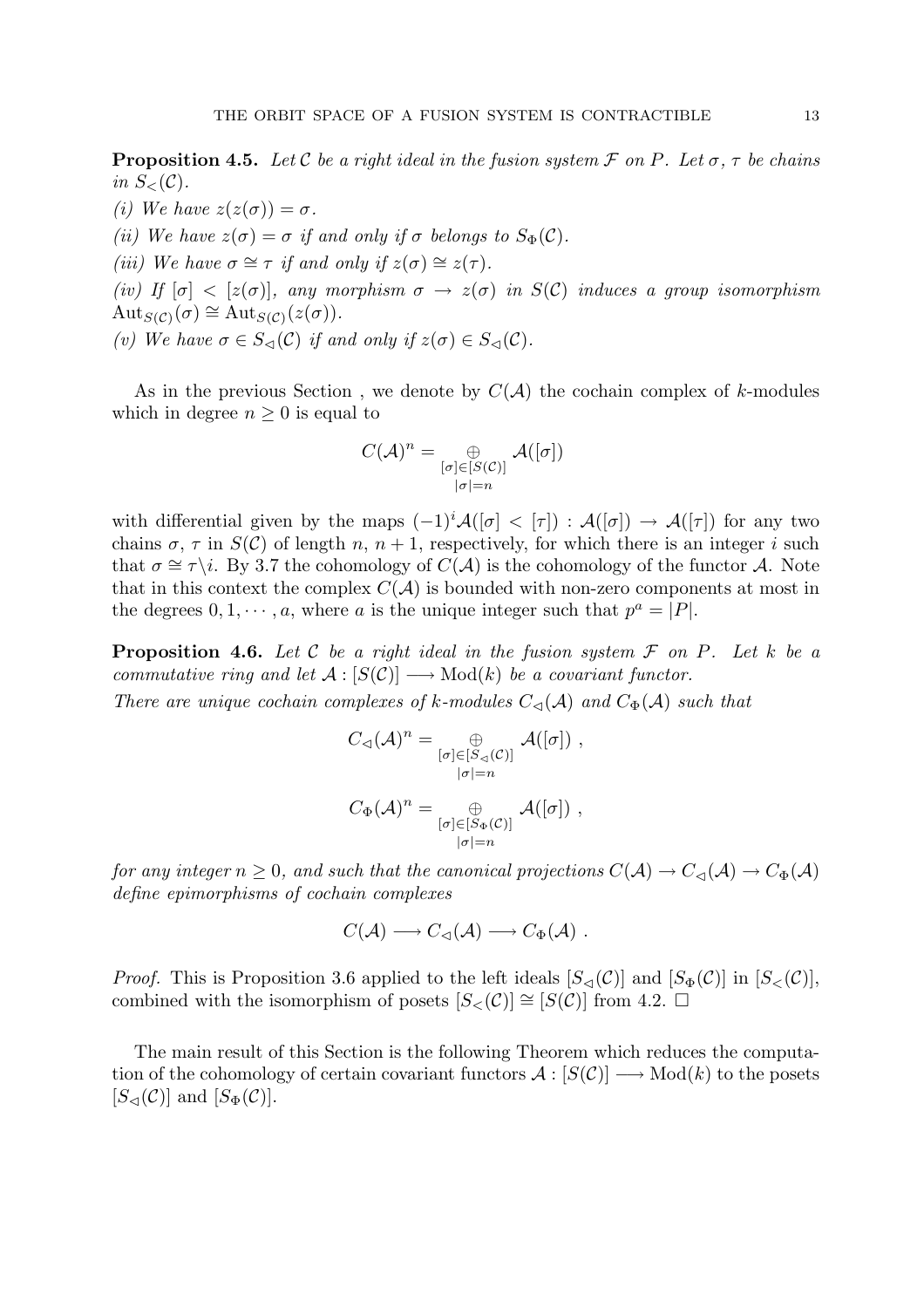**Proposition 4.5.** Let C be a right ideal in the fusion system F on P. Let  $\sigma$ ,  $\tau$  be chains in  $S_{\leq}(\mathcal{C})$ .

(i) We have  $z(z(\sigma)) = \sigma$ . (ii) We have  $z(\sigma) = \sigma$  if and only if  $\sigma$  belongs to  $S_{\Phi}(\mathcal{C})$ . (iii) We have  $\sigma \cong \tau$  if and only if  $z(\sigma) \cong z(\tau)$ . (iv) If  $[\sigma] < [z(\sigma)]$ , any morphism  $\sigma \to z(\sigma)$  in  $S(\mathcal{C})$  induces a group isomorphism  $\mathrm{Aut}_{S(\mathcal{C})}(\sigma) \cong \mathrm{Aut}_{S(\mathcal{C})}(z(\sigma)).$ (v) We have  $\sigma \in S_{\leq 1}(\mathcal{C})$  if and only if  $z(\sigma) \in S_{\leq 1}(\mathcal{C})$ .

As in the previous Section, we denote by  $C(\mathcal{A})$  the cochain complex of k-modules which in degree  $n \geq 0$  is equal to

$$
C(\mathcal{A})^n = \bigoplus_{\substack{[\sigma] \in [S(\mathcal{C})] \\ |\sigma| = n}} \mathcal{A}([\sigma])
$$

with differential given by the maps  $(-1)^i \mathcal{A}([\sigma] < [\tau]) : \mathcal{A}([\sigma]) \to \mathcal{A}([\tau])$  for any two chains  $\sigma$ ,  $\tau$  in  $S(\mathcal{C})$  of length n,  $n + 1$ , respectively, for which there is an integer i such that  $\sigma \cong \tau \backslash i$ . By 3.7 the cohomology of  $C(\mathcal{A})$  is the cohomology of the functor  $\mathcal{A}$ . Note that in this context the complex  $C(\mathcal{A})$  is bounded with non-zero components at most in the degrees  $0, 1, \dots, a$ , where a is the unique integer such that  $p^a = |P|$ .

**Proposition 4.6.** Let C be a right ideal in the fusion system  $\mathcal F$  on P. Let k be a commutative ring and let  $\mathcal{A}: [S(\mathcal{C})] \longrightarrow \text{Mod}(k)$  be a covariant functor. There are unique cochain complexes of k-modules  $C_{\leq}(\mathcal{A})$  and  $C_{\Phi}(\mathcal{A})$  such that

$$
C_{\lhd}(\mathcal{A})^n = \bigoplus_{\substack{[\sigma] \in [S_{\lhd}(\mathcal{C})] \\ |\sigma| = n}} \mathcal{A}([\sigma]) ,
$$

$$
C_{\Phi}(\mathcal{A})^n = \bigoplus_{\substack{[\sigma] \in [S_{\Phi}(\mathcal{C})] \\ |\sigma| = n}} \mathcal{A}([\sigma]) ,
$$

for any integer  $n \geq 0$ , and such that the canonical projections  $C(A) \to C_{\mathcal{A}}(A) \to C_{\Phi}(A)$ define epimorphisms of cochain complexes

$$
C(\mathcal{A}) \longrightarrow C_{\mathcal{A}}(\mathcal{A}) \longrightarrow C_{\Phi}(\mathcal{A}) .
$$

*Proof.* This is Proposition 3.6 applied to the left ideals  $[S_{\leq}(\mathcal{C})]$  and  $[S_{\Phi}(\mathcal{C})]$  in  $[S_{\leq}(\mathcal{C})]$ , combined with the isomorphism of posets  $[S<sub>lt</sub>(\mathcal{C})] \cong [S(\mathcal{C})]$  from 4.2. □

The main result of this Section is the following Theorem which reduces the computation of the cohomology of certain covariant functors  $\mathcal{A}: [S(\mathcal{C})] \longrightarrow \text{Mod}(k)$  to the posets  $[S_{\leq}(\mathcal{C})]$  and  $[S_{\Phi}(\mathcal{C})]$ .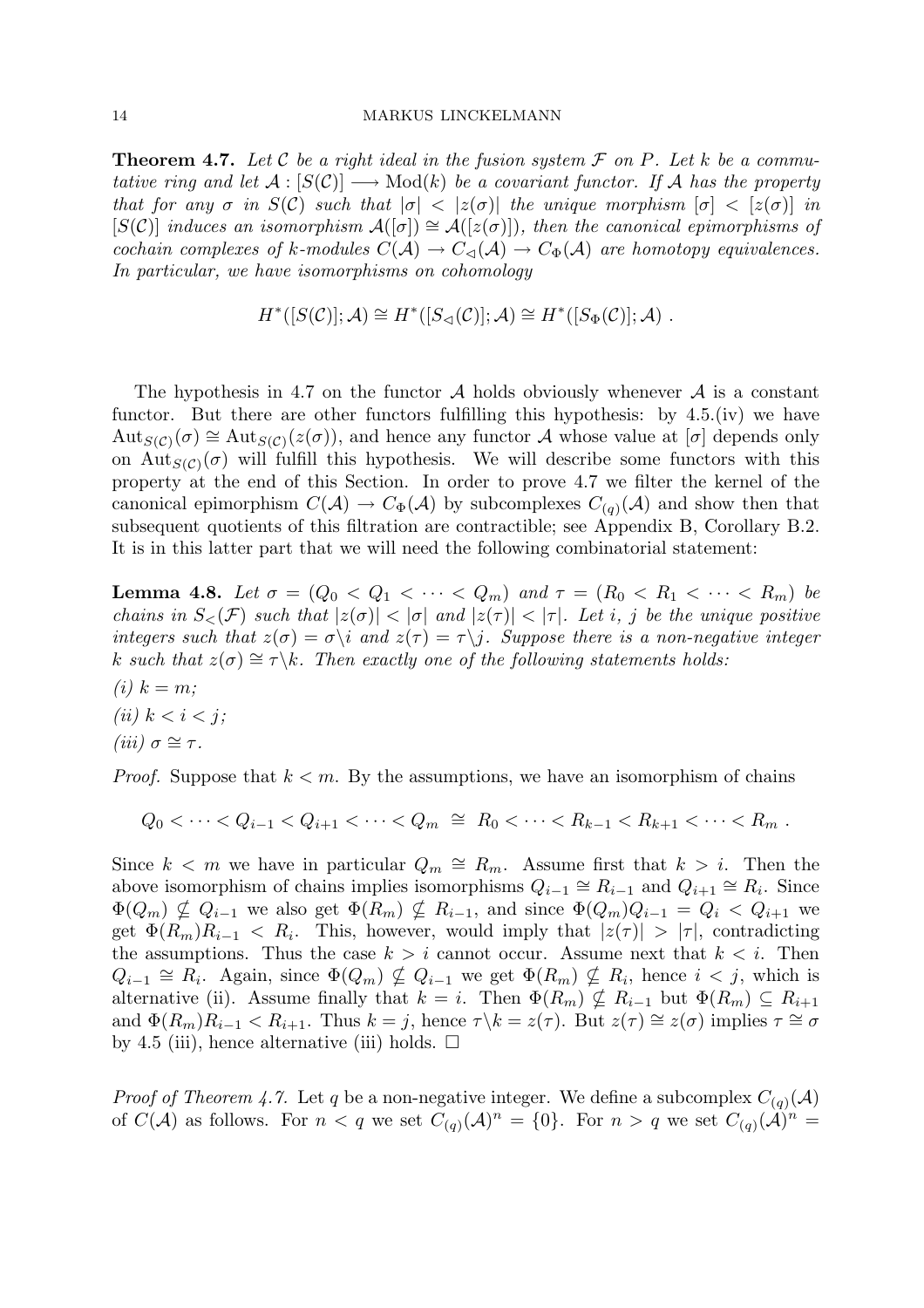**Theorem 4.7.** Let C be a right ideal in the fusion system  $\mathcal F$  on P. Let k be a commutative ring and let  $\mathcal{A}: [S(\mathcal{C})] \longrightarrow \text{Mod}(k)$  be a covariant functor. If A has the property that for any  $\sigma$  in  $S(\mathcal{C})$  such that  $|\sigma| < |z(\sigma)|$  the unique morphism  $|\sigma| < |z(\sigma)|$  in  $[S(\mathcal{C})]$  induces an isomorphism  $\mathcal{A}([\sigma]) \cong \mathcal{A}([z(\sigma)])$ , then the canonical epimorphisms of cochain complexes of k-modules  $C(\mathcal{A}) \to C_{\mathcal{A}}(\mathcal{A}) \to C_{\Phi}(\mathcal{A})$  are homotopy equivalences. In particular, we have isomorphisms on cohomology

$$
H^*([S(\mathcal{C})];\mathcal{A}) \cong H^*([S_{\lhd}(\mathcal{C})];\mathcal{A}) \cong H^*([S_{\Phi}(\mathcal{C})];\mathcal{A}) .
$$

The hypothesis in 4.7 on the functor  $A$  holds obviously whenever  $A$  is a constant functor. But there are other functors fulfilling this hypothesis: by 4.5.(iv) we have  $\text{Aut}_{S(\mathcal{C})}(\sigma) \cong \text{Aut}_{S(\mathcal{C})}(z(\sigma))$ , and hence any functor A whose value at  $[\sigma]$  depends only on Aut<sub>S(C)</sub>( $\sigma$ ) will fulfill this hypothesis. We will describe some functors with this property at the end of this Section. In order to prove 4.7 we filter the kernel of the canonical epimorphism  $C(\mathcal{A}) \to C_{\Phi}(\mathcal{A})$  by subcomplexes  $C_{(q)}(\mathcal{A})$  and show then that subsequent quotients of this filtration are contractible; see Appendix B, Corollary B.2. It is in this latter part that we will need the following combinatorial statement:

**Lemma 4.8.** Let  $\sigma = (Q_0 < Q_1 < \cdots < Q_m)$  and  $\tau = (R_0 < R_1 < \cdots < R_m)$  be chains in  $S_{\leq}(\mathcal{F})$  such that  $|z(\sigma)| < |\sigma|$  and  $|z(\tau)| < |\tau|$ . Let i, j be the unique positive integers such that  $z(\sigma) = \sigma \backslash i$  and  $z(\tau) = \tau \backslash i$ . Suppose there is a non-negative integer k such that  $z(\sigma) \cong \tau \backslash k$ . Then exactly one of the following statements holds:  $(i)$   $k = m$ ; (ii)  $k < i < j$ ;

(iii)  $\sigma \cong \tau$ .

*Proof.* Suppose that  $k < m$ . By the assumptions, we have an isomorphism of chains

$$
Q_0 < \cdots < Q_{i-1} < Q_{i+1} < \cdots < Q_m \cong R_0 < \cdots < R_{k-1} < R_{k+1} < \cdots < R_m.
$$

Since  $k < m$  we have in particular  $Q_m \cong R_m$ . Assume first that  $k > i$ . Then the above isomorphism of chains implies isomorphisms  $Q_{i-1} \cong R_{i-1}$  and  $Q_{i+1} \cong R_i$ . Since  $\Phi(Q_m) \nsubseteq Q_{i-1}$  we also get  $\Phi(R_m) \nsubseteq R_{i-1}$ , and since  $\Phi(Q_m)Q_{i-1} = Q_i < Q_{i+1}$  we get  $\Phi(R_m)R_{i-1} < R_i$ . This, however, would imply that  $|z(\tau)| > |\tau|$ , contradicting the assumptions. Thus the case  $k > i$  cannot occur. Assume next that  $k < i$ . Then  $Q_{i-1} \cong R_i$ . Again, since  $\Phi(Q_m) \nsubseteq Q_{i-1}$  we get  $\Phi(R_m) \nsubseteq R_i$ , hence  $i < j$ , which is alternative (ii). Assume finally that  $k = i$ . Then  $\Phi(R_m) \nsubseteq R_{i-1}$  but  $\Phi(R_m) \subseteq R_{i+1}$ and  $\Phi(R_m)R_{i-1} < R_{i+1}$ . Thus  $k = j$ , hence  $\tau \backslash k = z(\tau)$ . But  $z(\tau) \cong z(\sigma)$  implies  $\tau \cong \sigma$ by 4.5 (iii), hence alternative (iii) holds.  $\Box$ 

*Proof of Theorem 4.7.* Let q be a non-negative integer. We define a subcomplex  $C_{(q)}(\mathcal{A})$ of  $C(\mathcal{A})$  as follows. For  $n < q$  we set  $C_{(q)}(\mathcal{A})^n = \{0\}$ . For  $n > q$  we set  $C_{(q)}(\widetilde{\mathcal{A}})^n =$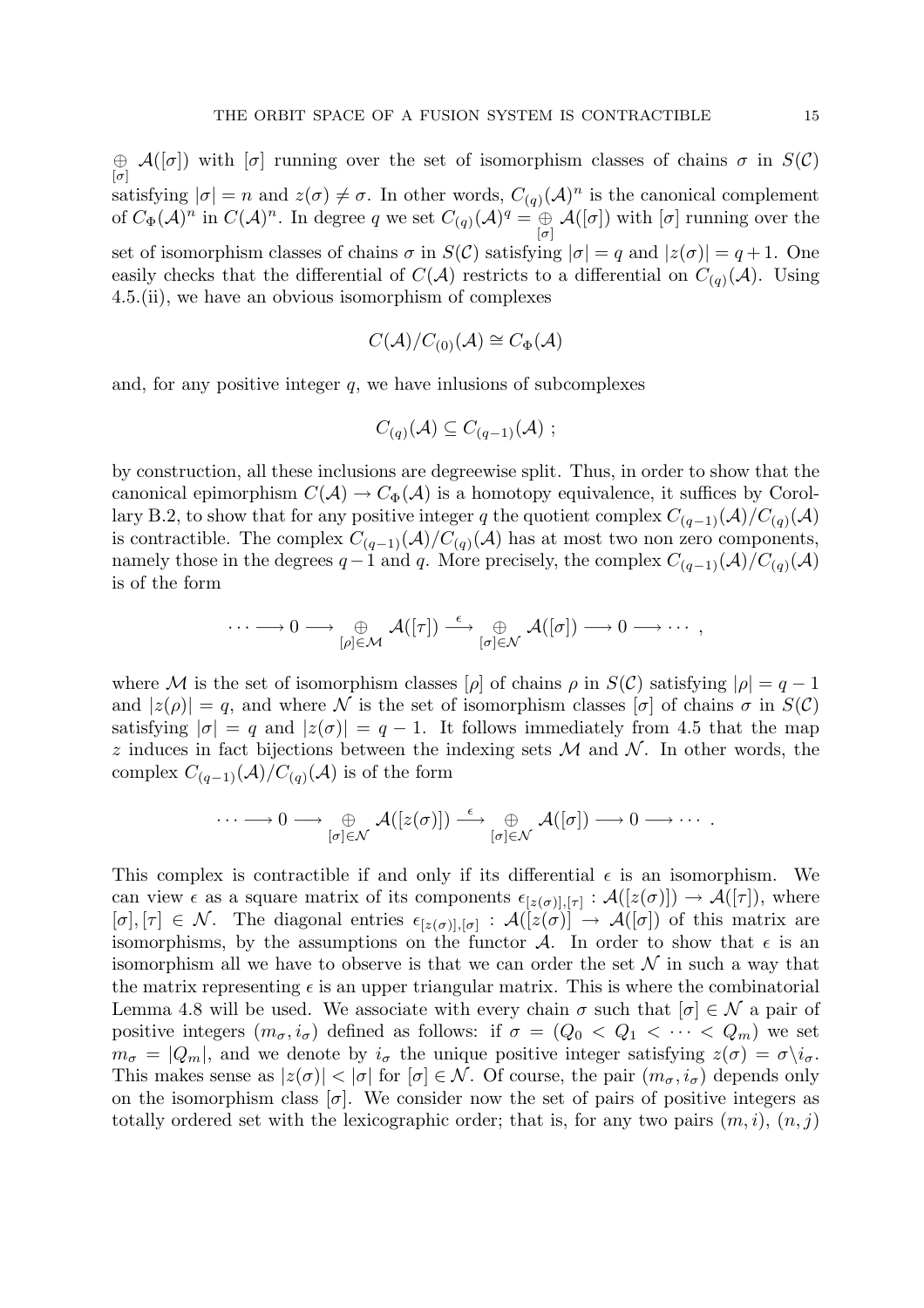$\oplus$   $\mathcal{A}([\sigma])$  with  $[\sigma]$  running over the set of isomorphism classes of chains  $\sigma$  in  $S(\mathcal{C})$  $\lceil \sigma \rceil$ satisfying  $|\sigma| = n$  and  $z(\sigma) \neq \sigma$ . In other words,  $C_{(q)}(\mathcal{A})^n$  is the canonical complement of  $C_{\Phi}(\mathcal{A})^n$  in  $C(\mathcal{A})^n$ . In degree q we set  $C_{(q)}(\mathcal{A})^q = \bigoplus_{\alpha=1}^{\infty}$  $[\sigma]$  $\mathcal{A}([\sigma])$  with  $[\sigma]$  running over the set of isomorphism classes of chains  $\sigma$  in  $S(\mathcal{C})$  satisfying  $|\sigma| = q$  and  $|z(\sigma)| = q + 1$ . One easily checks that the differential of  $C(\mathcal{A})$  restricts to a differential on  $C_{(q)}(\mathcal{A})$ . Using 4.5.(ii), we have an obvious isomorphism of complexes

$$
C(\mathcal{A})/C_{(0)}(\mathcal{A}) \cong C_{\Phi}(\mathcal{A})
$$

and, for any positive integer  $q$ , we have inlusions of subcomplexes

$$
C_{(q)}(\mathcal{A}) \subseteq C_{(q-1)}(\mathcal{A}) ;
$$

by construction, all these inclusions are degreewise split. Thus, in order to show that the canonical epimorphism  $C(\mathcal{A}) \to C_{\Phi}(\mathcal{A})$  is a homotopy equivalence, it suffices by Corollary B.2, to show that for any positive integer q the quotient complex  $C_{(q-1)}(\mathcal{A})/C_{(q)}(\mathcal{A})$ is contractible. The complex  $C_{(q-1)}(\mathcal{A})/C_{(q)}(\mathcal{A})$  has at most two non zero components, namely those in the degrees  $q-1$  and q. More precisely, the complex  $C_{(q-1)}(\mathcal{A})/C_{(q)}(\mathcal{A})$ is of the form

$$
\cdots \longrightarrow 0 \longrightarrow \underset{[\rho]\in \mathcal{M}}{\oplus} \mathcal{A}([\tau]) \stackrel{\epsilon}{\longrightarrow} \underset{[\sigma]\in \mathcal{N}}{\oplus} \mathcal{A}([\sigma]) \longrightarrow 0 \longrightarrow \cdots,
$$

where M is the set of isomorphism classes  $[\rho]$  of chains  $\rho$  in  $S(\mathcal{C})$  satisfying  $|\rho| = q - 1$ and  $|z(\rho)| = q$ , and where N is the set of isomorphism classes  $|\sigma|$  of chains  $\sigma$  in  $S(\mathcal{C})$ satisfying  $|\sigma| = q$  and  $|z(\sigma)| = q - 1$ . It follows immediately from 4.5 that the map z induces in fact bijections between the indexing sets  $\mathcal M$  and  $\mathcal N$ . In other words, the complex  $C_{(q-1)}(\mathcal{A})/C_{(q)}(\mathcal{A})$  is of the form

$$
\cdots \longrightarrow 0 \longrightarrow \underset{[\sigma]\in\mathcal{N}}{\oplus} \mathcal{A}([z(\sigma)]) \stackrel{\epsilon}{\longrightarrow} \underset{[\sigma]\in\mathcal{N}}{\oplus} \mathcal{A}([\sigma]) \longrightarrow 0 \longrightarrow \cdots.
$$

This complex is contractible if and only if its differential  $\epsilon$  is an isomorphism. We can view  $\epsilon$  as a square matrix of its components  $\epsilon_{[z(\sigma)],[\tau]} : \mathcal{A}([z(\sigma)]) \to \mathcal{A}([\tau]),$  where  $[\sigma], [\tau] \in \mathcal{N}$ . The diagonal entries  $\epsilon_{[z(\sigma)], [\sigma]} : \mathcal{A}([z(\sigma)] \to \mathcal{A}([\sigma])$  of this matrix are isomorphisms, by the assumptions on the functor A. In order to show that  $\epsilon$  is an isomorphism all we have to observe is that we can order the set  $\mathcal N$  in such a way that the matrix representing  $\epsilon$  is an upper triangular matrix. This is where the combinatorial Lemma 4.8 will be used. We associate with every chain  $\sigma$  such that  $[\sigma] \in \mathcal{N}$  a pair of positive integers  $(m_{\sigma}, i_{\sigma})$  defined as follows: if  $\sigma = (Q_0 \langle Q_1 \langle \cdots \langle Q_m \rangle)$  we set  $m_{\sigma} = |Q_m|$ , and we denote by  $i_{\sigma}$  the unique positive integer satisfying  $z(\sigma) = \sigma \backslash i_{\sigma}$ . This makes sense as  $|z(\sigma)| < |\sigma|$  for  $[\sigma] \in \mathcal{N}$ . Of course, the pair  $(m_{\sigma}, i_{\sigma})$  depends only on the isomorphism class  $[\sigma]$ . We consider now the set of pairs of positive integers as totally ordered set with the lexicographic order; that is, for any two pairs  $(m, i)$ ,  $(n, j)$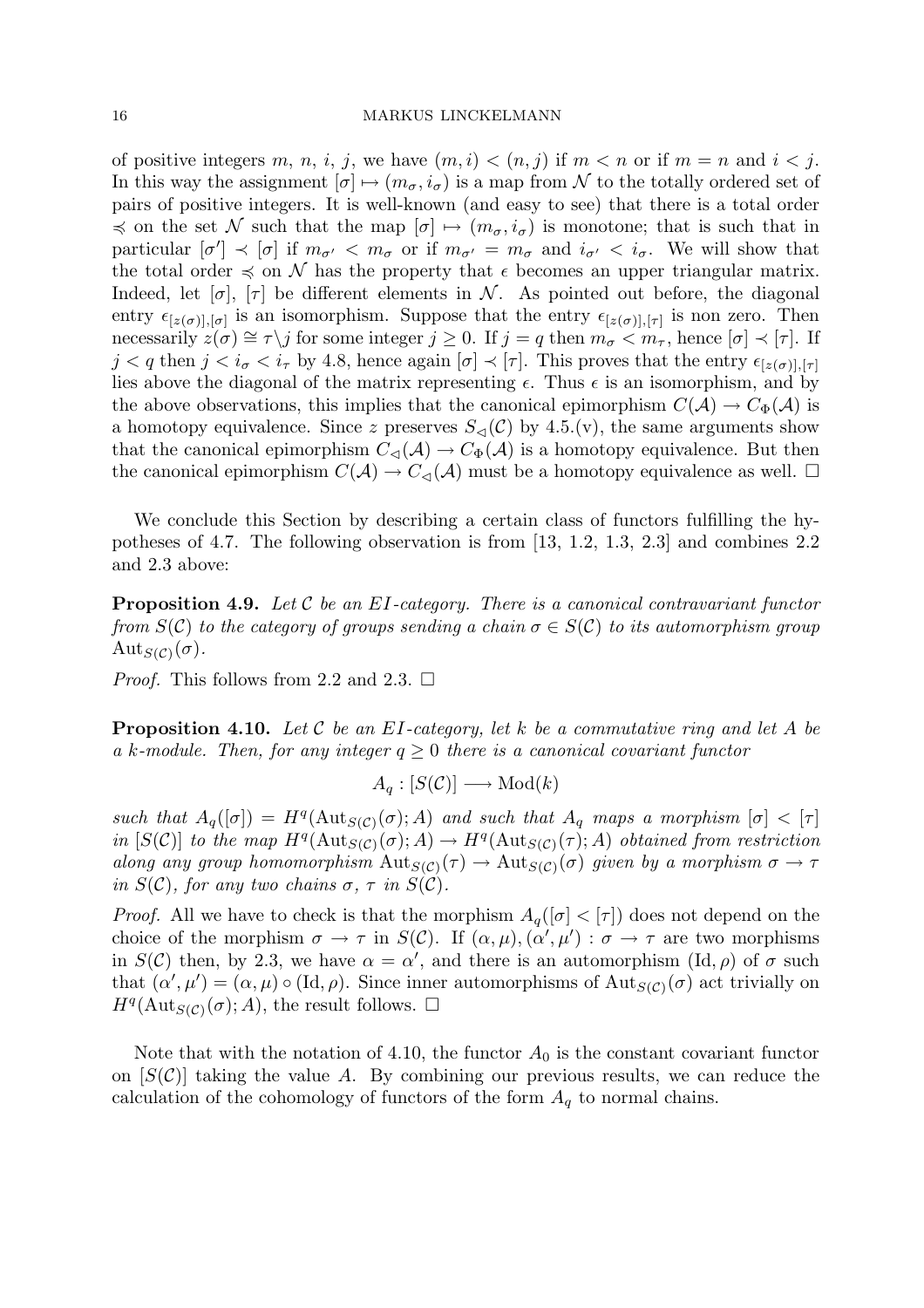of positive integers m, n, i, j, we have  $(m, i) < (n, j)$  if  $m < n$  or if  $m = n$  and  $i < j$ . In this way the assignment  $[\sigma] \mapsto (m_{\sigma}, i_{\sigma})$  is a map from N to the totally ordered set of pairs of positive integers. It is well-known (and easy to see) that there is a total order  $\preccurlyeq$  on the set N such that the map  $[\sigma] \mapsto (m_{\sigma}, i_{\sigma})$  is monotone; that is such that in particular  $[\sigma'] \prec [\sigma]$  if  $m_{\sigma'} < m_{\sigma}$  or if  $m_{\sigma'} = m_{\sigma}$  and  $i_{\sigma'} < i_{\sigma}$ . We will show that the total order  $\preccurlyeq$  on N has the property that  $\epsilon$  becomes an upper triangular matrix. Indeed, let  $[\sigma]$ ,  $[\tau]$  be different elements in N. As pointed out before, the diagonal entry  $\epsilon_{[z(\sigma)],[\sigma]}$  is an isomorphism. Suppose that the entry  $\epsilon_{[z(\sigma)],[\tau]}$  is non zero. Then necessarily  $z(\sigma) \cong \tau \setminus j$  for some integer  $j \geq 0$ . If  $j = q$  then  $m_{\sigma} < m_{\tau}$ , hence  $[\sigma] \prec [\tau]$ . If  $j < q$  then  $j < i_{\sigma} < i_{\tau}$  by 4.8, hence again  $[\sigma] \prec [\tau]$ . This proves that the entry  $\epsilon_{[z(\sigma)],[\tau]}$ lies above the diagonal of the matrix representing  $\epsilon$ . Thus  $\epsilon$  is an isomorphism, and by the above observations, this implies that the canonical epimorphism  $C(\mathcal{A}) \to C_{\Phi}(\mathcal{A})$  is a homotopy equivalence. Since z preserves  $S_{\leq}(\mathcal{C})$  by 4.5.(v), the same arguments show that the canonical epimorphism  $C_{\mathcal{A}}(\mathcal{A}) \to C_{\Phi}(\mathcal{A})$  is a homotopy equivalence. But then the canonical epimorphism  $C(\mathcal{A}) \to C_{\mathcal{A}}(\mathcal{A})$  must be a homotopy equivalence as well.  $\square$ 

We conclude this Section by describing a certain class of functors fulfilling the hypotheses of 4.7. The following observation is from [13, 1.2, 1.3, 2.3] and combines 2.2 and 2.3 above:

**Proposition 4.9.** Let C be an EI-category. There is a canonical contravariant functor from  $S(\mathcal{C})$  to the category of groups sending a chain  $\sigma \in S(\mathcal{C})$  to its automorphism group Aut<sub>S(C)</sub>( $\sigma$ ).

*Proof.* This follows from 2.2 and 2.3.  $\Box$ 

**Proposition 4.10.** Let C be an EI-category, let k be a commutative ring and let A be a k-module. Then, for any integer  $q \geq 0$  there is a canonical covariant functor

$$
A_q: [S(\mathcal{C})] \longrightarrow \text{Mod}(k)
$$

such that  $A_q([\sigma]) = H^q(\text{Aut}_{S(\mathcal{C})}(\sigma); A)$  and such that  $A_q$  maps a morphism  $[\sigma] < [\tau]$ in  $[S(\mathcal{C})]$  to the map  $H^q(\text{Aut}_{S(\mathcal{C})}(\sigma); A) \to H^q(\text{Aut}_{S(\mathcal{C})}(\tau); A)$  obtained from restriction along any group homomorphism  ${\rm Aut}_{S(\mathcal{C})}(\tau) \to {\rm Aut}_{S(\mathcal{C})}(\sigma)$  given by a morphism  $\sigma \to \tau$ in  $S(\mathcal{C})$ , for any two chains  $\sigma$ ,  $\tau$  in  $S(\mathcal{C})$ .

*Proof.* All we have to check is that the morphism  $A_q([\sigma] < [\tau])$  does not depend on the choice of the morphism  $\sigma \to \tau$  in  $S(\mathcal{C})$ . If  $(\alpha, \mu), (\alpha', \mu') : \sigma \to \tau$  are two morphisms in  $S(\mathcal{C})$  then, by 2.3, we have  $\alpha = \alpha'$ , and there is an automorphism  $(\mathrm{Id}, \rho)$  of  $\sigma$  such that  $(\alpha', \mu') = (\alpha, \mu) \circ (Id, \rho)$ . Since inner automorphisms of  $Aut_{S(\mathcal{C})}(\sigma)$  act trivially on  $H^q(\text{Aut}_{S(\mathcal{C})}(\sigma); A)$ , the result follows.  $\square$ 

Note that with the notation of 4.10, the functor  $A_0$  is the constant covariant functor on  $[S(\mathcal{C})]$  taking the value A. By combining our previous results, we can reduce the calculation of the cohomology of functors of the form  $A<sub>q</sub>$  to normal chains.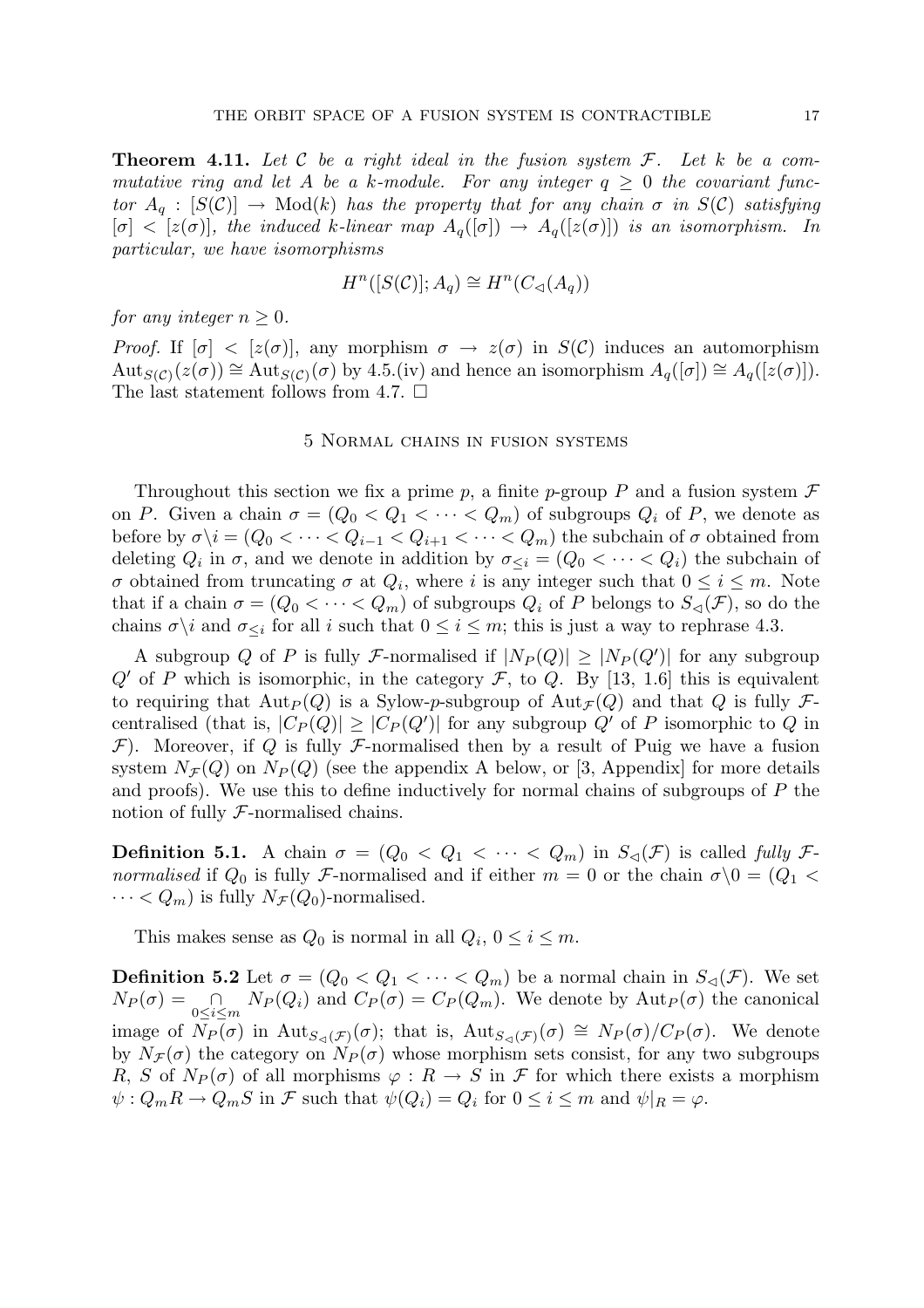**Theorem 4.11.** Let C be a right ideal in the fusion system  $F$ . Let k be a commutative ring and let A be a k-module. For any integer  $q > 0$  the covariant functor  $A_q : [S(\mathcal{C})] \to \text{Mod}(k)$  has the property that for any chain  $\sigma$  in  $S(\mathcal{C})$  satisfying  $[\sigma] < [z(\sigma)]$ , the induced k-linear map  $A_q([\sigma]) \to A_q([z(\sigma)])$  is an isomorphism. In particular, we have isomorphisms

$$
H^n([S(\mathcal{C})]; A_q) \cong H^n(C_\lhd(A_q))
$$

for any integer  $n > 0$ .

Proof. If  $[\sigma] < [z(\sigma)]$ , any morphism  $\sigma \to z(\sigma)$  in  $S(\mathcal{C})$  induces an automorphism  $\text{Aut}_{S(\mathcal{C})}(z(\sigma)) \cong \text{Aut}_{S(\mathcal{C})}(\sigma)$  by 4.5.(iv) and hence an isomorphism  $A_q([\sigma]) \cong A_q([z(\sigma])$ . The last statement follows from 4.7.  $\Box$ 

# 5 Normal chains in fusion systems

Throughout this section we fix a prime p, a finite p-group P and a fusion system  $\mathcal F$ on P. Given a chain  $\sigma = (Q_0 < Q_1 < \cdots < Q_m)$  of subgroups  $Q_i$  of P, we denote as before by  $\sigma\backslash i = (Q_0 < \cdots < Q_{i-1} < Q_{i+1} < \cdots < Q_m)$  the subchain of  $\sigma$  obtained from deleting  $Q_i$  in  $\sigma$ , and we denote in addition by  $\sigma_{\leq i} = (Q_0 \lt \cdots \lt Q_i)$  the subchain of σ obtained from truncating σ at  $Q_i$ , where i is any integer such that  $0 \le i \le m$ . Note that if a chain  $\sigma = (Q_0 < \cdots < Q_m)$  of subgroups  $Q_i$  of P belongs to  $S_{\lhd}(\mathcal{F})$ , so do the chains  $\sigma \backslash i$  and  $\sigma_{\leq i}$  for all i such that  $0 \leq i \leq m$ ; this is just a way to rephrase 4.3.

A subgroup Q of P is fully F-normalised if  $|N_P(Q)| \geq |N_P(Q')|$  for any subgroup  $Q'$  of P which is isomorphic, in the category  $\mathcal F$ , to  $Q$ . By [13, 1.6] this is equivalent to requiring that  $\text{Aut}_P(Q)$  is a Sylow-p-subgroup of  $\text{Aut}_{\mathcal{F}}(Q)$  and that Q is fully Fcentralised (that is,  $|C_P(Q)| \geq |C_P(Q')|$  for any subgroup  $Q'$  of P isomorphic to Q in  $\mathcal F$ ). Moreover, if Q is fully  $\mathcal F$ -normalised then by a result of Puig we have a fusion system  $N_{\mathcal{F}}(Q)$  on  $N_{P}(Q)$  (see the appendix A below, or [3, Appendix] for more details and proofs). We use this to define inductively for normal chains of subgroups of  $P$  the notion of fully  $F$ -normalised chains.

**Definition 5.1.** A chain  $\sigma = (Q_0 < Q_1 < \cdots < Q_m)$  in  $S_{\lhd}(\mathcal{F})$  is called fully  $\mathcal{F}$ normalised if  $Q_0$  is fully F-normalised and if either  $m = 0$  or the chain  $\sigma \backslash 0 = (Q_1 <$  $\cdots < Q_m$ ) is fully  $N_{\mathcal{F}}(Q_0)$ -normalised.

This makes sense as  $Q_0$  is normal in all  $Q_i$ ,  $0 \le i \le m$ .

**Definition 5.2** Let  $\sigma = (Q_0 < Q_1 < \cdots < Q_m)$  be a normal chain in  $S_{\lhd}(\mathcal{F})$ . We set  $N_P(\sigma) = \bigcap_{0 \le i \le m} N_P(Q_i)$  and  $C_P(\sigma) = C_P(Q_m)$ . We denote by  $\text{Aut}_P(\sigma)$  the canonical image of  $N_P(\sigma)$  in  ${\rm Aut}_{S_{\lhd}(\mathcal{F})}(\sigma)$ ; that is,  ${\rm Aut}_{S_{\lhd}(\mathcal{F})}(\sigma) \cong N_P(\sigma)/C_P(\sigma)$ . We denote by  $N_{\mathcal{F}}(\sigma)$  the category on  $N_P(\sigma)$  whose morphism sets consist, for any two subgroups R, S of  $N_P(\sigma)$  of all morphisms  $\varphi: R \to S$  in F for which there exists a morphism  $\psi: Q_m R \to Q_m S$  in F such that  $\psi(Q_i) = Q_i$  for  $0 \leq i \leq m$  and  $\psi|_R = \varphi$ .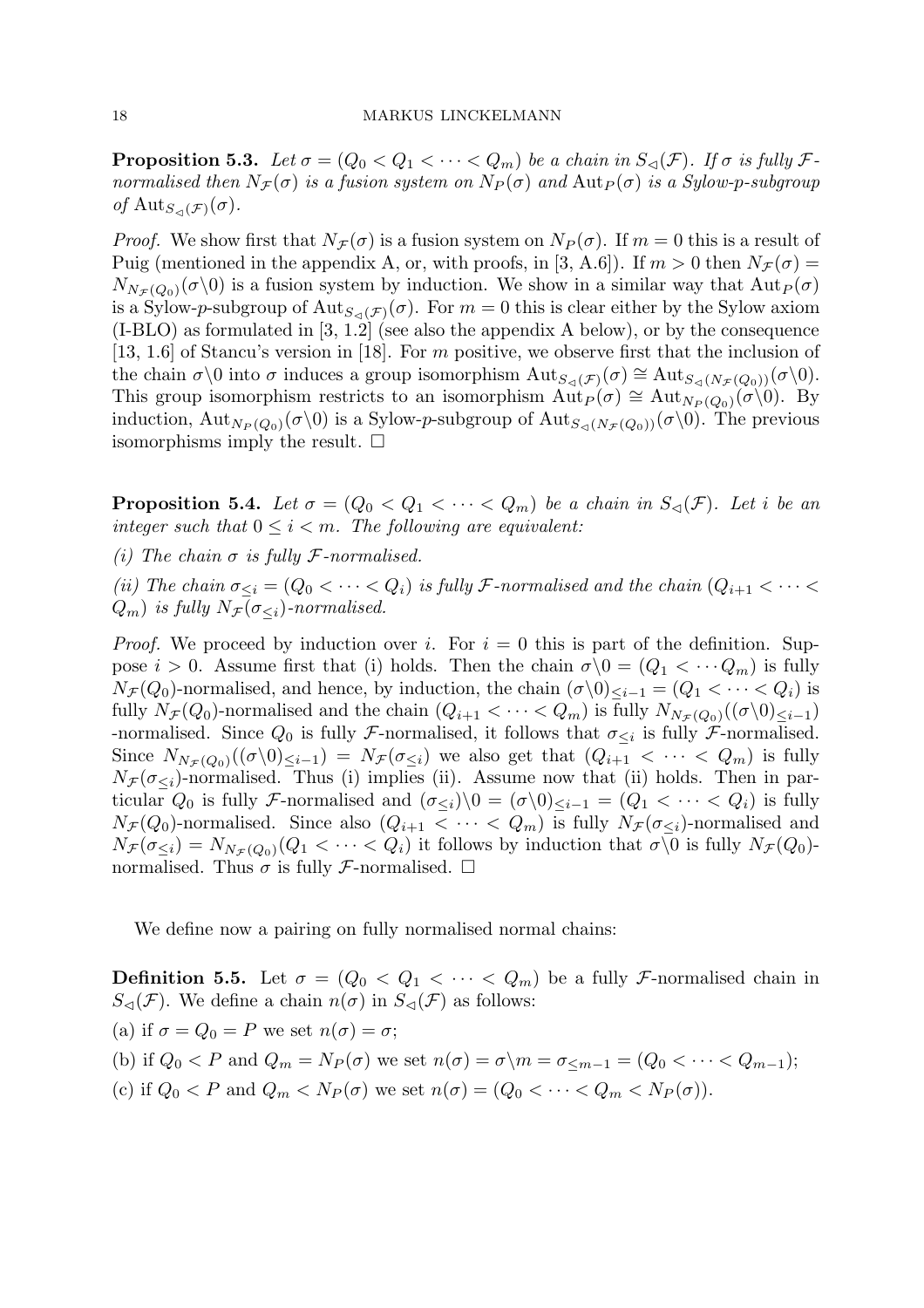**Proposition 5.3.** Let  $\sigma = (Q_0 < Q_1 < \cdots < Q_m)$  be a chain in  $S_{\lhd}(\mathcal{F})$ . If  $\sigma$  is fully  $\mathcal{F}$ normalised then  $N_{\mathcal{F}}(\sigma)$  is a fusion system on  $N_P(\sigma)$  and  $\text{Aut}_P(\sigma)$  is a Sylow-p-subgroup of Aut<sub>S<sub>≤(F)</sub>( $\sigma$ ).</sub>

*Proof.* We show first that  $N_{\mathcal{F}}(\sigma)$  is a fusion system on  $N_{P}(\sigma)$ . If  $m = 0$  this is a result of Puig (mentioned in the appendix A, or, with proofs, in [3, A.6]). If  $m > 0$  then  $N_{\mathcal{F}}(\sigma) =$  $N_{N_{\mathcal{F}}(Q_0)}(\sigma\backslash 0)$  is a fusion system by induction. We show in a similar way that  $\text{Aut}_P(\sigma)$ is a Sylow-p-subgroup of  ${\rm Aut}_{S_{\leq J}(\mathcal{F})}(\sigma)$ . For  $m = 0$  this is clear either by the Sylow axiom (I-BLO) as formulated in [3, 1.2] (see also the appendix A below), or by the consequence [13, 1.6] of Stancu's version in [18]. For m positive, we observe first that the inclusion of the chain  $\sigma\setminus 0$  into  $\sigma$  induces a group isomorphism  $\text{Aut}_{S_{\lhd}(\mathcal{F})}(\sigma) \cong \text{Aut}_{S_{\lhd}(N_{\mathcal{F}}(Q_0))}(\sigma\setminus 0).$ This group isomorphism restricts to an isomorphism  $\text{Aut}_P(\sigma) \cong \text{Aut}_{N_P(Q_0)}(\sigma \setminus 0)$ . By induction,  $\text{Aut}_{N_P(Q_0)}(\sigma\backslash 0)$  is a Sylow-p-subgroup of  $\text{Aut}_{S_{\lhd}(N_F(Q_0))}(\sigma\backslash 0)$ . The previous isomorphisms imply the result.  $\square$ 

**Proposition 5.4.** Let  $\sigma = (Q_0 < Q_1 < \cdots < Q_m)$  be a chain in  $S_{\lhd}(\mathcal{F})$ . Let i be an integer such that  $0 \leq i < m$ . The following are equivalent:

(i) The chain  $\sigma$  is fully *F*-normalised.

(ii) The chain  $\sigma_{\leq i} = (Q_0 \leq \cdots \leq Q_i)$  is fully *F*-normalised and the chain  $(Q_{i+1} \leq \cdots \leq Q_i)$  $Q_m$ ) is fully  $N_{\mathcal{F}}(\sigma_{\leq i})$ -normalised.

*Proof.* We proceed by induction over i. For  $i = 0$  this is part of the definition. Suppose  $i > 0$ . Assume first that (i) holds. Then the chain  $\sigma \setminus 0 = (Q_1 < \cdots Q_m)$  is fully  $N_{\mathcal{F}}(Q_0)$ -normalised, and hence, by induction, the chain  $(\sigma \backslash 0)_{\leq i-1} = (Q_1 \leq \cdots \leq Q_i)$  is fully  $N_{\mathcal{F}}(Q_0)$ -normalised and the chain  $(Q_{i+1} < \cdots < Q_m)$  is fully  $N_{N_{\mathcal{F}}(Q_0)}((\sigma \backslash 0)_{\leq i-1})$ -normalised. Since  $Q_0$  is fully F-normalised, it follows that  $\sigma_{\leq i}$  is fully F-normalised. Since  $N_{N_{\mathcal{F}}(Q_0)}((\sigma\backslash 0)_{\leq i-1}) = N_{\mathcal{F}}(\sigma_{\leq i})$  we also get that  $(Q_{i+1} \leq \cdots \leq Q_m)$  is fully  $N_{\mathcal{F}}(\sigma_{\leq i})$ -normalised. Thus (i) implies (ii). Assume now that (ii) holds. Then in particular  $Q_0$  is fully F-normalised and  $(\sigma_{\leq i})\backslash 0 = (\sigma\backslash 0)_{\leq i-1} = (Q_1 \leq \cdots \leq Q_i)$  is fully  $N_{\mathcal{F}}(Q_0)$ -normalised. Since also  $(Q_{i+1} < \cdots < Q_m)$  is fully  $N_{\mathcal{F}}(\sigma_{\leq i})$ -normalised and  $N_{\mathcal{F}}(\sigma_{\leq i}) = N_{N_{\mathcal{F}}(Q_0)}(Q_1 \leq \cdots \leq Q_i)$  it follows by induction that  $\sigma \setminus 0$  is fully  $N_{\mathcal{F}}(Q_0)$ normalised. Thus  $\sigma$  is fully *F*-normalised.  $\square$ 

We define now a pairing on fully normalised normal chains:

**Definition 5.5.** Let  $\sigma = (Q_0 < Q_1 < \cdots < Q_m)$  be a fully *F*-normalised chain in  $S_{\leq}(\mathcal{F})$ . We define a chain  $n(\sigma)$  in  $S_{\leq}(\mathcal{F})$  as follows:

(a) if  $\sigma = Q_0 = P$  we set  $n(\sigma) = \sigma$ ;

(b) if  $Q_0 < P$  and  $Q_m = N_P(\sigma)$  we set  $n(\sigma) = \sigma \backslash m = \sigma \langle m-1 \rangle = (Q_0 < \cdots < Q_{m-1});$ 

(c) if  $Q_0 < P$  and  $Q_m < N_P(\sigma)$  we set  $n(\sigma) = (Q_0 < \cdots < Q_m < N_P(\sigma))$ .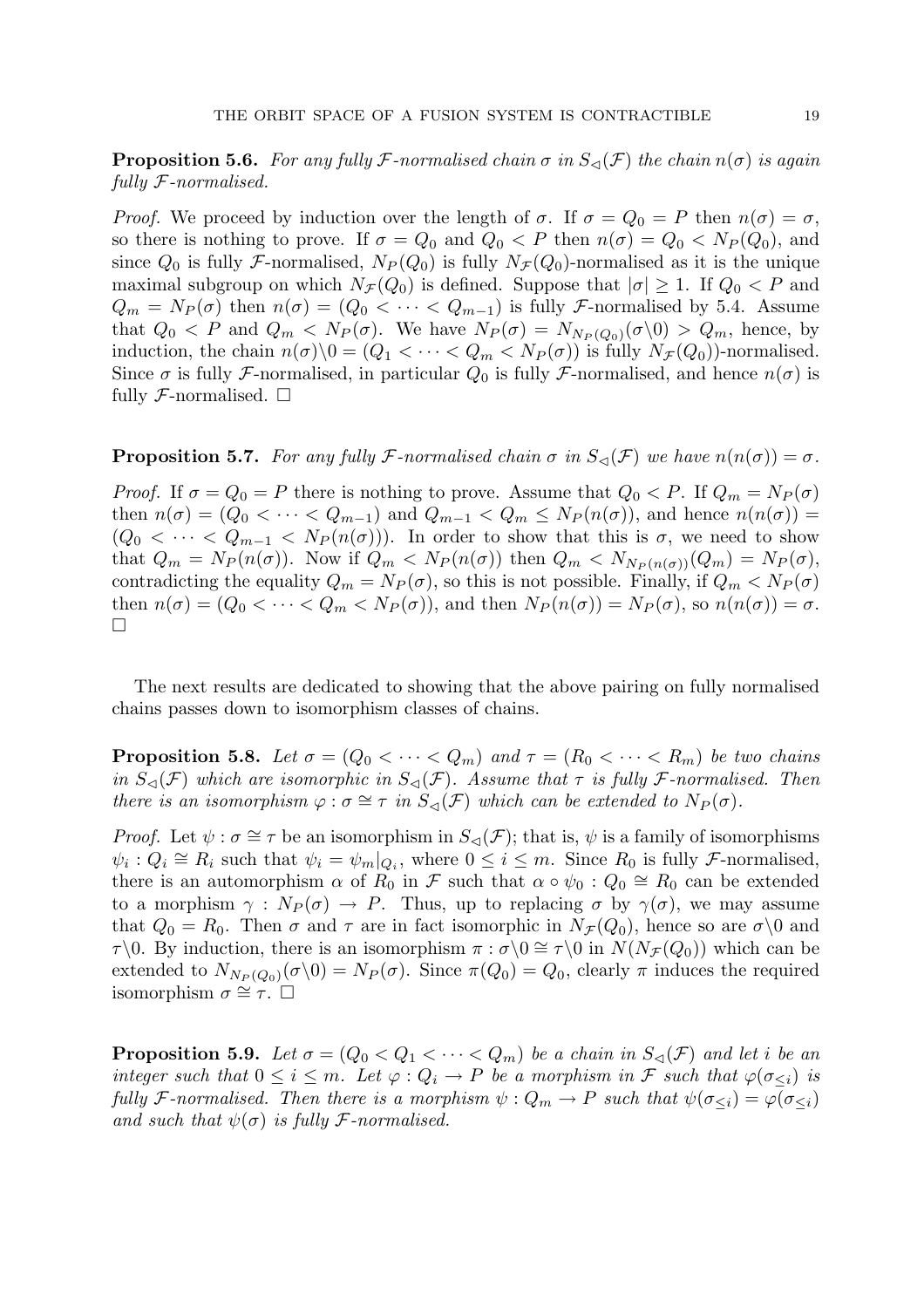**Proposition 5.6.** For any fully F-normalised chain  $\sigma$  in  $S_{\leq}(\mathcal{F})$  the chain  $n(\sigma)$  is again fully F-normalised.

*Proof.* We proceed by induction over the length of  $\sigma$ . If  $\sigma = Q_0 = P$  then  $n(\sigma) = \sigma$ , so there is nothing to prove. If  $\sigma = Q_0$  and  $Q_0 < P$  then  $n(\sigma) = Q_0 < N_P(Q_0)$ , and since  $Q_0$  is fully F-normalised,  $N_P(Q_0)$  is fully  $N_{\mathcal{F}}(Q_0)$ -normalised as it is the unique maximal subgroup on which  $N_{\mathcal{F}}(Q_0)$  is defined. Suppose that  $|\sigma| \geq 1$ . If  $Q_0 < P$  and  $Q_m = N_P(\sigma)$  then  $n(\sigma) = (Q_0 < \cdots < Q_{m-1})$  is fully *F*-normalised by 5.4. Assume that  $Q_0 < P$  and  $Q_m < N_P(\sigma)$ . We have  $N_P(\sigma) = N_{N_P(Q_0)}(\sigma \setminus 0) > Q_m$ , hence, by induction, the chain  $n(\sigma)\setminus 0 = (Q_1 < \cdots < Q_m < N_P(\sigma))$  is fully  $N_{\mathcal{F}}(Q_0)$ -normalised. Since  $\sigma$  is fully F-normalised, in particular  $Q_0$  is fully F-normalised, and hence  $n(\sigma)$  is fully  $\mathcal{F}\text{-normalised.}$ 

**Proposition 5.7.** For any fully F-normalised chain  $\sigma$  in  $S_{\leq}(\mathcal{F})$  we have  $n(n(\sigma)) = \sigma$ .

*Proof.* If  $\sigma = Q_0 = P$  there is nothing to prove. Assume that  $Q_0 < P$ . If  $Q_m = N_P(\sigma)$ then  $n(\sigma) = (Q_0 < \cdots < Q_{m-1})$  and  $Q_{m-1} < Q_m \leq N_P(n(\sigma))$ , and hence  $n(n(\sigma)) =$  $(Q_0 < \cdots < Q_{m-1} < N_P(n(\sigma)))$ . In order to show that this is  $\sigma$ , we need to show that  $Q_m = N_P(n(\sigma))$ . Now if  $Q_m < N_P(n(\sigma))$  then  $Q_m < N_{N_P(n(\sigma))}(Q_m) = N_P(\sigma)$ , contradicting the equality  $Q_m = N_P(\sigma)$ , so this is not possible. Finally, if  $Q_m < N_P(\sigma)$ then  $n(\sigma) = (Q_0 < \cdots < Q_m < N_P(\sigma))$ , and then  $N_P(n(\sigma)) = N_P(\sigma)$ , so  $n(n(\sigma)) = \sigma$ .  $\Box$ 

The next results are dedicated to showing that the above pairing on fully normalised chains passes down to isomorphism classes of chains.

**Proposition 5.8.** Let  $\sigma = (Q_0 < \cdots < Q_m)$  and  $\tau = (R_0 < \cdots < R_m)$  be two chains in  $S_{\leq}(\mathcal{F})$  which are isomorphic in  $S_{\leq}(\mathcal{F})$ . Assume that  $\tau$  is fully  $\mathcal{F}$ -normalised. Then there is an isomorphism  $\varphi : \sigma \cong \tau$  in  $S_{\preceq}(\mathcal{F})$  which can be extended to  $N_P(\sigma)$ .

*Proof.* Let  $\psi : \sigma \cong \tau$  be an isomorphism in  $S_{\leq}(\mathcal{F})$ ; that is,  $\psi$  is a family of isomorphisms  $\psi_i: Q_i \cong R_i$  such that  $\psi_i = \psi_m|_{Q_i}$ , where  $0 \leq i \leq m$ . Since  $R_0$  is fully *F*-normalised, there is an automorphism  $\alpha$  of  $R_0$  in  $\mathcal F$  such that  $\alpha \circ \psi_0 : Q_0 \cong R_0$  can be extended to a morphism  $\gamma : N_P(\sigma) \to P$ . Thus, up to replacing  $\sigma$  by  $\gamma(\sigma)$ , we may assume that  $Q_0 = R_0$ . Then  $\sigma$  and  $\tau$  are in fact isomorphic in  $N_{\mathcal{F}}(Q_0)$ , hence so are  $\sigma \setminus 0$  and  $\tau\setminus 0$ . By induction, there is an isomorphism  $\pi : \sigma\setminus 0 \cong \tau\setminus 0$  in  $N(N_{\mathcal{F}}(Q_0))$  which can be extended to  $N_{N_P(Q_0)}(\sigma \backslash 0) = N_P(\sigma)$ . Since  $\pi(Q_0) = Q_0$ , clearly  $\pi$  induces the required isomorphism  $\sigma \cong \tau$ .  $\Box$ 

**Proposition 5.9.** Let  $\sigma = (Q_0 < Q_1 < \cdots < Q_m)$  be a chain in  $S_{\lhd}(\mathcal{F})$  and let i be an integer such that  $0 \leq i \leq m$ . Let  $\varphi : Q_i \to P$  be a morphism in F such that  $\varphi(\sigma_{\leq i})$  is fully F-normalised. Then there is a morphism  $\psi: Q_m \to P$  such that  $\psi(\sigma_{\leq i}) = \varphi(\sigma_{\leq i})$ and such that  $\psi(\sigma)$  is fully *F*-normalised.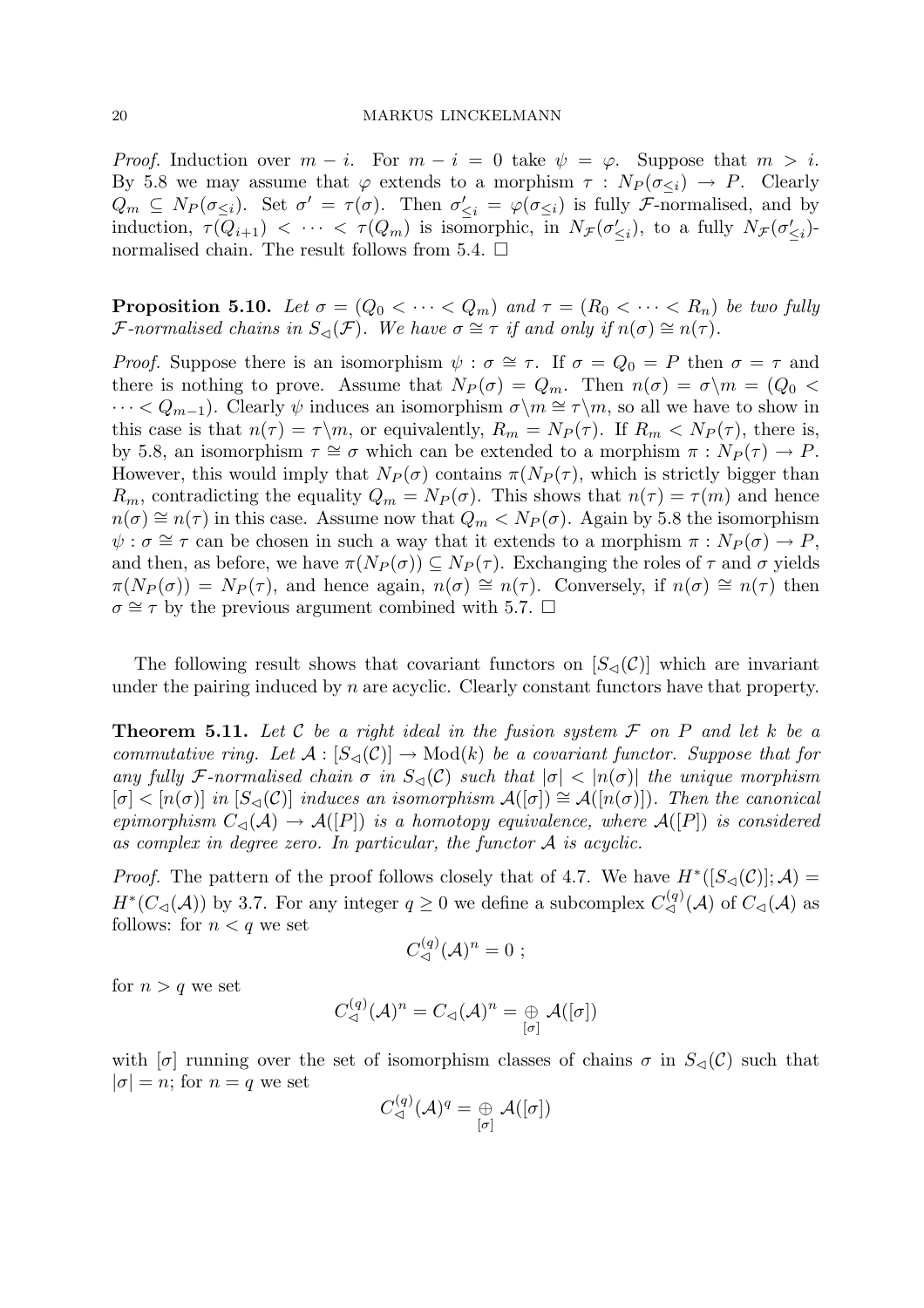*Proof.* Induction over  $m - i$ . For  $m - i = 0$  take  $\psi = \varphi$ . Suppose that  $m > i$ . By 5.8 we may assume that  $\varphi$  extends to a morphism  $\tau : N_P(\sigma_{\leq i}) \to P$ . Clearly  $Q_m \subseteq N_P(\sigma_{\leq i})$ . Set  $\sigma' = \tau(\sigma)$ . Then  $\sigma'_{\leq i} = \varphi(\sigma_{\leq i})$  is fully *F*-normalised, and by induction,  $\tau(Q_{i+1}) < \cdots < \tau(Q_m)$  is isomorphic, in  $N_{\mathcal{F}}(\sigma'_{\leq i})$ , to a fully  $N_{\mathcal{F}}(\sigma'_{\leq i})$ normalised chain. The result follows from 5.4.  $\Box$ 

**Proposition 5.10.** Let  $\sigma = (Q_0 < \cdots < Q_m)$  and  $\tau = (R_0 < \cdots < R_n)$  be two fully F-normalised chains in  $S_{\lhd}(\mathcal{F})$ . We have  $\sigma \cong \tau$  if and only if  $n(\sigma) \cong n(\tau)$ .

*Proof.* Suppose there is an isomorphism  $\psi : \sigma \cong \tau$ . If  $\sigma = Q_0 = P$  then  $\sigma = \tau$  and there is nothing to prove. Assume that  $N_P(\sigma) = Q_m$ . Then  $n(\sigma) = \sigma \backslash m = (Q_0 <$  $\cdots < Q_{m-1}$ ). Clearly  $\psi$  induces an isomorphism  $\sigma \backslash m \cong \tau \backslash m$ , so all we have to show in this case is that  $n(\tau) = \tau \backslash m$ , or equivalently,  $R_m = N_P(\tau)$ . If  $R_m < N_P(\tau)$ , there is, by 5.8, an isomorphism  $\tau \cong \sigma$  which can be extended to a morphism  $\pi : N_P(\tau) \to P$ . However, this would imply that  $N_P(\sigma)$  contains  $\pi(N_P(\tau))$ , which is strictly bigger than  $R_m$ , contradicting the equality  $Q_m = N_P(\sigma)$ . This shows that  $n(\tau) = \tau(m)$  and hence  $n(\sigma) \cong n(\tau)$  in this case. Assume now that  $Q_m < N_P(\sigma)$ . Again by 5.8 the isomorphism  $\psi : \sigma \cong \tau$  can be chosen in such a way that it extends to a morphism  $\pi : N_P(\sigma) \to P$ , and then, as before, we have  $\pi(N_P(\sigma)) \subseteq N_P(\tau)$ . Exchanging the roles of  $\tau$  and  $\sigma$  yields  $\pi(N_P(\sigma)) = N_P(\tau)$ , and hence again,  $n(\sigma) \cong n(\tau)$ . Conversely, if  $n(\sigma) \cong n(\tau)$  then  $\sigma \cong \tau$  by the previous argument combined with 5.7.  $\Box$ 

The following result shows that covariant functors on  $[S_{\leq}(\mathcal{C})]$  which are invariant under the pairing induced by n are acyclic. Clearly constant functors have that property.

**Theorem 5.11.** Let  $C$  be a right ideal in the fusion system  $F$  on  $P$  and let  $k$  be a commutative ring. Let  $\mathcal{A}: [S_{\lhd}(\mathcal{C})] \to \text{Mod}(k)$  be a covariant functor. Suppose that for any fully F-normalised chain  $\sigma$  in  $S_{\leq}(\mathcal{C})$  such that  $|\sigma| < |n(\sigma)|$  the unique morphism  $[\sigma] < [n(\sigma)]$  in  $[S_{\leq}(\mathcal{C})]$  induces an isomorphism  $\mathcal{A}([\sigma]) \cong \mathcal{A}([n(\sigma)])$ . Then the canonical epimorphism  $C_{\lhd}(\mathcal{A}) \to \mathcal{A}([P])$  is a homotopy equivalence, where  $\mathcal{A}([P])$  is considered as complex in degree zero. In particular, the functor A is acyclic.

*Proof.* The pattern of the proof follows closely that of 4.7. We have  $H^*([S_{\lhd}(\mathcal{C})];\mathcal{A})=$  $H^*(C_{\lhd}(\mathcal{A}))$  by 3.7. For any integer  $q \geq 0$  we define a subcomplex  $C_{\lhd}^{(q)}(\mathcal{A})$  of  $C_{\lhd}(\mathcal{A})$  as follows: for  $n < q$  we set

$$
C^{(q)}_{\triangleleft}(\mathcal{A})^n=0\;;
$$

for  $n > q$  we set

$$
C^{(q)}_{\lhd}(\mathcal{A})^n = C_{\lhd}(\mathcal{A})^n = \bigoplus_{[\sigma]} \mathcal{A}([\sigma])
$$

with  $\sigma$  running over the set of isomorphism classes of chains  $\sigma$  in  $S_{\leq}(\mathcal{C})$  such that  $|\sigma| = n$ ; for  $n = q$  we set

$$
C^{(q)}_{\lhd}({\cal A})^q=\mathop\oplus\limits_{[\sigma]}{\cal A}([\sigma])
$$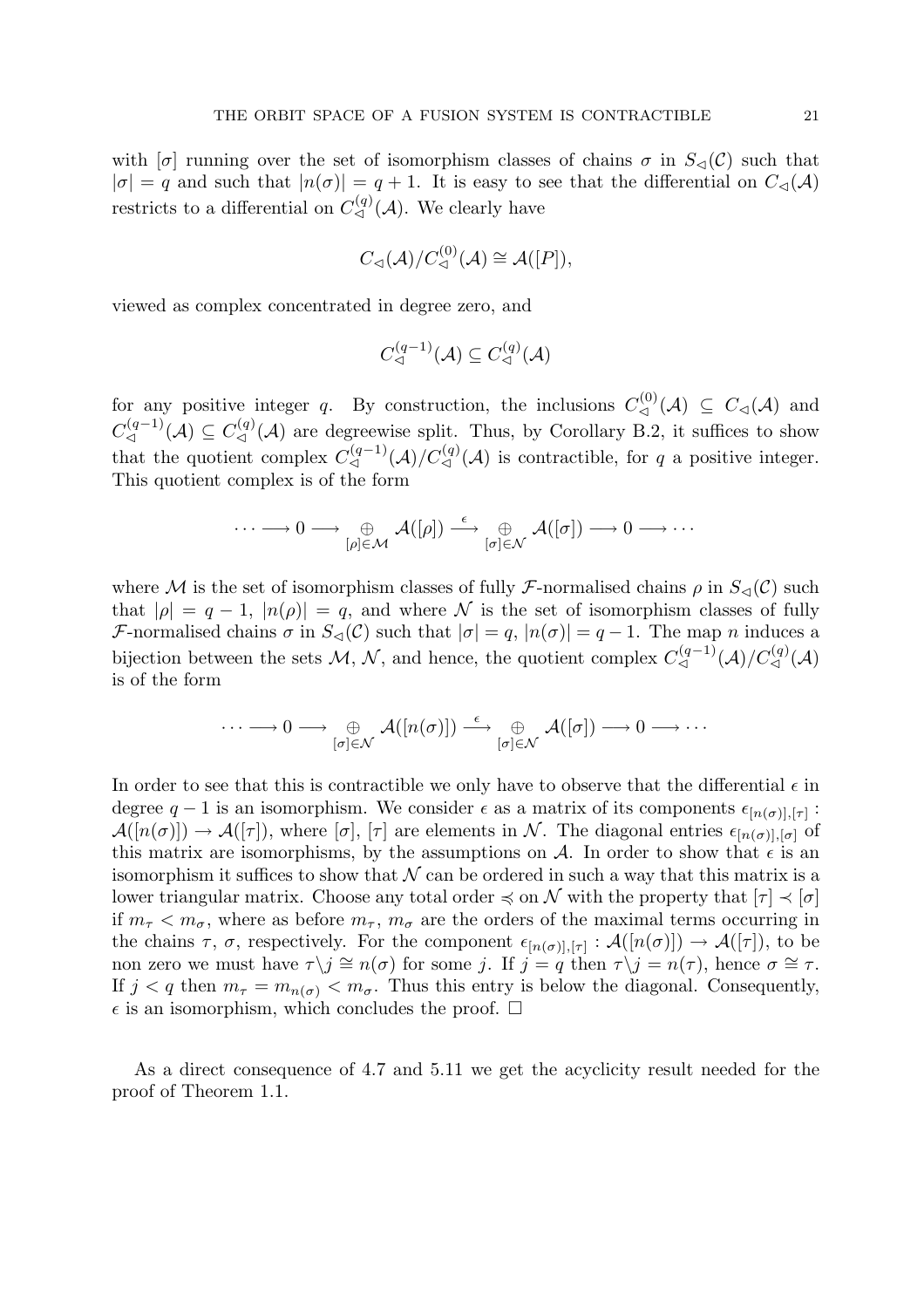with  $\sigma$  running over the set of isomorphism classes of chains  $\sigma$  in  $S_{\leq}(\mathcal{C})$  such that  $|\sigma| = q$  and such that  $|n(\sigma)| = q + 1$ . It is easy to see that the differential on  $C_{\leq}(\mathcal{A})$ restricts to a differential on  $C^{(q)}_{\triangleleft}(\mathcal{A})$ . We clearly have

$$
C_{\lhd}(\mathcal{A})/C_{\lhd}^{(0)}(\mathcal{A})\cong \mathcal{A}([P]),
$$

viewed as complex concentrated in degree zero, and

$$
C^{(q-1)}_{\triangleleft}(\mathcal{A}) \subseteq C^{(q)}_{\triangleleft}(\mathcal{A})
$$

for any positive integer q. By construction, the inclusions  $C^{(0)}_{\leq}(\mathcal{A}) \subseteq C_{\leq}(\mathcal{A})$  and  $C^{(q-1)}_{\triangleleft}(\mathcal{A}) \subseteq C^{(q)}_{\triangleleft}(\mathcal{A})$  are degreewise split. Thus, by Corollary B.2, it suffices to show that the quotient complex  $C^{(q-1)}_{\leq}(\mathcal{A})/C^{(q)}_{\leq}(\mathcal{A})$  is contractible, for q a positive integer. This quotient complex is of the form

$$
\cdots \longrightarrow 0 \longrightarrow \underset{[\rho]\in \mathcal{M}}{\oplus} \mathcal{A}([\rho]) \stackrel{\epsilon}{\longrightarrow} \underset{[\sigma]\in \mathcal{N}}{\oplus} \mathcal{A}([\sigma]) \longrightarrow 0 \longrightarrow \cdots
$$

where M is the set of isomorphism classes of fully F-normalised chains  $\rho$  in  $S_{\leq}(\mathcal{C})$  such that  $|\rho| = q - 1$ ,  $|n(\rho)| = q$ , and where N is the set of isomorphism classes of fully F-normalised chains  $\sigma$  in  $S_{\leq}(\mathcal{C})$  such that  $|\sigma|=q$ ,  $|n(\sigma)|=q-1$ . The map n induces a bijection between the sets  $\mathcal{M}, \mathcal{N}$ , and hence, the quotient complex  $C^{(q-1)}_{\leq}(\mathcal{A})/C^{(q)}_{\leq}(\mathcal{A})$ is of the form

$$
\cdots \longrightarrow 0 \longrightarrow \bigoplus_{[\sigma]\in\mathcal{N}} \mathcal{A}([n(\sigma)]) \stackrel{\epsilon}{\longrightarrow} \bigoplus_{[\sigma]\in\mathcal{N}} \mathcal{A}([\sigma]) \longrightarrow 0 \longrightarrow \cdots
$$

In order to see that this is contractible we only have to observe that the differential  $\epsilon$  in degree  $q-1$  is an isomorphism. We consider  $\epsilon$  as a matrix of its components  $\epsilon_{[n(\sigma)],[\tau]}$ :  $\mathcal{A}([n(\sigma)]) \to \mathcal{A}([\tau])$ , where  $[\sigma]$ ,  $[\tau]$  are elements in N. The diagonal entries  $\epsilon_{[n(\sigma)],[\sigma]}$  of this matrix are isomorphisms, by the assumptions on  $A$ . In order to show that  $\epsilon$  is an isomorphism it suffices to show that  $N$  can be ordered in such a way that this matrix is a lower triangular matrix. Choose any total order  $\preccurlyeq$  on N with the property that  $[\tau] \preccurlyeq [\sigma]$ if  $m_{\tau} < m_{\sigma}$ , where as before  $m_{\tau}$ ,  $m_{\sigma}$  are the orders of the maximal terms occurring in the chains  $\tau$ ,  $\sigma$ , respectively. For the component  $\epsilon_{[n(\sigma)],[\tau]} : \mathcal{A}([n(\sigma)]) \to \mathcal{A}([\tau])$ , to be non zero we must have  $\tau \backslash j \cong n(\sigma)$  for some j. If  $j = q$  then  $\tau \backslash j = n(\tau)$ , hence  $\sigma \cong \tau$ . If  $j < q$  then  $m_{\tau} = m_{n(\sigma)} < m_{\sigma}$ . Thus this entry is below the diagonal. Consequently,  $\epsilon$  is an isomorphism, which concludes the proof.  $\Box$ 

As a direct consequence of 4.7 and 5.11 we get the acyclicity result needed for the proof of Theorem 1.1.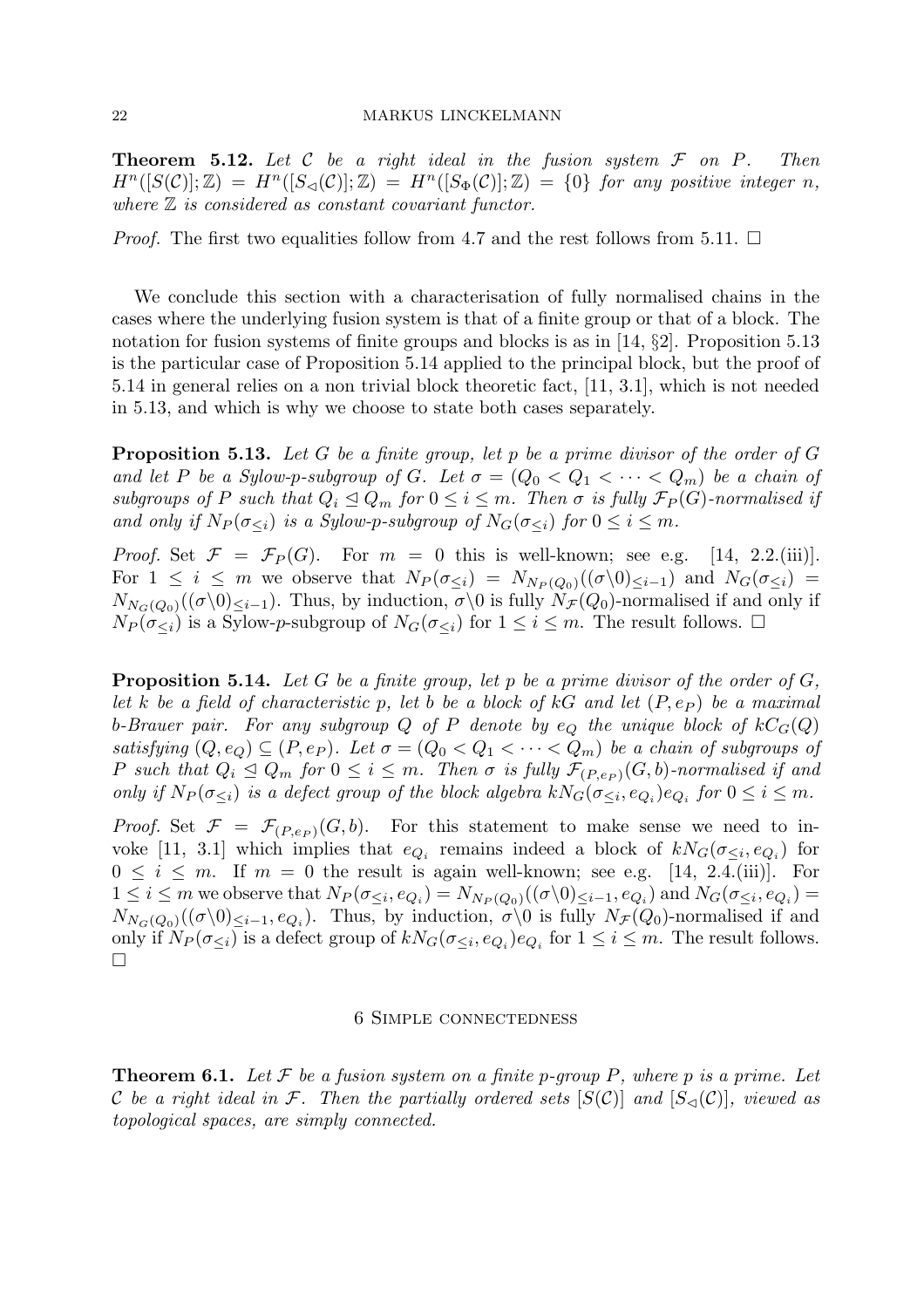**Theorem 5.12.** Let C be a right ideal in the fusion system  $\mathcal F$  on P. Then  $H^n([S(\mathcal{C})];\mathbb{Z}) = H^n([S_{\leq 0}(\mathcal{C})];\mathbb{Z}) = H^n([S_{\Phi}(\mathcal{C})];\mathbb{Z}) = \{0\}$  for any positive integer n, where  $\mathbb Z$  is considered as constant covariant functor.

*Proof.* The first two equalities follow from 4.7 and the rest follows from 5.11.  $\Box$ 

We conclude this section with a characterisation of fully normalised chains in the cases where the underlying fusion system is that of a finite group or that of a block. The notation for fusion systems of finite groups and blocks is as in [14,  $\S$ 2]. Proposition 5.13 is the particular case of Proposition 5.14 applied to the principal block, but the proof of 5.14 in general relies on a non trivial block theoretic fact, [11, 3.1], which is not needed in 5.13, and which is why we choose to state both cases separately.

**Proposition 5.13.** Let G be a finite group, let p be a prime divisor of the order of G and let P be a Sylow-p-subgroup of G. Let  $\sigma = (Q_0 < Q_1 < \cdots < Q_m)$  be a chain of subgroups of P such that  $Q_i \leq Q_m$  for  $0 \leq i \leq m$ . Then  $\sigma$  is fully  $\mathcal{F}_P(G)$ -normalised if and only if  $N_P(\sigma_{\leq i})$  is a Sylow-p-subgroup of  $N_G(\sigma_{\leq i})$  for  $0 \leq i \leq m$ .

*Proof.* Set  $\mathcal{F} = \mathcal{F}_P(G)$ . For  $m = 0$  this is well-known; see e.g. [14, 2.2.(iii)]. For  $1 \leq i \leq m$  we observe that  $N_P(\sigma_{\leq i}) = N_{N_P(Q_0)}((\sigma \setminus 0)_{\leq i-1})$  and  $N_G(\sigma_{\leq i}) =$  $N_{N_G(Q_0)}((\sigma\backslash 0)_{\leq i-1})$ . Thus, by induction,  $\sigma\backslash 0$  is fully  $N_{\mathcal{F}}(Q_0)$ -normalised if and only if  $N_P(\sigma_{\leq i})$  is a Sylow-p-subgroup of  $N_G(\sigma_{\leq i})$  for  $1 \leq i \leq m$ . The result follows.  $\Box$ 

**Proposition 5.14.** Let G be a finite group, let p be a prime divisor of the order of  $G$ , let k be a field of characteristic p, let b be a block of kG and let  $(P, e_P)$  be a maximal b-Brauer pair. For any subgroup Q of P denote by  $e_Q$  the unique block of  $kC_G(Q)$ satisfying  $(Q, e_Q) \subseteq (P, e_P)$ . Let  $\sigma = (Q_0 < Q_1 < \cdots < Q_m)$  be a chain of subgroups of P such that  $Q_i \trianglelefteq Q_m$  for  $0 \leq i \leq m$ . Then  $\sigma$  is fully  $\mathcal{F}_{(P,e_P)}(G,b)$ -normalised if and only if  $N_P(\sigma_{\leq i})$  is a defect group of the block algebra  $kN_G(\sigma_{\leq i}, e_{Q_i})e_{Q_i}$  for  $0 \leq i \leq m$ .

*Proof.* Set  $\mathcal{F} = \mathcal{F}_{(P,e_P)}(G, b)$ . For this statement to make sense we need to invoke [11, 3.1] which implies that  $e_{Q_i}$  remains indeed a block of  $kN_G(\sigma_{\leq i}, e_{Q_i})$  for  $0 \leq i \leq m$ . If  $m = 0$  the result is again well-known; see e.g. [14, 2.4.(iii)]. For  $1 \leq i \leq m$  we observe that  $N_P(\sigma_{\leq i}, e_{Q_i}) = N_{N_P(Q_0)}((\sigma \setminus 0)_{\leq i-1}, e_{Q_i})$  and  $N_G(\sigma_{\leq i}, e_{Q_i}) =$  $N_{N_G(Q_0)}((\sigma\backslash 0)_{\leq i-1}, e_{Q_i})$ . Thus, by induction,  $\sigma\backslash 0$  is fully  $N_{\mathcal{F}}(Q_0)$ -normalised if and only if  $N_P(\sigma_{\leq i})$  is a defect group of  $kN_G(\sigma_{\leq i}, e_{Q_i})e_{Q_i}$  for  $1 \leq i \leq m$ . The result follows.  $\Box$ 

#### 6 Simple connectedness

**Theorem 6.1.** Let F be a fusion system on a finite p-group P, where p is a prime. Let C be a right ideal in F. Then the partially ordered sets  $[S(\mathcal{C})]$  and  $[S_{\leq}(\mathcal{C})]$ , viewed as topological spaces, are simply connected.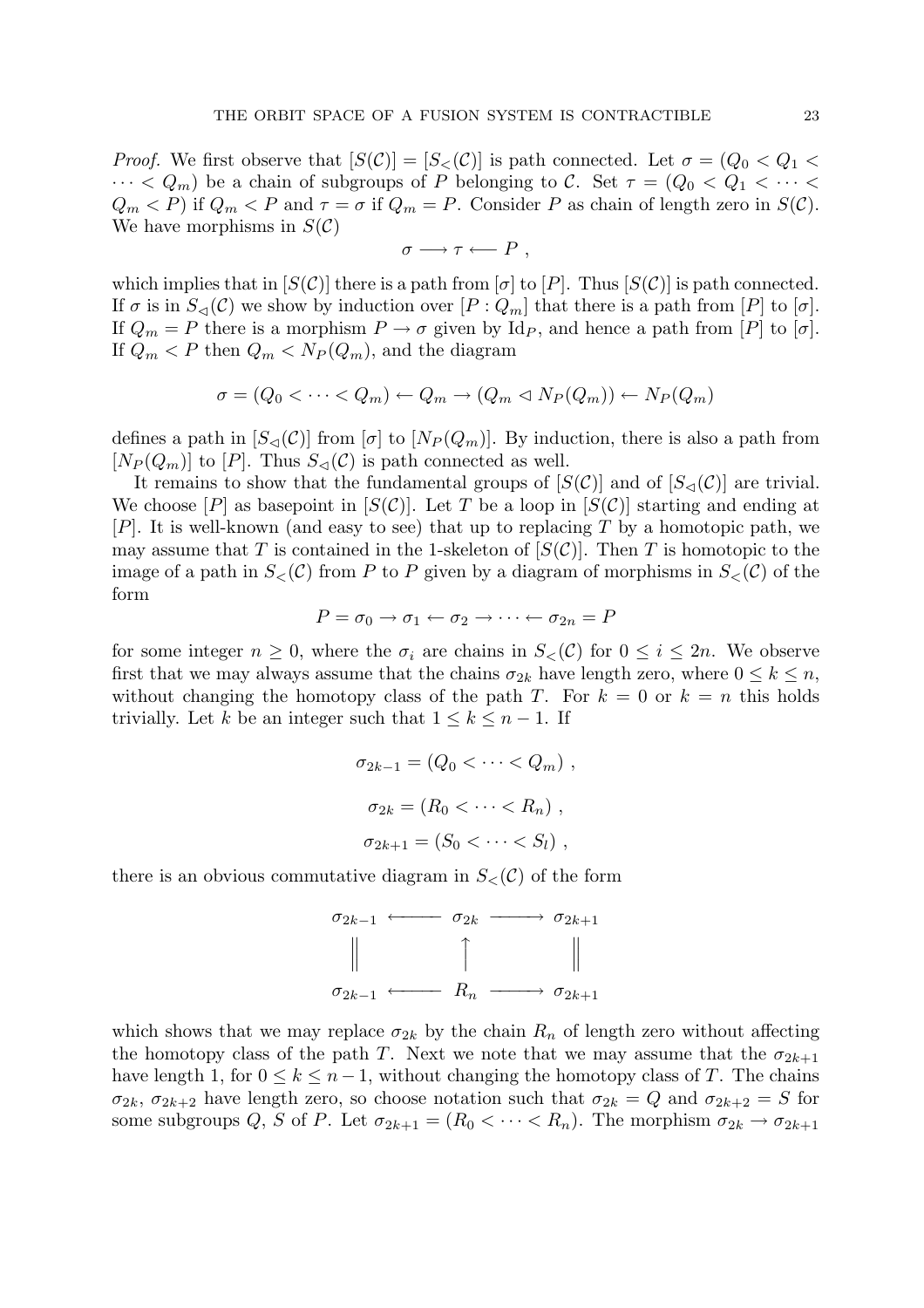*Proof.* We first observe that  $[S(\mathcal{C})] = [S_{\leq}(\mathcal{C})]$  is path connected. Let  $\sigma = (Q_0 \leq Q_1 \leq$  $\cdots < Q_m$ ) be a chain of subgroups of P belonging to C. Set  $\tau = (Q_0 < Q_1 < \cdots <$  $Q_m < P$ ) if  $Q_m < P$  and  $\tau = \sigma$  if  $Q_m = P$ . Consider P as chain of length zero in  $S(\mathcal{C})$ . We have morphisms in  $S(\mathcal{C})$ 

$$
\sigma \longrightarrow \tau \longleftarrow P ,
$$

which implies that in  $[S(\mathcal{C})]$  there is a path from  $[\sigma]$  to  $[P]$ . Thus  $[S(\mathcal{C})]$  is path connected. If  $\sigma$  is in  $S_{\leq}(\mathcal{C})$  we show by induction over  $[P:Q_m]$  that there is a path from  $[P]$  to  $[\sigma]$ . If  $Q_m = P$  there is a morphism  $P \to \sigma$  given by Id<sub>P</sub>, and hence a path from [P] to [ $\sigma$ ]. If  $Q_m < P$  then  $Q_m < N_P(Q_m)$ , and the diagram

$$
\sigma = (Q_0 < \cdots < Q_m) \leftarrow Q_m \rightarrow (Q_m \lhd N_P(Q_m)) \leftarrow N_P(Q_m)
$$

defines a path in  $[S_{\leq}(\mathcal{C})]$  from  $[\sigma]$  to  $[N_P(Q_m)]$ . By induction, there is also a path from  $[N_P(Q_m)]$  to  $[P]$ . Thus  $S_{\lhd}(\mathcal{C})$  is path connected as well.

It remains to show that the fundamental groups of  $[S(\mathcal{C})]$  and of  $[S_{\leq}(\mathcal{C})]$  are trivial. We choose  $[P]$  as basepoint in  $[S(\mathcal{C})]$ . Let T be a loop in  $[S(\mathcal{C})]$  starting and ending at  $[P]$ . It is well-known (and easy to see) that up to replacing T by a homotopic path, we may assume that T is contained in the 1-skeleton of  $[S(\mathcal{C})]$ . Then T is homotopic to the image of a path in  $S<sub>5</sub>(\mathcal{C})$  from P to P given by a diagram of morphisms in  $S<sub>5</sub>(\mathcal{C})$  of the form

$$
P = \sigma_0 \to \sigma_1 \leftarrow \sigma_2 \to \cdots \leftarrow \sigma_{2n} = P
$$

for some integer  $n \geq 0$ , where the  $\sigma_i$  are chains in  $S<sub>lt</sub>(\mathcal{C})$  for  $0 \leq i \leq 2n$ . We observe first that we may always assume that the chains  $\sigma_{2k}$  have length zero, where  $0 \leq k \leq n$ , without changing the homotopy class of the path T. For  $k = 0$  or  $k = n$  this holds trivially. Let k be an integer such that  $1 \leq k \leq n-1$ . If

$$
\sigma_{2k-1} = (Q_0 < \cdots < Q_m) \;,
$$
\n
$$
\sigma_{2k} = (R_0 < \cdots < R_n) \;,
$$
\n
$$
\sigma_{2k+1} = (S_0 < \cdots < S_l) \;,
$$

there is an obvious commutative diagram in  $S<sub>lt</sub>(\mathcal{C})$  of the form

$$
\begin{array}{cccc}\n\sigma_{2k-1} & \xleftarrow{\qquad} & \sigma_{2k} & \xrightarrow{\qquad} & \sigma_{2k+1} \\
\parallel & & \uparrow & & \parallel \\
\sigma_{2k-1} & \xleftarrow{\qquad} & R_n & \xrightarrow{\qquad} & \sigma_{2k+1}\n\end{array}
$$

which shows that we may replace  $\sigma_{2k}$  by the chain  $R_n$  of length zero without affecting the homotopy class of the path T. Next we note that we may assume that the  $\sigma_{2k+1}$ have length 1, for  $0 \le k \le n-1$ , without changing the homotopy class of T. The chains  $\sigma_{2k}$ ,  $\sigma_{2k+2}$  have length zero, so choose notation such that  $\sigma_{2k} = Q$  and  $\sigma_{2k+2} = S$  for some subgroups Q, S of P. Let  $\sigma_{2k+1} = (R_0 < \cdots < R_n)$ . The morphism  $\sigma_{2k} \to \sigma_{2k+1}$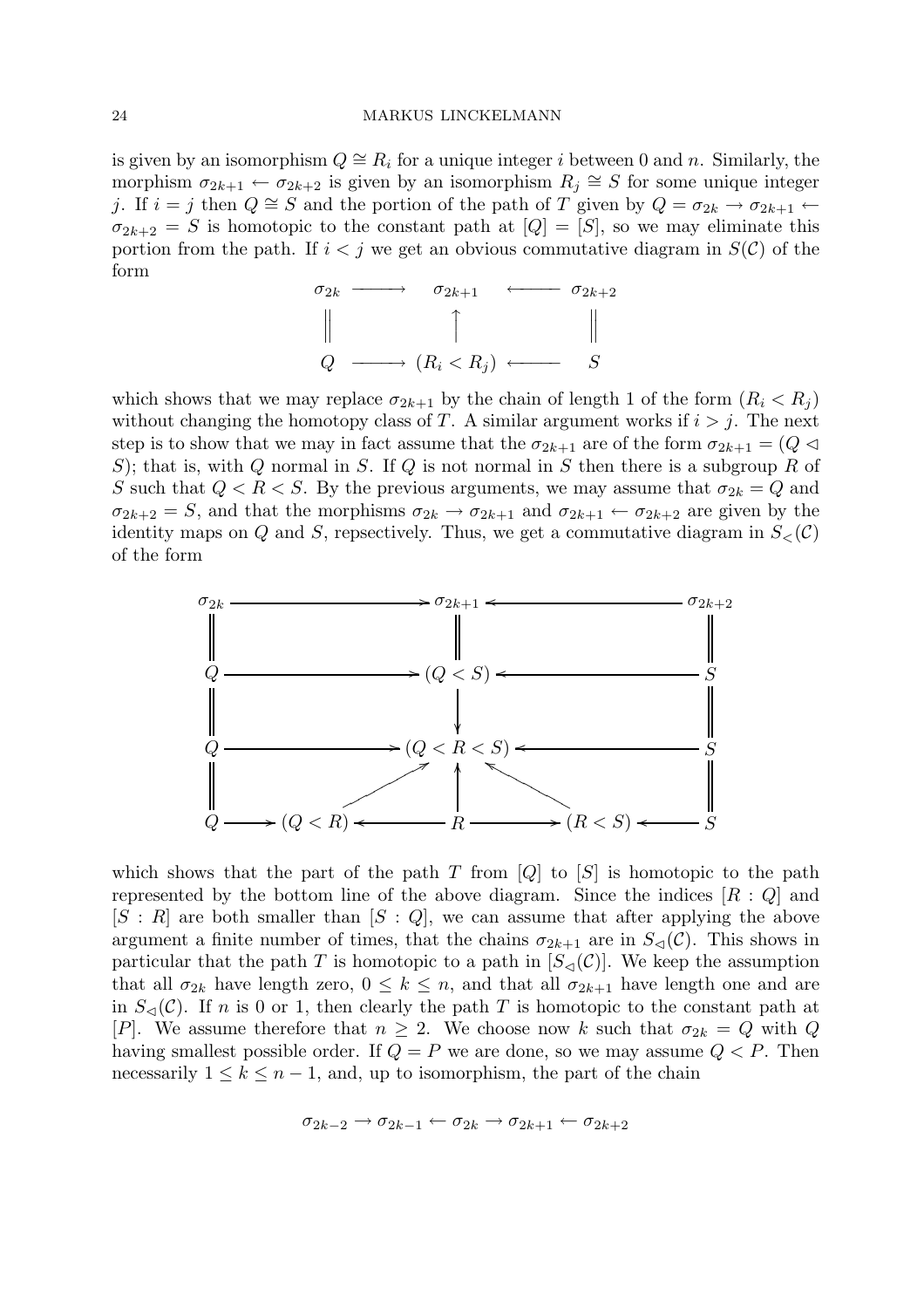is given by an isomorphism  $Q \cong R_i$  for a unique integer i between 0 and n. Similarly, the morphism  $\sigma_{2k+1} \leftarrow \sigma_{2k+2}$  is given by an isomorphism  $R_j \cong S$  for some unique integer j. If  $i = j$  then  $Q \cong S$  and the portion of the path of T given by  $Q = \sigma_{2k} \rightarrow \sigma_{2k+1} \leftarrow$  $\sigma_{2k+2} = S$  is homotopic to the constant path at  $[Q] = [S]$ , so we may eliminate this portion from the path. If  $i < j$  we get an obvious commutative diagram in  $S(\mathcal{C})$  of the form

$$
\begin{array}{ccc}\n\sigma_{2k} & \longrightarrow & \sigma_{2k+1} & \longleftarrow & \sigma_{2k+2} \\
\parallel & \qquad \qquad \uparrow & \qquad \qquad \parallel \\
Q & \longrightarrow (R_i < R_j) & \longleftarrow & S\n\end{array}
$$

which shows that we may replace  $\sigma_{2k+1}$  by the chain of length 1 of the form  $(R_i < R_j)$ without changing the homotopy class of T. A similar argument works if  $i > j$ . The next step is to show that we may in fact assume that the  $\sigma_{2k+1}$  are of the form  $\sigma_{2k+1} = (Q \triangleleft$ S); that is, with Q normal in S. If Q is not normal in S then there is a subgroup R of S such that  $Q < R < S$ . By the previous arguments, we may assume that  $\sigma_{2k} = Q$  and  $\sigma_{2k+2} = S$ , and that the morphisms  $\sigma_{2k} \to \sigma_{2k+1}$  and  $\sigma_{2k+1} \leftarrow \sigma_{2k+2}$  are given by the identity maps on Q and S, repsectively. Thus, we get a commutative diagram in  $S<sub>lt</sub>(\mathcal{C})$ of the form



which shows that the part of the path T from  $[Q]$  to  $[S]$  is homotopic to the path represented by the bottom line of the above diagram. Since the indices  $[R: Q]$  and  $[S: R]$  are both smaller than  $[S: Q]$ , we can assume that after applying the above argument a finite number of times, that the chains  $\sigma_{2k+1}$  are in  $S_{\lhd}(\mathcal{C})$ . This shows in particular that the path T is homotopic to a path in  $[S_{\lhd}(\mathcal{C})]$ . We keep the assumption that all  $\sigma_{2k}$  have length zero,  $0 \leq k \leq n$ , and that all  $\sigma_{2k+1}$  have length one and are in  $S_{\leq}(\mathcal{C})$ . If n is 0 or 1, then clearly the path T is homotopic to the constant path at [P]. We assume therefore that  $n \geq 2$ . We choose now k such that  $\sigma_{2k} = Q$  with Q having smallest possible order. If  $Q = P$  we are done, so we may assume  $Q < P$ . Then necessarily  $1 \leq k \leq n-1$ , and, up to isomorphism, the part of the chain

$$
\sigma_{2k-2}\to\sigma_{2k-1}\leftarrow\sigma_{2k}\to\sigma_{2k+1}\leftarrow\sigma_{2k+2}
$$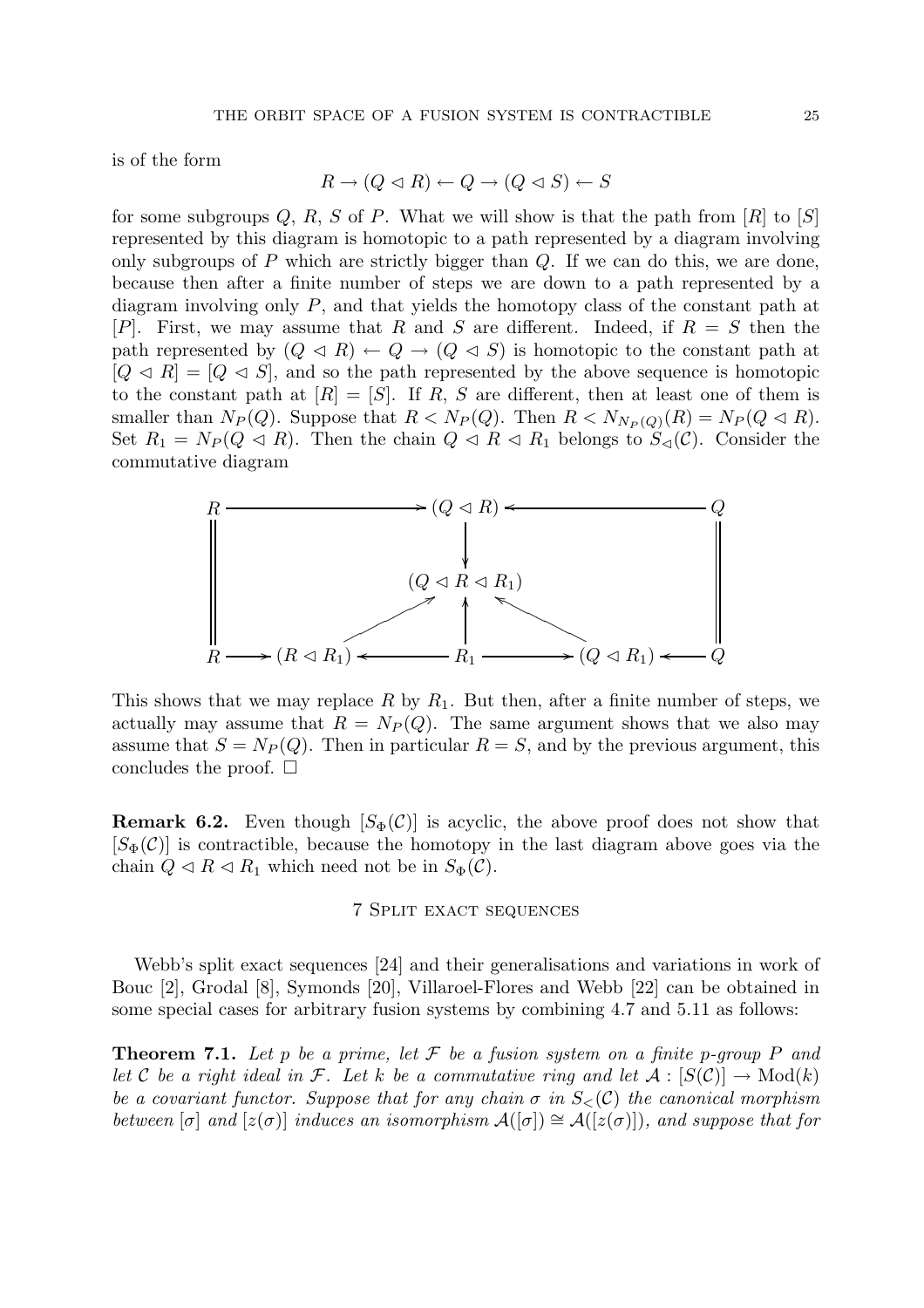is of the form

$$
R \to (Q \vartriangleleft R) \leftarrow Q \to (Q \vartriangleleft S) \leftarrow S
$$

for some subgroups Q, R, S of P. What we will show is that the path from  $[R]$  to  $[S]$ represented by this diagram is homotopic to a path represented by a diagram involving only subgroups of  $P$  which are strictly bigger than  $Q$ . If we can do this, we are done, because then after a finite number of steps we are down to a path represented by a diagram involving only P, and that yields the homotopy class of the constant path at [P]. First, we may assume that R and S are different. Indeed, if  $R = S$  then the path represented by  $(Q \triangleleft R) \leftarrow Q \rightarrow (Q \triangleleft S)$  is homotopic to the constant path at  $[Q \triangleleft R] = [Q \triangleleft S]$ , and so the path represented by the above sequence is homotopic to the constant path at  $[R] = [S]$ . If R, S are different, then at least one of them is smaller than  $N_P(Q)$ . Suppose that  $R < N_P(Q)$ . Then  $R < N_{N_P(Q)}(R) = N_P(Q \triangleleft R)$ . Set  $R_1 = N_P(Q \triangleleft R)$ . Then the chain  $Q \triangleleft R \triangleleft R_1$  belongs to  $S_{\triangleleft}(\mathcal{C})$ . Consider the commutative diagram



This shows that we may replace R by  $R_1$ . But then, after a finite number of steps, we actually may assume that  $R = N_P(Q)$ . The same argument shows that we also may assume that  $S = N_P(Q)$ . Then in particular  $R = S$ , and by the previous argument, this concludes the proof.  $\square$ 

**Remark 6.2.** Even though  $[S_{\Phi}(\mathcal{C})]$  is acyclic, the above proof does not show that  $[S_{\Phi}(\mathcal{C})]$  is contractible, because the homotopy in the last diagram above goes via the chain  $Q \triangleleft R \triangleleft R_1$  which need not be in  $S_{\Phi}(\mathcal{C})$ .

## 7 Split exact sequences

Webb's split exact sequences [24] and their generalisations and variations in work of Bouc [2], Grodal [8], Symonds [20], Villaroel-Flores and Webb [22] can be obtained in some special cases for arbitrary fusion systems by combining 4.7 and 5.11 as follows:

**Theorem 7.1.** Let p be a prime, let F be a fusion system on a finite p-group P and let C be a right ideal in F. Let k be a commutative ring and let  $\mathcal{A}: [S(\mathcal{C})] \to \text{Mod}(k)$ be a covariant functor. Suppose that for any chain  $\sigma$  in  $S_{\leq}(\mathcal{C})$  the canonical morphism between  $[\sigma]$  and  $[z(\sigma)]$  induces an isomorphism  $\mathcal{A}([\sigma]) \cong \mathcal{A}([z(\sigma)])$ , and suppose that for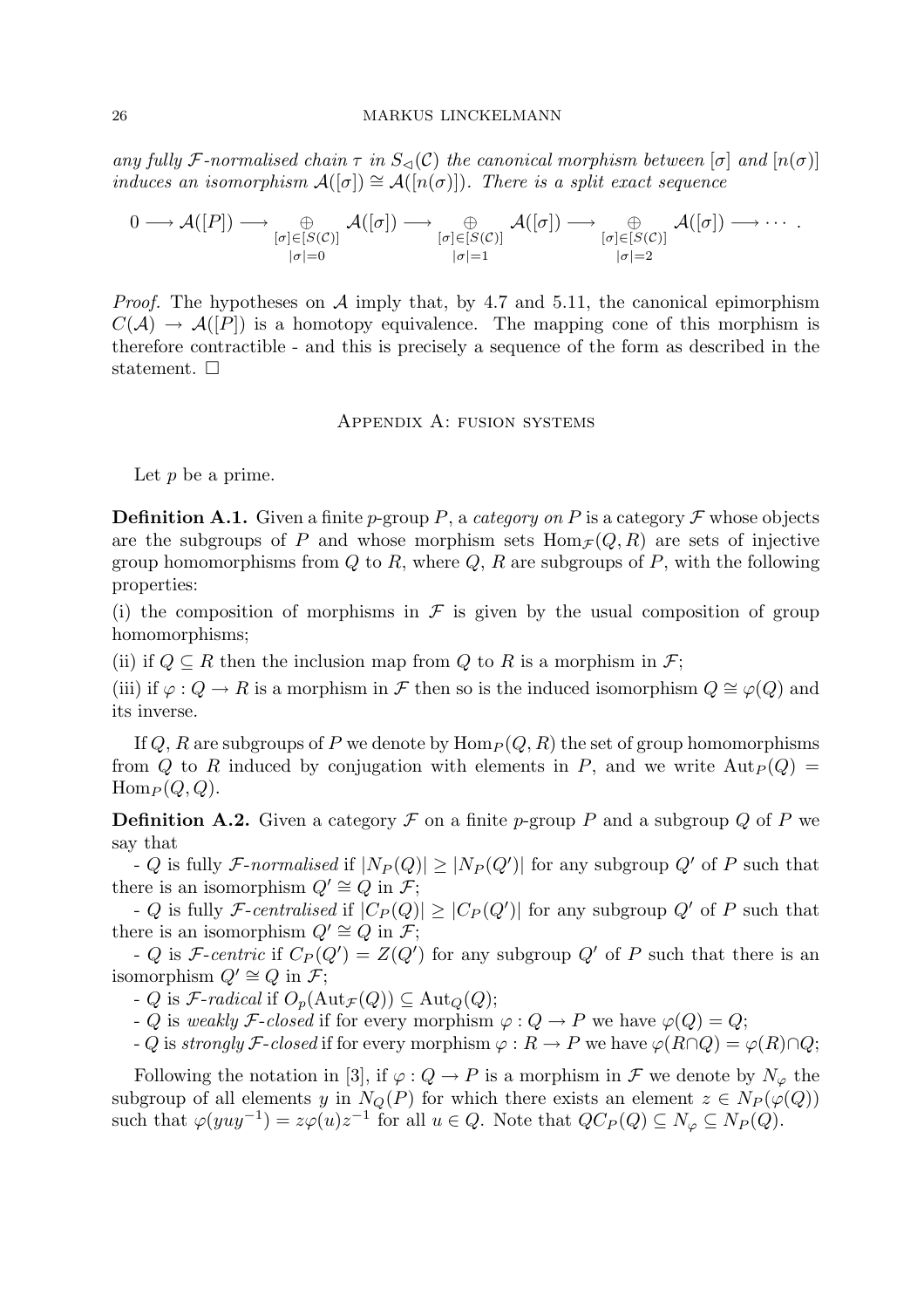any fully F-normalised chain  $\tau$  in  $S_{\leq}(\mathcal{C})$  the canonical morphism between  $[\sigma]$  and  $[n(\sigma)]$ induces an isomorphism  $\mathcal{A}([\sigma]) \cong \mathcal{A}([n(\sigma)])$ . There is a split exact sequence

$$
0 \longrightarrow \mathcal{A}([P]) \longrightarrow \bigoplus_{[\sigma] \in [S(\mathcal{C})]} \mathcal{A}([\sigma]) \longrightarrow \bigoplus_{[\sigma] \in [S(\mathcal{C})]} \mathcal{A}([\sigma]) \longrightarrow \bigoplus_{[\sigma] \in [S(\mathcal{C})]} \mathcal{A}([\sigma]) \longrightarrow \cdots
$$
  
 $|\sigma| = 0$ 

*Proof.* The hypotheses on  $\mathcal A$  imply that, by 4.7 and 5.11, the canonical epimorphism  $C(\mathcal{A}) \to \mathcal{A}([P])$  is a homotopy equivalence. The mapping cone of this morphism is therefore contractible - and this is precisely a sequence of the form as described in the statement.  $\square$ 

## Appendix A: fusion systems

Let  $p$  be a prime.

**Definition A.1.** Given a finite p-group P, a category on P is a category  $\mathcal F$  whose objects are the subgroups of P and whose morphism sets  $\text{Hom}_{\mathcal{F}}(Q, R)$  are sets of injective group homomorphisms from  $Q$  to  $R$ , where  $Q$ ,  $R$  are subgroups of  $P$ , with the following properties:

(i) the composition of morphisms in  $\mathcal F$  is given by the usual composition of group homomorphisms;

(ii) if  $Q \subseteq R$  then the inclusion map from Q to R is a morphism in  $\mathcal{F}$ ;

(iii) if  $\varphi : Q \to R$  is a morphism in F then so is the induced isomorphism  $Q \cong \varphi(Q)$  and its inverse.

If Q, R are subgroups of P we denote by  $\text{Hom}_P(Q, R)$  the set of group homomorphisms from Q to R induced by conjugation with elements in P, and we write  ${\rm Aut}_P(Q) =$  $\operatorname{Hom}_P(Q,Q)$ .

**Definition A.2.** Given a category  $\mathcal F$  on a finite p-group P and a subgroup Q of P we say that

- Q is fully F-normalised if  $|N_P(Q)| \geq |N_P(Q')|$  for any subgroup Q' of P such that there is an isomorphism  $Q' \cong Q$  in  $\mathcal{F}$ ;

- Q is fully F-centralised if  $|C_P(Q)| \geq |C_P(Q')|$  for any subgroup Q' of P such that there is an isomorphism  $Q' \cong Q$  in  $\mathcal{F}$ ;

- Q is F-centric if  $C_P(Q') = Z(Q')$  for any subgroup Q' of P such that there is an isomorphism  $Q' \cong Q$  in  $\mathcal{F}$ ;

- Q is F-radical if  $O_p(\text{Aut}_{\mathcal{F}}(Q)) \subseteq \text{Aut}_{Q}(Q);$ 

- Q is weakly F-closed if for every morphism  $\varphi : Q \to P$  we have  $\varphi(Q) = Q$ ;

- Q is strongly F-closed if for every morphism  $\varphi : R \to P$  we have  $\varphi(R \cap Q) = \varphi(R) \cap Q;$ 

Following the notation in [3], if  $\varphi: Q \to P$  is a morphism in  $\mathcal F$  we denote by  $N_{\varphi}$  the subgroup of all elements y in  $N_Q(P)$  for which there exists an element  $z \in N_P(\varphi(Q))$ such that  $\varphi(yuy^{-1}) = z\varphi(u)z^{-1}$  for all  $u \in Q$ . Note that  $QC_P(Q) \subseteq N_\varphi \subseteq N_P(Q)$ .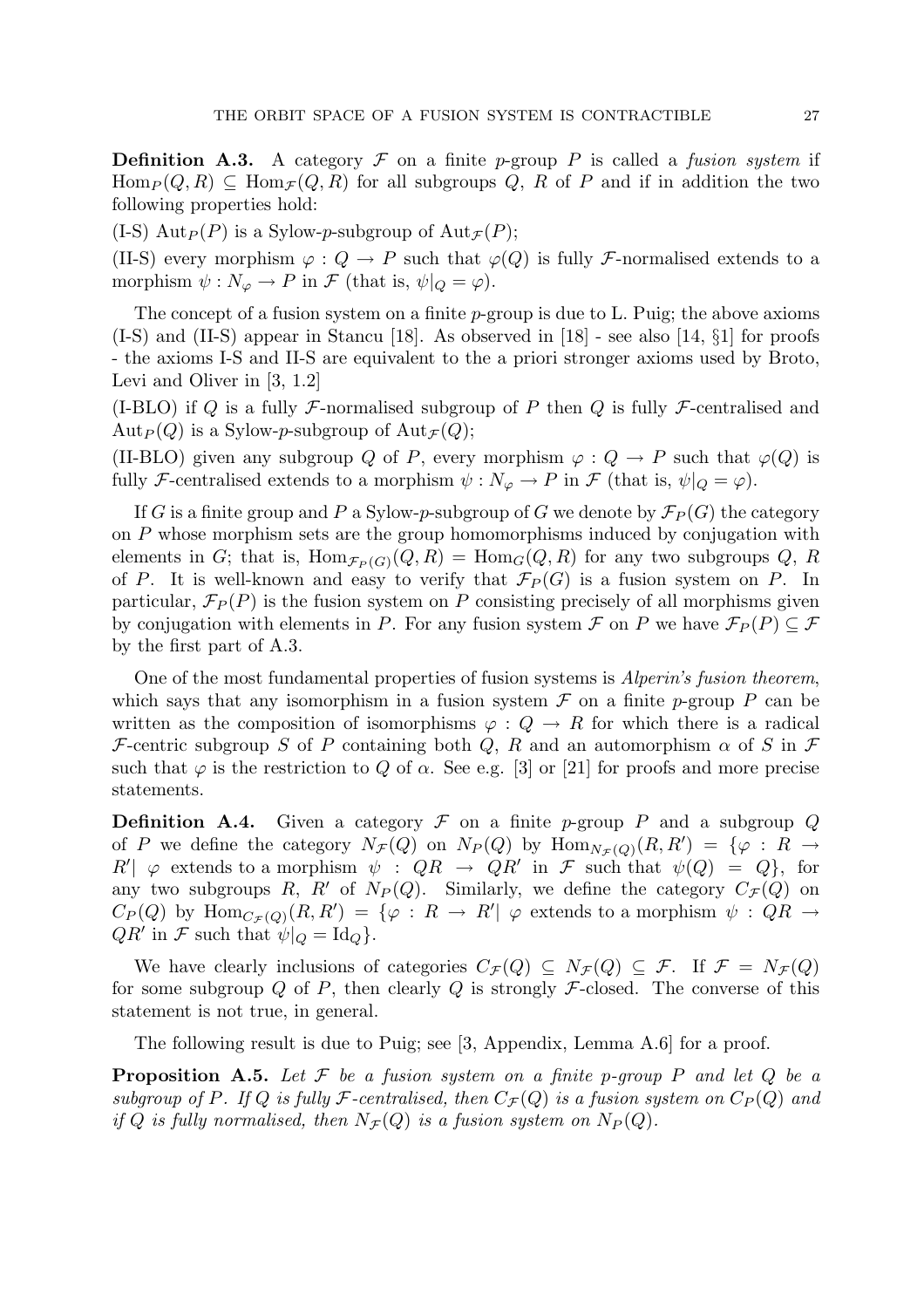**Definition A.3.** A category  $\mathcal F$  on a finite p-group P is called a *fusion system* if  $\text{Hom}_P(Q, R) \subseteq \text{Hom}_{\mathcal{F}}(Q, R)$  for all subgroups Q, R of P and if in addition the two following properties hold:

(I-S) Aut<sub>P</sub> $(P)$  is a Sylow-p-subgroup of Aut<sub>F</sub> $(P)$ ;

(II-S) every morphism  $\varphi: Q \to P$  such that  $\varphi(Q)$  is fully *F*-normalised extends to a morphism  $\psi : N_{\varphi} \to P$  in  $\mathcal F$  (that is,  $\psi|_{Q} = \varphi$ ).

The concept of a fusion system on a finite p-group is due to L. Puig; the above axioms (I-S) and (II-S) appear in Stancu [18]. As observed in [18] - see also [14, §1] for proofs - the axioms I-S and II-S are equivalent to the a priori stronger axioms used by Broto, Levi and Oliver in [3, 1.2]

(I-BLO) if Q is a fully F-normalised subgroup of P then Q is fully F-centralised and  $\mathrm{Aut}_P(Q)$  is a Sylow-p-subgroup of  $\mathrm{Aut}_\mathcal{F}(Q)$ ;

(II-BLO) given any subgroup Q of P, every morphism  $\varphi: Q \to P$  such that  $\varphi(Q)$  is fully F-centralised extends to a morphism  $\psi : N_{\varphi} \to P$  in F (that is,  $\psi|_Q = \varphi$ ).

If G is a finite group and P a Sylow-p-subgroup of G we denote by  $\mathcal{F}_P(G)$  the category on  $P$  whose morphism sets are the group homomorphisms induced by conjugation with elements in G; that is,  $\text{Hom}_{\mathcal{F}_P(G)}(Q, R) = \text{Hom}_G(Q, R)$  for any two subgroups Q, R of P. It is well-known and easy to verify that  $\mathcal{F}_P(G)$  is a fusion system on P. In particular,  $\mathcal{F}_P(P)$  is the fusion system on P consisting precisely of all morphisms given by conjugation with elements in P. For any fusion system F on P we have  $\mathcal{F}_P(P) \subseteq \mathcal{F}$ by the first part of A.3.

One of the most fundamental properties of fusion systems is Alperin's fusion theorem, which says that any isomorphism in a fusion system  $\mathcal F$  on a finite p-group P can be written as the composition of isomorphisms  $\varphi: Q \to R$  for which there is a radical F-centric subgroup S of P containing both Q, R and an automorphism  $\alpha$  of S in F such that  $\varphi$  is the restriction to Q of  $\alpha$ . See e.g. [3] or [21] for proofs and more precise statements.

**Definition A.4.** Given a category  $\mathcal F$  on a finite p-group P and a subgroup Q of P we define the category  $N_{\mathcal{F}}(Q)$  on  $N_P(Q)$  by  $\text{Hom}_{N_{\mathcal{F}}(Q)}(R, R') = \{ \varphi : R \to$  $R' | \varphi$  extends to a morphism  $\psi : QR \to QR'$  in F such that  $\psi(Q) = Q$ , for any two subgroups R, R' of  $N_P(Q)$ . Similarly, we define the category  $C_{\mathcal{F}}(Q)$  on  $C_P(Q)$  by  $\text{Hom}_{C_{\mathcal{F}}(Q)}(R, R') = \{ \varphi : R \to R' | \varphi \text{ extends to a morphism } \psi : QR \to$  $QR'$  in F such that  $\psi|_Q = \mathrm{Id}_Q$ .

We have clearly inclusions of categories  $C_{\mathcal{F}}(Q) \subseteq N_{\mathcal{F}}(Q) \subseteq \mathcal{F}$ . If  $\mathcal{F} = N_{\mathcal{F}}(Q)$ for some subgroup Q of P, then clearly Q is strongly  $\mathcal F$ -closed. The converse of this statement is not true, in general.

The following result is due to Puig; see [3, Appendix, Lemma A.6] for a proof.

**Proposition A.5.** Let  $\mathcal F$  be a fusion system on a finite p-group P and let  $Q$  be a subgroup of P. If Q is fully F-centralised, then  $C_{\mathcal{F}}(Q)$  is a fusion system on  $C_P(Q)$  and if Q is fully normalised, then  $N_{\mathcal{F}}(Q)$  is a fusion system on  $N_P(Q)$ .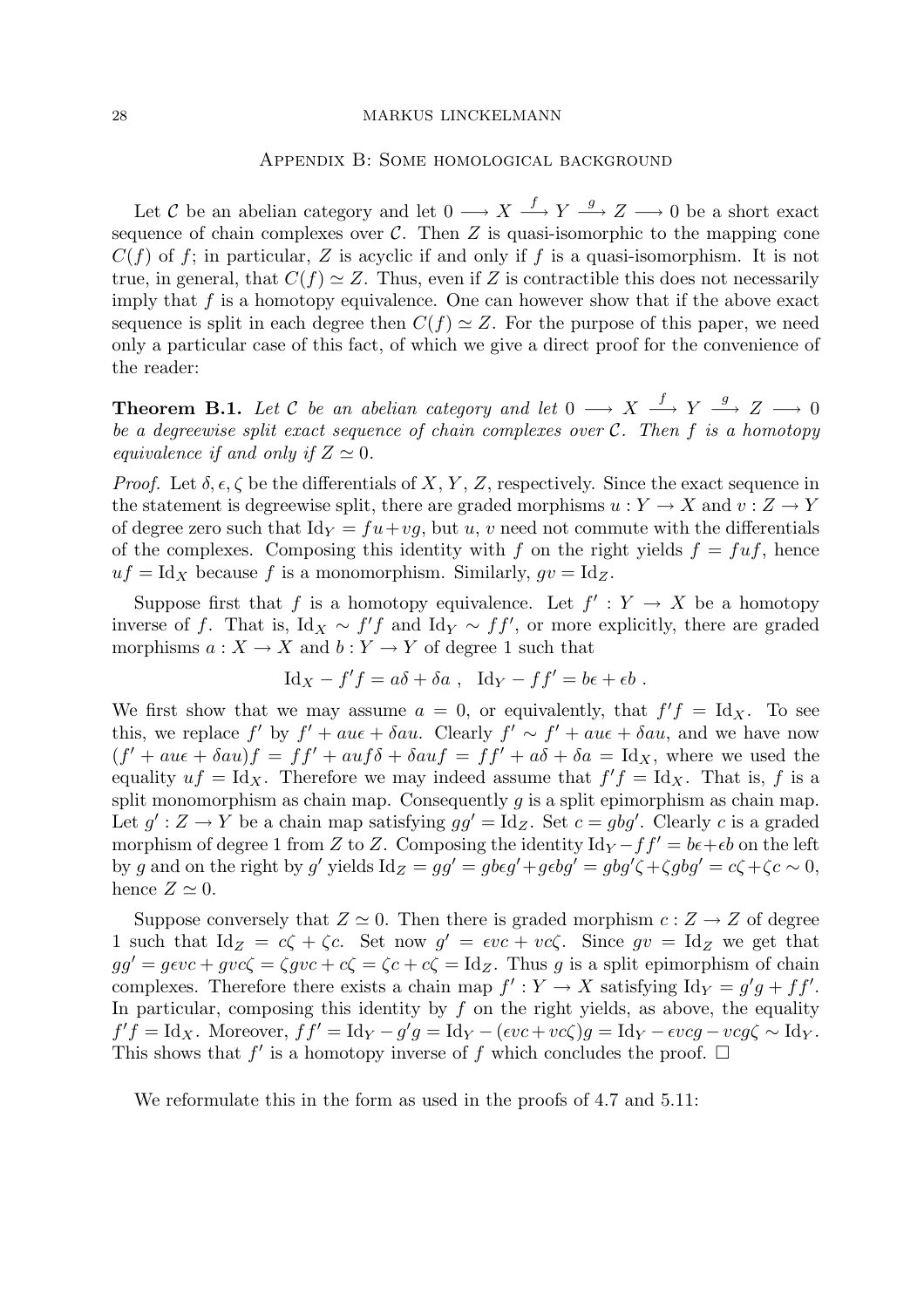# Appendix B: Some homological background

Let C be an abelian category and let  $0 \longrightarrow X \stackrel{f}{\longrightarrow} Y \stackrel{g}{\longrightarrow} Z \longrightarrow 0$  be a short exact sequence of chain complexes over  $\mathcal{C}$ . Then Z is quasi-isomorphic to the mapping cone  $C(f)$  of f; in particular, Z is acyclic if and only if f is a quasi-isomorphism. It is not true, in general, that  $C(f) \simeq Z$ . Thus, even if Z is contractible this does not necessarily imply that  $f$  is a homotopy equivalence. One can however show that if the above exact sequence is split in each degree then  $C(f) \simeq Z$ . For the purpose of this paper, we need only a particular case of this fact, of which we give a direct proof for the convenience of the reader:

**Theorem B.1.** Let C be an abelian category and let  $0 \longrightarrow X \stackrel{f}{\longrightarrow} Y \stackrel{g}{\longrightarrow} Z \longrightarrow 0$ be a degreewise split exact sequence of chain complexes over  $\mathcal{C}$ . Then f is a homotopy equivalence if and only if  $Z \simeq 0$ .

*Proof.* Let  $\delta, \epsilon, \zeta$  be the differentials of X, Y, Z, respectively. Since the exact sequence in the statement is degreewise split, there are graded morphisms  $u: Y \to X$  and  $v: Z \to Y$ of degree zero such that  $Id_Y = fu + v,$  but u, v need not commute with the differentials of the complexes. Composing this identity with f on the right yields  $f = fuf$ , hence  $uf = Id_X$  because f is a monomorphism. Similarly,  $gv = Id_Z$ .

Suppose first that f is a homotopy equivalence. Let  $f': Y \to X$  be a homotopy inverse of f. That is, Id<sub>X</sub>  $\sim f'f$  and Id<sub>Y</sub>  $\sim ff'$ , or more explicitly, there are graded morphisms  $a: X \to X$  and  $b: Y \to Y$  of degree 1 such that

$$
Id_X - f'f = a\delta + \delta a , \ \ Id_Y - ff' = b\epsilon + \epsilon b .
$$

We first show that we may assume  $a = 0$ , or equivalently, that  $f'f = \text{Id}_X$ . To see this, we replace f' by  $f' + au\epsilon + \delta au$ . Clearly  $f' \sim f' + au\epsilon + \delta au$ , and we have now  $(f' + a u \epsilon + \delta a u) f = f f' + a u f \delta + \delta a u f = f f' + a \delta + \delta a = \mathrm{Id}_X$ , where we used the equality  $uf = Id_X$ . Therefore we may indeed assume that  $f'f = Id_X$ . That is, f is a split monomorphism as chain map. Consequently  $q$  is a split epimorphism as chain map. Let  $g' : Z \to Y$  be a chain map satisfying  $gg' = Id_Z$ . Set  $c = gbg'$ . Clearly c is a graded morphism of degree 1 from Z to Z. Composing the identity  $\mathrm{Id}_Y - ff' = b\epsilon + \epsilon b$  on the left by g and on the right by g' yields  $\mathrm{Id}_Z = gg' = g b \epsilon g' + g \epsilon b g' = g b g' \zeta + \zeta g b g' = c \zeta + \zeta c \sim 0$ , hence  $Z \simeq 0$ .

Suppose conversely that  $Z \simeq 0$ . Then there is graded morphism  $c: Z \to Z$  of degree 1 such that  $\text{Id}_Z = c\zeta + \zeta c$ . Set now  $g' = \epsilon v c + v c \zeta$ . Since  $g v = \text{Id}_Z$  we get that  $gg' = gevc + gvc\zeta = \zeta gvc + c\zeta = \zeta c + c\zeta = \text{Id}_z$ . Thus g is a split epimorphism of chain complexes. Therefore there exists a chain map  $f': Y \to X$  satisfying  $\mathrm{Id}_Y = g'g + ff'$ . In particular, composing this identity by  $f$  on the right yields, as above, the equality  $f'f = \text{Id}_X$ . Moreover,  $ff' = \text{Id}_Y - g'g = \text{Id}_Y - (evc + vc\zeta)g = \text{Id}_Y - evcg - vcg\zeta \sim \text{Id}_Y$ . This shows that  $f'$  is a homotopy inverse of f which concludes the proof.  $\Box$ 

We reformulate this in the form as used in the proofs of 4.7 and 5.11: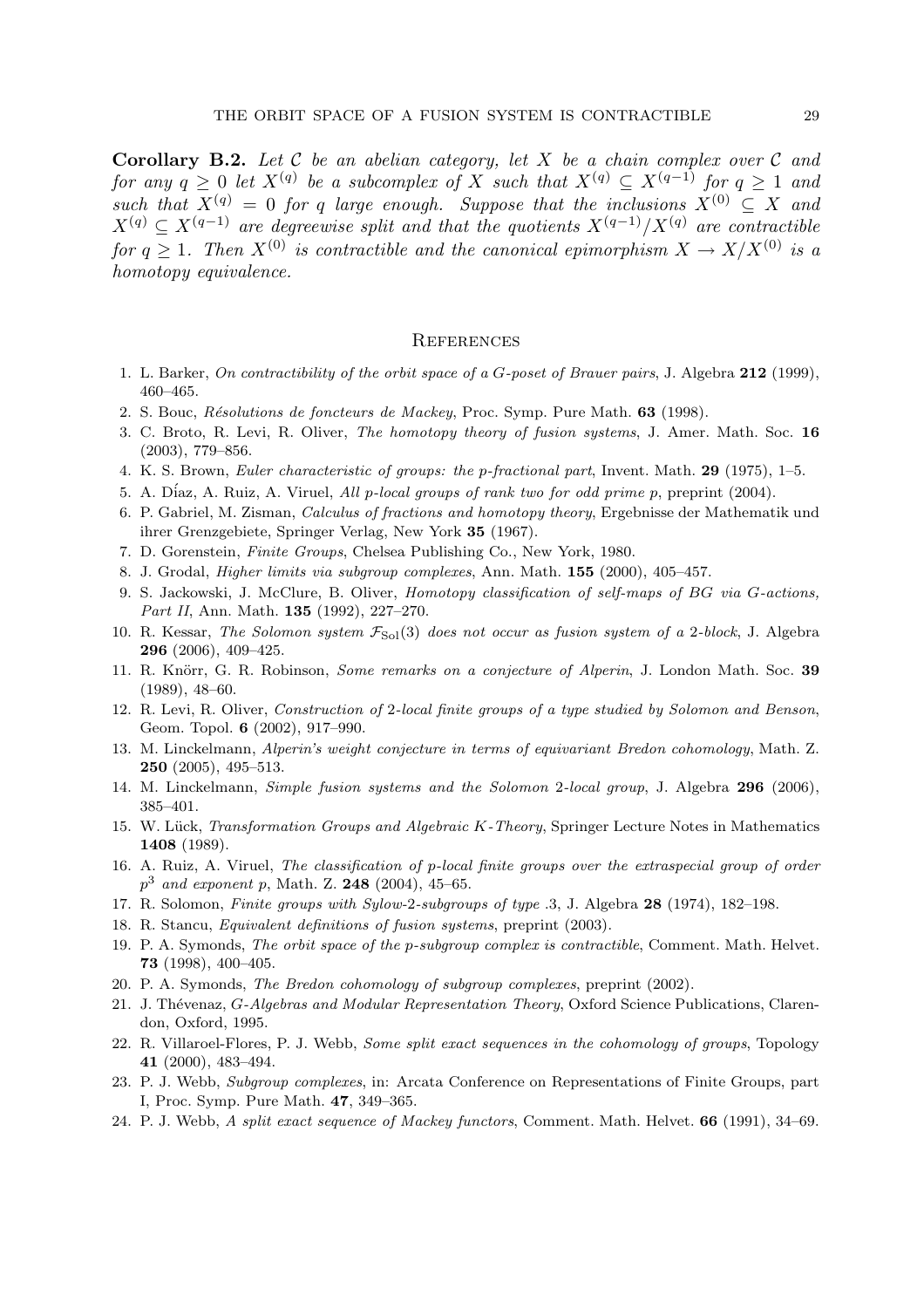**Corollary B.2.** Let C be an abelian category, let X be a chain complex over C and for any  $q \geq 0$  let  $X^{(q)}$  be a subcomplex of X such that  $X^{(q)} \subseteq X^{(q-1)}$  for  $q \geq 1$  and such that  $\overline{X}^{(q)} = 0$  for q large enough. Suppose that the inclusions  $\overline{X}^{(0)} \subseteq X$  and  $X^{(q)} \subseteq X^{(q-1)}$  are degreewise split and that the quotients  $X^{(q-1)}/X^{(q)}$  are contractible for  $q > 1$ . Then  $X^{(0)}$  is contractible and the canonical epimorphism  $X \to X/X^{(0)}$  is a homotopy equivalence.

# **REFERENCES**

- 1. L. Barker, On contractibility of the orbit space of a  $G$ -poset of Brauer pairs, J. Algebra 212 (1999), 460–465.
- 2. S. Bouc, Résolutions de foncteurs de Mackey, Proc. Symp. Pure Math. 63 (1998).
- 3. C. Broto, R. Levi, R. Oliver, The homotopy theory of fusion systems, J. Amer. Math. Soc. 16 (2003), 779–856.
- 4. K. S. Brown, Euler characteristic of groups: the p-fractional part, Invent. Math. 29 (1975), 1–5.
- 5. A. D´iaz, A. Ruiz, A. Viruel, All p-local groups of rank two for odd prime p, preprint (2004).
- 6. P. Gabriel, M. Zisman, Calculus of fractions and homotopy theory, Ergebnisse der Mathematik und ihrer Grenzgebiete, Springer Verlag, New York 35 (1967).
- 7. D. Gorenstein, Finite Groups, Chelsea Publishing Co., New York, 1980.
- 8. J. Grodal, Higher limits via subgroup complexes, Ann. Math. 155 (2000), 405–457.
- 9. S. Jackowski, J. McClure, B. Oliver, Homotopy classification of self-maps of BG via G-actions, Part II, Ann. Math. **135** (1992), 227-270.
- 10. R. Kessar, The Solomon system  $\mathcal{F}_{\text{Sol}}(3)$  does not occur as fusion system of a 2-block, J. Algebra 296 (2006), 409–425.
- 11. R. Knörr, G. R. Robinson, Some remarks on a conjecture of Alperin, J. London Math. Soc. 39 (1989), 48–60.
- 12. R. Levi, R. Oliver, Construction of 2-local finite groups of a type studied by Solomon and Benson, Geom. Topol. 6 (2002), 917–990.
- 13. M. Linckelmann, Alperin's weight conjecture in terms of equivariant Bredon cohomology, Math. Z. 250 (2005), 495–513.
- 14. M. Linckelmann, Simple fusion systems and the Solomon 2-local group, J. Algebra 296 (2006), 385–401.
- 15. W. Lück, Transformation Groups and Algebraic K-Theory, Springer Lecture Notes in Mathematics 1408 (1989).
- 16. A. Ruiz, A. Viruel, The classification of p-local finite groups over the extraspecial group of order  $p^3$  and exponent p, Math. Z. 248 (2004), 45–65.
- 17. R. Solomon, Finite groups with Sylow-2-subgroups of type .3, J. Algebra 28 (1974), 182–198.
- 18. R. Stancu, Equivalent definitions of fusion systems, preprint (2003).
- 19. P. A. Symonds, The orbit space of the p-subgroup complex is contractible, Comment. Math. Helvet. 73 (1998), 400–405.
- 20. P. A. Symonds, The Bredon cohomology of subgroup complexes, preprint (2002).
- 21. J. Thévenaz, G-Algebras and Modular Representation Theory, Oxford Science Publications, Clarendon, Oxford, 1995.
- 22. R. Villaroel-Flores, P. J. Webb, Some split exact sequences in the cohomology of groups, Topology 41 (2000), 483–494.
- 23. P. J. Webb, Subgroup complexes, in: Arcata Conference on Representations of Finite Groups, part I, Proc. Symp. Pure Math. 47, 349–365.
- 24. P. J. Webb, A split exact sequence of Mackey functors, Comment. Math. Helvet. 66 (1991), 34–69.